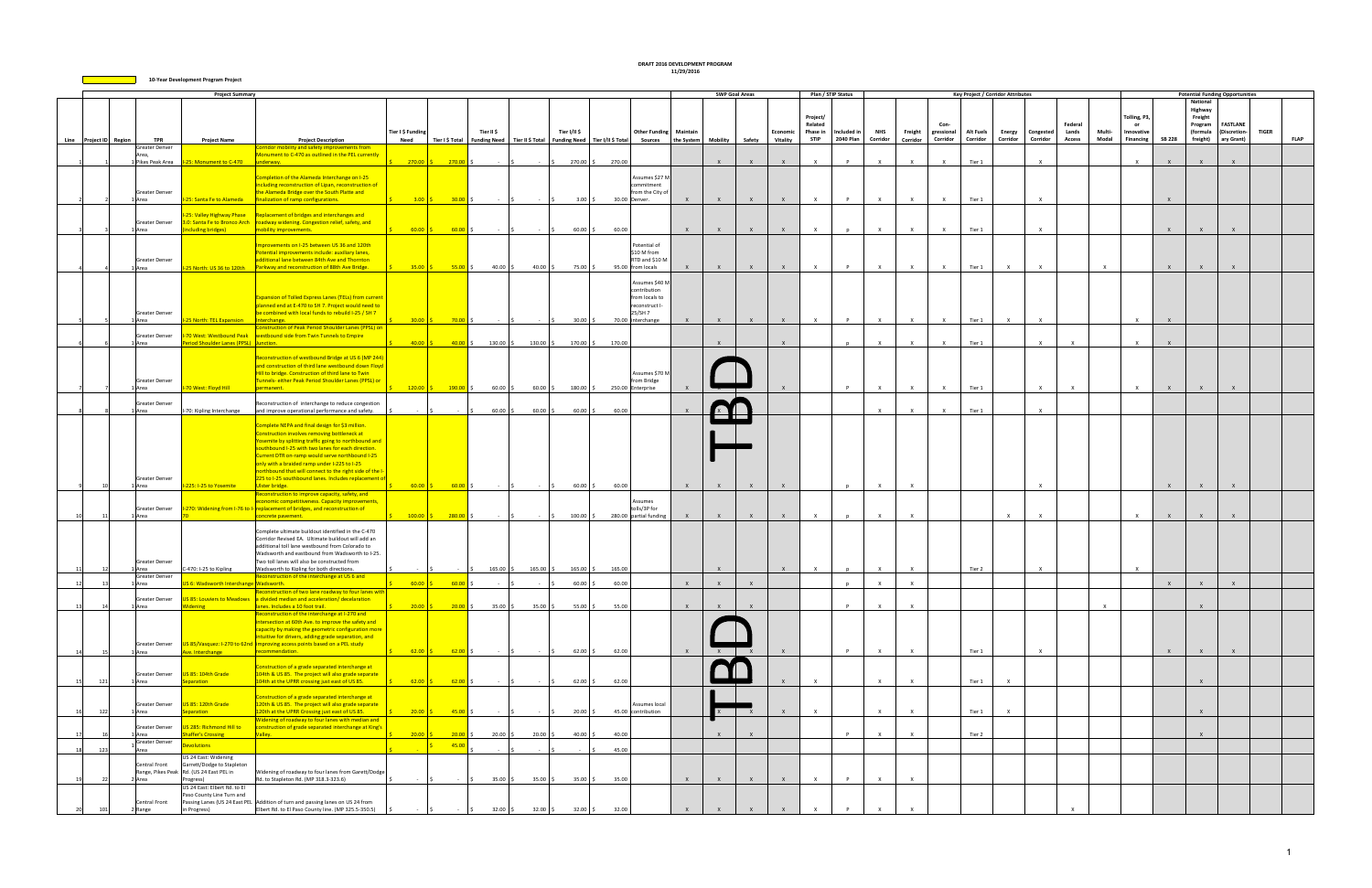|    |                        |                          | <b>Project Summary</b>                                |                                                                                                            |                           |                         |            |                                                    |                                                                                                 |                     |              | <b>SWP Goal Areas</b> |              |                     | Plan / STIP Status |              |              |              | <b>Key Project / Corridor Attributes</b> |               |              |               |              |                           |               |                    | <b>Potential Funding Opportunities</b> |              |             |
|----|------------------------|--------------------------|-------------------------------------------------------|------------------------------------------------------------------------------------------------------------|---------------------------|-------------------------|------------|----------------------------------------------------|-------------------------------------------------------------------------------------------------|---------------------|--------------|-----------------------|--------------|---------------------|--------------------|--------------|--------------|--------------|------------------------------------------|---------------|--------------|---------------|--------------|---------------------------|---------------|--------------------|----------------------------------------|--------------|-------------|
|    |                        |                          |                                                       |                                                                                                            |                           |                         |            |                                                    |                                                                                                 |                     |              |                       |              |                     |                    |              |              |              |                                          |               |              |               |              |                           |               | <b>National</b>    |                                        |              |             |
|    |                        |                          |                                                       |                                                                                                            |                           |                         |            |                                                    |                                                                                                 |                     |              |                       |              |                     |                    |              |              |              |                                          |               |              |               |              |                           |               | Highway            |                                        |              |             |
|    |                        |                          |                                                       |                                                                                                            |                           |                         |            |                                                    |                                                                                                 |                     |              |                       |              | Project/<br>Related |                    |              |              | Con-         |                                          |               |              | Federal       |              | Tolling, P3,<br><b>or</b> |               | Freight<br>Program | <b>FASTLANE</b>                        |              |             |
|    |                        |                          |                                                       |                                                                                                            | Tier I \$ Funding         |                         | Tier II \$ | Tier I/II \$                                       | <b>Other Funding Maintain</b>                                                                   |                     |              |                       | Economic     | Phase in            | Included in        | <b>NHS</b>   | Freight      | gressional   | <b>Alt Fuels</b>                         | <b>Energy</b> | Congested    | Lands         | Multi-       | Innovative                |               | (formula           | (Discretion-                           | <b>TIGER</b> |             |
|    | Line Project ID Region | <b>TPR</b>               | <b>Project Name</b>                                   | <b>Project Description</b>                                                                                 | Need                      |                         |            |                                                    | Tier I \$ Total   Funding Need   Tier II \$ Total   Funding Need   Tier I/II \$ Total   Sources | the System Mobility |              | Safety                | Vitality     | <b>STIP</b>         | 2040 Plan          | Corridor     | Corridor     | Corridor     | Corridor                                 | Corridor      | Corridor     | <b>Access</b> | Modal        | <b>Financing</b>          | <b>SB 228</b> |                    | freight) ary Grant)                    |              | <b>FLAP</b> |
|    |                        | Greater Denver           |                                                       | Corridor mobility and safety improvements from                                                             |                           |                         |            |                                                    |                                                                                                 |                     |              |                       |              |                     |                    |              |              |              |                                          |               |              |               |              |                           |               |                    |                                        |              |             |
|    |                        |                          | 1 Pikes Peak Area 1-25: Monument to C-470 underway.   | Monument to C-470 as outlined in the PEL currently                                                         |                           | $270.00$ \$ $270.00$ \$ | $-15$      | $-$ \$ 270.00 \$ 270.00                            |                                                                                                 |                     | $\mathsf{X}$ | $\mathsf{X}$          | $\mathbf{x}$ | $\mathsf{X}$        | P                  | $\times$     | $\mathsf{X}$ | $\times$     | Tier 1                                   |               | $\mathsf{X}$ |               |              | $\mathsf{X}$              | $\mathsf{X}$  | $\mathsf{X}$       | $\mathsf{x}$                           |              |             |
|    |                        |                          |                                                       |                                                                                                            |                           |                         |            |                                                    |                                                                                                 |                     |              |                       |              |                     |                    |              |              |              |                                          |               |              |               |              |                           |               |                    |                                        |              |             |
|    |                        |                          |                                                       | Completion of the Alameda Interchange on I-25                                                              |                           |                         |            |                                                    | Assumes \$27 M                                                                                  |                     |              |                       |              |                     |                    |              |              |              |                                          |               |              |               |              |                           |               |                    |                                        |              |             |
|    |                        |                          |                                                       | ncluding reconstruction of Lipan, reconstruction of                                                        |                           |                         |            |                                                    | :ommitment                                                                                      |                     |              |                       |              |                     |                    |              |              |              |                                          |               |              |               |              |                           |               |                    |                                        |              |             |
|    |                        | Greater Denver           |                                                       | the Alameda Bridge over the South Platte and                                                               |                           |                         |            | <b>Contractor</b>                                  | from the City of<br>30.00 Denver.                                                               |                     | $\mathsf{X}$ | X                     | $\mathbf{x}$ | $\mathsf{X}$        | $\mathbf{p}$       | $\times$     | $\times$     | $\mathsf{x}$ |                                          |               | $\mathsf{X}$ |               |              |                           | $\mathsf{x}$  |                    |                                        |              |             |
|    |                        | LArea                    |                                                       | I-25: Santa Fe to Alameda   finalization of ramp configurations.                                           | $3.00$ $\sqrt{5}$         | $30.00$ \$              |            |                                                    | $3.00\%$                                                                                        |                     |              |                       |              |                     |                    |              |              |              | Tier 1                                   |               |              |               |              |                           |               |                    |                                        |              |             |
|    |                        |                          |                                                       | -25: Valley Highway Phase   Replacement of bridges and interchanges and                                    |                           |                         |            |                                                    |                                                                                                 |                     |              |                       |              |                     |                    |              |              |              |                                          |               |              |               |              |                           |               |                    |                                        |              |             |
|    |                        | Greater Denver           |                                                       | 3.0: Santa Fe to Bronco Arch   roadway widening. Congestion relief, safety, and                            |                           |                         |            |                                                    |                                                                                                 |                     |              |                       |              |                     |                    |              |              |              |                                          |               |              |               |              |                           |               |                    |                                        |              |             |
|    |                        | 1 Area                   | including bridges)                                    | mobility improvements.                                                                                     |                           | $60.00$ \$ 60.00 \$     |            | $ \sim$ $\sim$ $\sim$ $\sim$                       | $60.00$ \$<br>60.00                                                                             | $\mathsf{X}$        | $\mathbf{x}$ | $\mathsf{X}$          | $\mathbf{x}$ | $\mathsf{x}$        | n                  | $\mathsf{x}$ | $\times$     | $\mathsf{x}$ | Tier 1                                   |               | $\mathsf{x}$ |               |              |                           | $\mathsf{x}$  |                    |                                        |              |             |
|    |                        |                          |                                                       | Improvements on I-25 between US 36 and 120th                                                               |                           |                         |            |                                                    | Potential of                                                                                    |                     |              |                       |              |                     |                    |              |              |              |                                          |               |              |               |              |                           |               |                    |                                        |              |             |
|    |                        |                          |                                                       | Potential improvements include: auxiliary lanes,                                                           |                           |                         |            |                                                    | \$10 M from                                                                                     |                     |              |                       |              |                     |                    |              |              |              |                                          |               |              |               |              |                           |               |                    |                                        |              |             |
|    |                        | Greater Denver           |                                                       | additional lane between 84th Ave and Thornton                                                              |                           |                         |            |                                                    | RTD and \$10 M                                                                                  |                     |              |                       |              |                     |                    |              |              |              |                                          |               |              |               |              |                           |               |                    |                                        |              |             |
|    |                        | 1 Area                   |                                                       | 1-25 North: US 36 to 120th Parkway and reconstruction of 88th Ave Bridge.                                  |                           |                         | $40.00$ \$ | $40.00$ \$<br>75.00 \$                             | 95.00 from locals                                                                               |                     | $\mathsf{X}$ | $\mathsf{X}$          | $\mathsf{X}$ | $\mathsf{X}$        | $\mathbf{P}$       | $\mathsf{X}$ | $\mathsf{X}$ | $\mathsf{x}$ | Tier 1                                   | $\mathsf{x}$  | $\mathsf{x}$ |               | $\mathsf{X}$ |                           | $\mathsf{X}$  |                    | $\mathbf{x}$                           |              |             |
|    |                        |                          |                                                       |                                                                                                            |                           |                         |            |                                                    |                                                                                                 |                     |              |                       |              |                     |                    |              |              |              |                                          |               |              |               |              |                           |               |                    |                                        |              |             |
|    |                        |                          |                                                       |                                                                                                            |                           |                         |            |                                                    | Assumes \$40 M<br>contribution                                                                  |                     |              |                       |              |                     |                    |              |              |              |                                          |               |              |               |              |                           |               |                    |                                        |              |             |
|    |                        |                          |                                                       | <b>Expansion of Tolled Express Lanes (TELs) from current</b>                                               |                           |                         |            |                                                    | from locals to                                                                                  |                     |              |                       |              |                     |                    |              |              |              |                                          |               |              |               |              |                           |               |                    |                                        |              |             |
|    |                        |                          |                                                       | planned end at E-470 to SH 7. Project would need to                                                        |                           |                         |            |                                                    | reconstruct I-                                                                                  |                     |              |                       |              |                     |                    |              |              |              |                                          |               |              |               |              |                           |               |                    |                                        |              |             |
|    |                        | Greater Denver           |                                                       | be combined with local funds to rebuild I-25 / SH 7                                                        |                           |                         |            |                                                    | 25/SH 7                                                                                         |                     |              |                       |              |                     |                    |              |              |              |                                          |               |              |               |              |                           |               |                    |                                        |              |             |
|    |                        | 1 Area                   | <b>I-25 North: TEL Expansion   Interchange.</b>       | Construction of Peak Period Shoulder Lanes (PPSL) on                                                       |                           | $30.00$ \$ 70.00 \$     |            | $\sim$ $\vert$ s $\vert$ s                         | 70.00 interchange<br>$30.00$ \$                                                                 | $\mathsf{X}$        | $\mathsf{X}$ | $\mathsf{X}$          | $\mathsf{X}$ | $\mathsf{X}$        | P                  | $\times$     | $\mathsf{X}$ | $\mathsf{X}$ | Tier 1                                   | $\mathsf{X}$  | $\mathsf{X}$ |               |              | $\mathsf{X}$              | $\mathsf{X}$  |                    |                                        |              |             |
|    |                        | <b>Greater Denver</b>    |                                                       | -70 West: Westbound Peak vestbound side from Twin Tunnels to Empire                                        |                           |                         |            |                                                    |                                                                                                 |                     |              |                       |              |                     |                    |              |              |              |                                          |               |              |               |              |                           |               |                    |                                        |              |             |
|    |                        | 1 Area                   | Period Shoulder Lanes (PPSL) Junction.                |                                                                                                            | $40.00$ \$                |                         |            | $\frac{40.00}{5}$ \$ 130.00 \$ 130.00 \$ 170.00 \$ | 170.00                                                                                          |                     | $\mathsf{x}$ |                       | $\mathsf{x}$ |                     |                    | $\times$     | $\times$     | $\mathsf{X}$ | Tier 1                                   |               | $\times$     | $\mathsf{X}$  |              | $\times$                  | $\mathsf{x}$  |                    |                                        |              |             |
|    |                        |                          |                                                       |                                                                                                            |                           |                         |            |                                                    |                                                                                                 |                     |              |                       |              |                     |                    |              |              |              |                                          |               |              |               |              |                           |               |                    |                                        |              |             |
|    |                        |                          |                                                       | Reconstruction of westbound Bridge at US 6 (MP 244)<br>and construction of third lane westbound down Floyd |                           |                         |            |                                                    |                                                                                                 |                     |              |                       |              |                     |                    |              |              |              |                                          |               |              |               |              |                           |               |                    |                                        |              |             |
|    |                        |                          |                                                       | Hill to bridge. Construction of third lane to Twin                                                         |                           |                         |            |                                                    | Assumes \$70 M                                                                                  |                     |              |                       |              |                     |                    |              |              |              |                                          |               |              |               |              |                           |               |                    |                                        |              |             |
|    |                        | Greater Denver           |                                                       | Tunnels- either Peak Period Shoulder Lanes (PPSL) or                                                       |                           |                         |            |                                                    | from Bridge                                                                                     |                     |              |                       |              |                     |                    |              |              |              |                                          |               |              |               |              |                           |               |                    |                                        |              |             |
|    |                        | 1 Area                   | -70 West: Floyd Hill                                  | permanent.                                                                                                 |                           | $120.00$ \$ $190.00$ \$ | $60.00$ \$ | $60.00$ \$<br>$180.00$ \$                          | 250.00 Enterprise                                                                               |                     |              |                       |              |                     | P                  | $\times$     | $\mathsf{x}$ | $\mathsf{X}$ | Tier 1                                   |               | $\times$     | $\mathsf{X}$  |              | $\times$                  | $\mathsf{X}$  |                    | $\mathsf{x}$                           |              |             |
|    |                        | Greater Denver           |                                                       | Reconstruction of interchange to reduce congestion                                                         |                           |                         |            |                                                    |                                                                                                 |                     |              |                       |              |                     |                    |              |              |              |                                          |               |              |               |              |                           |               |                    |                                        |              |             |
|    |                        | 1 Area                   | I-70: Kipling Interchange                             | and improve operational performance and safety.                                                            |                           |                         | $60.00$ \$ | $60.00$ \$                                         | $60.00$ \$<br>60.00                                                                             |                     |              |                       |              |                     |                    | $\mathbf{x}$ | $\mathsf{x}$ | $\mathsf{X}$ | Tier 1                                   |               | $\mathsf{x}$ |               |              |                           |               |                    |                                        |              |             |
|    |                        |                          |                                                       |                                                                                                            |                           |                         |            |                                                    |                                                                                                 |                     |              |                       |              |                     |                    |              |              |              |                                          |               |              |               |              |                           |               |                    |                                        |              |             |
|    |                        |                          |                                                       | Complete NEPA and final design for \$3 million.                                                            |                           |                         |            |                                                    |                                                                                                 |                     |              |                       |              |                     |                    |              |              |              |                                          |               |              |               |              |                           |               |                    |                                        |              |             |
|    |                        |                          |                                                       | Construction involves removing bottleneck at<br>Yosemite by splitting traffic going to northbound and      |                           |                         |            |                                                    |                                                                                                 |                     |              |                       |              |                     |                    |              |              |              |                                          |               |              |               |              |                           |               |                    |                                        |              |             |
|    |                        |                          |                                                       | southbound I-25 with two lanes for each direction.                                                         |                           |                         |            |                                                    |                                                                                                 |                     |              |                       |              |                     |                    |              |              |              |                                          |               |              |               |              |                           |               |                    |                                        |              |             |
|    |                        |                          |                                                       | urrent DTR on-ramp would serve northbound I-25                                                             |                           |                         |            |                                                    |                                                                                                 |                     |              |                       |              |                     |                    |              |              |              |                                          |               |              |               |              |                           |               |                    |                                        |              |             |
|    |                        |                          |                                                       | nly with a braided ramp under I-225 to I-25                                                                |                           |                         |            |                                                    |                                                                                                 |                     |              |                       |              |                     |                    |              |              |              |                                          |               |              |               |              |                           |               |                    |                                        |              |             |
|    |                        |                          |                                                       | northbound that will connect to the right side of the I-                                                   |                           |                         |            |                                                    |                                                                                                 |                     |              |                       |              |                     |                    |              |              |              |                                          |               |              |               |              |                           |               |                    |                                        |              |             |
|    |                        | Greater Denver<br>1 Area | I-225: I-25 to Yosemite                               | 225 to I-25 southbound lanes. Includes replacement of<br>Ulster bridge.                                    | $60.00$ $\sqrt{5}$        | $60.00$ \$              | $\sim$ 15  | $60.00$ \$<br>$\sim$ $\sim$ $\sim$                 | 60.00                                                                                           | $\mathbf{x}$        | $\mathbf{x}$ | $\mathbf{x}$          |              |                     |                    | $\mathbf{x}$ | $\mathbf{x}$ |              |                                          |               |              |               |              |                           | $\mathbf{x}$  |                    |                                        |              |             |
|    |                        |                          |                                                       | Reconstruction to improve capacity, safety, and                                                            |                           |                         |            |                                                    |                                                                                                 |                     |              |                       |              |                     |                    |              |              |              |                                          |               |              |               |              |                           |               |                    |                                        |              |             |
|    |                        |                          |                                                       | economic competitiveness. Capacity improvements,                                                           |                           |                         |            |                                                    | Assumes                                                                                         |                     |              |                       |              |                     |                    |              |              |              |                                          |               |              |               |              |                           |               |                    |                                        |              |             |
|    |                        | Greater Denver<br>1 Area |                                                       | 1-270: Widening from 1-76 to 1- replacement of bridges, and reconstruction of                              |                           |                         |            | $ \vert$ s $ \vert$ s                              | tolls/3P for                                                                                    | $\mathsf{X}$        | $\mathsf{X}$ |                       | $\mathsf{X}$ | $\mathsf{x}$        |                    | $\times$     | $\mathsf{x}$ |              |                                          | $\mathsf{x}$  | $\mathsf{x}$ |               |              | $\times$                  | $\mathsf{x}$  |                    |                                        |              |             |
|    |                        |                          |                                                       | concrete pavement.                                                                                         |                           | $100.00$ \$ $280.00$ \$ |            | $100.00$ \$                                        | 280.00 partial funding                                                                          |                     |              | $\mathsf{X}$          |              |                     |                    |              |              |              |                                          |               |              |               |              |                           |               |                    |                                        |              |             |
|    |                        |                          |                                                       | Complete ultimate buildout identified in the C-470                                                         |                           |                         |            |                                                    |                                                                                                 |                     |              |                       |              |                     |                    |              |              |              |                                          |               |              |               |              |                           |               |                    |                                        |              |             |
|    |                        |                          |                                                       | Corridor Revised EA. Ultimate buildout will add an                                                         |                           |                         |            |                                                    |                                                                                                 |                     |              |                       |              |                     |                    |              |              |              |                                          |               |              |               |              |                           |               |                    |                                        |              |             |
|    |                        |                          |                                                       | additional toll lane westbound from Colorado to                                                            |                           |                         |            |                                                    |                                                                                                 |                     |              |                       |              |                     |                    |              |              |              |                                          |               |              |               |              |                           |               |                    |                                        |              |             |
|    |                        | Greater Denver           |                                                       | Wadsworth and eastbound from Wadsworth to I-25.<br>Two toll lanes will also be constructed from            |                           |                         |            |                                                    |                                                                                                 |                     |              |                       |              |                     |                    |              |              |              |                                          |               |              |               |              |                           |               |                    |                                        |              |             |
|    |                        | 1 Area                   | C-470: I-25 to Kipling                                | Wadsworth to Kipling for both directions.                                                                  |                           |                         |            | $165.00$ \$ $165.00$ \$<br>$165.00$ \$             | 165.00                                                                                          |                     | $\mathsf{X}$ |                       | $\mathsf{X}$ | $\mathsf{X}$        | D                  | $\mathsf{X}$ | $\times$     |              | Tier 2                                   |               | $\mathsf{X}$ |               |              | $\mathsf{X}$              |               |                    |                                        |              |             |
|    |                        | Greater Denver           |                                                       | Reconstruction of the interchange at US 6 and                                                              |                           |                         |            |                                                    |                                                                                                 |                     |              |                       |              |                     |                    |              |              |              |                                          |               |              |               |              |                           |               |                    |                                        |              |             |
|    |                        | 1 Area                   | US 6: Wadsworth Interchange Wadsworth.                | of two lane roadway to four lanes wi                                                                       | $\frac{60.00}{5}$         | $60.00$ \$              |            | 60.00                                              | 60.00                                                                                           | $\mathbf{x}$        | $\mathsf{x}$ | $\mathsf{X}$          |              |                     |                    |              |              |              |                                          |               |              |               |              |                           | $\mathsf{x}$  |                    | $\mathsf{x}$                           |              |             |
|    |                        | <b>Greater Denver</b>    |                                                       | US 85: Louviers to Meadows a divided median and acceleration/ decelaration                                 |                           |                         |            |                                                    |                                                                                                 |                     |              |                       |              |                     |                    |              |              |              |                                          |               |              |               |              |                           |               |                    |                                        |              |             |
|    | 14                     | 1 Area                   | <b>Videning</b>                                       | lanes. Includes a 10 foot trail.                                                                           | $20.00$ $\mid \zeta \mid$ | $20.00$ \$              | $35.00\%$  | $35.00\%$                                          | 55.00 \$<br>55.00                                                                               | $\mathsf{X}$        | $\mathsf{x}$ | $\mathbf{x}$          |              |                     | P                  | $\times$     | $\mathsf{x}$ |              |                                          |               |              |               | $\mathsf{X}$ |                           |               |                    |                                        |              |             |
|    |                        |                          |                                                       | Reconstruction of the interchange at I-270 and                                                             |                           |                         |            |                                                    |                                                                                                 |                     |              |                       |              |                     |                    |              |              |              |                                          |               |              |               |              |                           |               |                    |                                        |              |             |
|    |                        |                          |                                                       | intersection at 60th Ave. to improve the safety and<br>capacity by making the geometric configuration more |                           |                         |            |                                                    |                                                                                                 |                     |              |                       |              |                     |                    |              |              |              |                                          |               |              |               |              |                           |               |                    |                                        |              |             |
|    |                        |                          |                                                       | intuitive for drivers, adding grade separation, and                                                        |                           |                         |            |                                                    |                                                                                                 |                     |              |                       |              |                     |                    |              |              |              |                                          |               |              |               |              |                           |               |                    |                                        |              |             |
|    |                        | <b>Greater Denver</b>    |                                                       | US 85/Vasquez: I-270 to 62nd improving access points based on a PEL study                                  |                           |                         |            |                                                    |                                                                                                 |                     |              |                       |              |                     |                    |              |              |              |                                          |               |              |               |              |                           |               |                    |                                        |              |             |
|    |                        | 1 Area                   | Ave. Interchange                                      | recommendation.                                                                                            | $62.00$ \$                | $62.00$ \$              | $-15$      | $\sim 100$                                         | $62.00$ \$<br>62.00                                                                             | $\mathsf{X}$        | X            |                       | $\mathsf{x}$ |                     | P                  | $\mathsf{X}$ | $\mathsf{X}$ |              | Tier 1                                   |               | $\mathsf{X}$ |               |              |                           | $\mathsf{x}$  | $\mathsf{X}$       | $\mathsf{X}$                           |              |             |
|    |                        |                          |                                                       | Construction of a grade separated interchange at                                                           |                           |                         |            |                                                    |                                                                                                 |                     |              |                       |              |                     |                    |              |              |              |                                          |               |              |               |              |                           |               |                    |                                        |              |             |
|    |                        | <b>Greater Denver</b>    | US 85: 104th Grade                                    | 104th & US 85. The project will also grade separate                                                        |                           |                         |            |                                                    |                                                                                                 |                     |              |                       |              |                     |                    |              |              |              |                                          |               |              |               |              |                           |               |                    |                                        |              |             |
|    | 121                    | I Area                   | paration                                              | 104th at the UPRR crossing just east of US 85.                                                             | $62.00$ \$                | 62.00                   |            |                                                    | 62.00<br>$62.00$ \$                                                                             |                     |              |                       |              | $\mathsf{x}$        |                    | $\times$     | $\mathsf{x}$ |              | Tier 1                                   | $\mathbf{x}$  |              |               |              |                           |               |                    |                                        |              |             |
|    |                        |                          |                                                       |                                                                                                            |                           |                         |            |                                                    |                                                                                                 |                     |              |                       |              |                     |                    |              |              |              |                                          |               |              |               |              |                           |               |                    |                                        |              |             |
|    |                        |                          | US 85: 120th Grade                                    | Construction of a grade separated interchange at<br>120th & US 85. The project will also grade separate    |                           |                         |            |                                                    | Assumes local                                                                                   |                     |              |                       |              |                     |                    |              |              |              |                                          |               |              |               |              |                           |               |                    |                                        |              |             |
|    | 122                    | Greater Denver<br>1 Area | eparation                                             | 120th at the UPRR Crossing just east of US 85.                                                             | $ 20.00 $ :               | $45.00$ \$              |            | 20.00                                              | 45.00 contribution                                                                              |                     |              | $\mathsf{X}$          | $\mathsf{X}$ | $\mathsf{X}$        |                    | $\mathsf{X}$ | $\mathsf{x}$ |              | Tier 1                                   | $\mathsf{X}$  |              |               |              |                           |               | $\mathsf{x}$       |                                        |              |             |
|    |                        |                          |                                                       | Widening of roadway to four lanes with median and                                                          |                           |                         |            |                                                    |                                                                                                 |                     |              |                       |              |                     |                    |              |              |              |                                          |               |              |               |              |                           |               |                    |                                        |              |             |
|    |                        | Greater Denver           | US 285: Richmond Hill to                              | construction of grade separated interchange at King's                                                      |                           |                         |            |                                                    |                                                                                                 |                     |              |                       |              |                     |                    |              |              |              |                                          |               |              |               |              |                           |               |                    |                                        |              |             |
|    |                        | 1 Area<br>Greater Denver | <b>Shaffer's Crossing</b>                             | Valley.                                                                                                    | 20.00                     | $20.00$ \$              | $20.00$ \$ | $20.00$ \$<br>$40.00$ \$                           | 40.00                                                                                           |                     | $\mathsf{x}$ | $\mathsf{X}$          |              |                     | P                  | $\times$     | $\mathsf{x}$ |              | Tier 2                                   |               |              |               |              |                           |               | $\mathbf{x}$       |                                        |              |             |
|    | 123                    | Area                     | evolutions                                            |                                                                                                            |                           | 45.00                   |            |                                                    | 45.00                                                                                           |                     |              |                       |              |                     |                    |              |              |              |                                          |               |              |               |              |                           |               |                    |                                        |              |             |
|    |                        |                          | US 24 East: Widening                                  |                                                                                                            |                           |                         |            |                                                    |                                                                                                 |                     |              |                       |              |                     |                    |              |              |              |                                          |               |              |               |              |                           |               |                    |                                        |              |             |
|    |                        | Central Front            | Garrett/Dodge to Stapleton                            |                                                                                                            |                           |                         |            |                                                    |                                                                                                 |                     |              |                       |              |                     |                    |              |              |              |                                          |               |              |               |              |                           |               |                    |                                        |              |             |
| 19 | 22                     | 2 Area                   | Range, Pikes Peak Rd. (US 24 East PEL in<br>Progress) | Widening of roadway to four lanes from Garett/Dodge<br>Rd. to Stapleton Rd. (MP 318.3-323.6)               |                           |                         | $35.00\%$  | $35.00\%$                                          | $35.00\%$<br>35.00                                                                              | $\mathsf{X}$        | $\mathsf{x}$ | $\mathsf{X}$          | $\mathbf{x}$ | $\times$            | P                  | $\mathsf{X}$ | $\mathsf{X}$ |              |                                          |               |              |               |              |                           |               |                    |                                        |              |             |
|    |                        |                          | US 24 East: Elbert Rd. to El                          |                                                                                                            |                           |                         |            |                                                    |                                                                                                 |                     |              |                       |              |                     |                    |              |              |              |                                          |               |              |               |              |                           |               |                    |                                        |              |             |
|    |                        |                          | Paso County Line Turn and                             |                                                                                                            |                           |                         |            |                                                    |                                                                                                 |                     |              |                       |              |                     |                    |              |              |              |                                          |               |              |               |              |                           |               |                    |                                        |              |             |
|    |                        | Central Front            |                                                       | Passing Lanes (US 24 East PEL Addition of turn and passing lanes on US 24 from                             |                           |                         |            |                                                    |                                                                                                 |                     |              |                       |              |                     |                    |              |              |              |                                          |               |              |               |              |                           |               |                    |                                        |              |             |
|    | 101                    | 2 Range                  | in Progress)                                          | Elbert Rd. to El Paso County line. (MP 325.5-350.5)                                                        |                           |                         | $32.00$ \$ | $32.00$ \$                                         | $32.00$ \$<br>32.00                                                                             |                     |              |                       |              |                     |                    |              |              |              |                                          |               |              |               |              |                           |               |                    |                                        |              |             |

**DRAFT 2016 DEVELOPMENT PROGRAM 11/29/2016**

**10‐Year Development Program Project**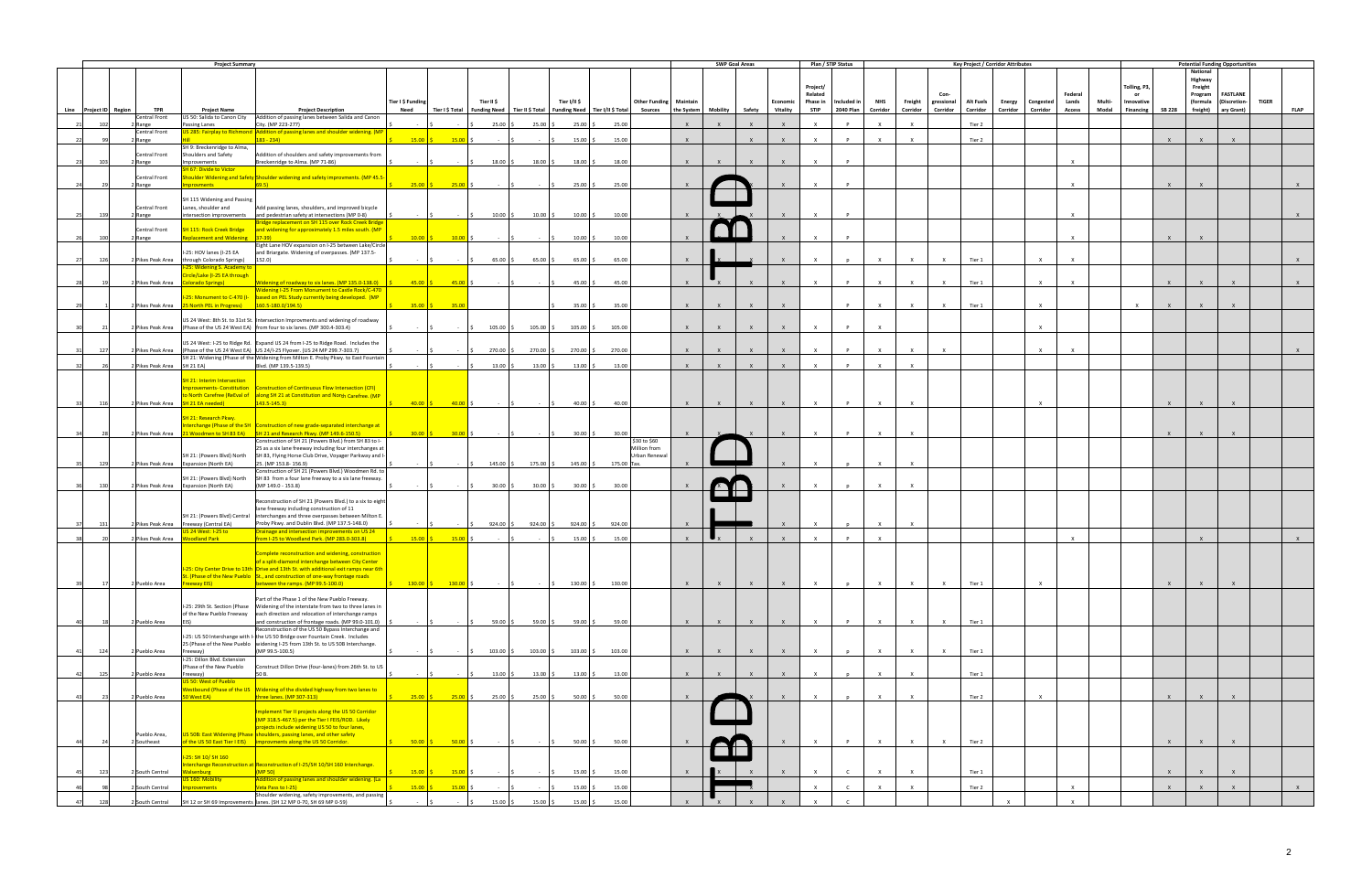|      |                        |                                    | <b>Project Summary</b>                                               |                                                                                                                                                                         |                                                                                                                                 |                                    |                               |                                                                                       |                       |                               |                       | <b>SWP Goal Areas</b> |              |              | Plan / STIP Status  |              |              |                    |              | <b>Key Project / Corridor Attributes</b> |              |               |        |                    |               |                     | <b>Potential Funding Opportunities</b> |              |             |
|------|------------------------|------------------------------------|----------------------------------------------------------------------|-------------------------------------------------------------------------------------------------------------------------------------------------------------------------|---------------------------------------------------------------------------------------------------------------------------------|------------------------------------|-------------------------------|---------------------------------------------------------------------------------------|-----------------------|-------------------------------|-----------------------|-----------------------|--------------|--------------|---------------------|--------------|--------------|--------------------|--------------|------------------------------------------|--------------|---------------|--------|--------------------|---------------|---------------------|----------------------------------------|--------------|-------------|
|      |                        |                                    |                                                                      |                                                                                                                                                                         |                                                                                                                                 |                                    |                               |                                                                                       |                       |                               |                       |                       |              |              |                     |              |              |                    |              |                                          |              |               |        |                    |               | National            |                                        |              |             |
|      |                        |                                    |                                                                      |                                                                                                                                                                         |                                                                                                                                 |                                    |                               |                                                                                       |                       |                               |                       |                       |              |              |                     |              |              |                    |              |                                          |              |               |        |                    |               | Highway             |                                        |              |             |
|      |                        |                                    |                                                                      |                                                                                                                                                                         |                                                                                                                                 |                                    |                               |                                                                                       |                       |                               |                       |                       |              |              | Project/<br>Related |              |              |                    | Con-         |                                          |              | Federal       |        | Tolling, P3,<br>or |               | Freight             | <b>FASTLANE</b>                        |              |             |
|      |                        |                                    |                                                                      |                                                                                                                                                                         | Tier I \$ Funding                                                                                                               | Tier II \$                         |                               | Tier I/II \$                                                                          |                       | <b>Other Funding Maintain</b> |                       |                       |              | Economic     | Phase in            | Included in  | <b>NHS</b>   | Freight gressional |              | <b>Alt Fuels</b><br><b>Energy</b>        | Congested    | Lands         | Multi- | Innovative         |               | Program<br>(formula | (Discretion-                           | <b>TIGER</b> |             |
|      | Line Project ID Region | <b>TPR</b>                         | <b>Project Name</b>                                                  | <b>Project Description</b>                                                                                                                                              | Need                                                                                                                            |                                    |                               | Tier I \$ Total   Funding Need   Tier II \$ Total   Funding Need   Tier I/II \$ Total |                       | <b>Sources</b>                | the System   Mobility |                       | Safety       | Vitality     | <b>STIP</b>         | 2040 Plan    | Corridor     | Corridor           | Corridor     | Corridor<br>Corridor                     | Corridor     | <b>Access</b> | Modal  | Financing          | <b>SB 228</b> |                     | freight) ary Grant)                    |              | <b>FLAP</b> |
|      |                        | Central Front                      | US 50: Salida to Canon City                                          | Addition of passing lanes between Salida and Canon                                                                                                                      |                                                                                                                                 |                                    |                               |                                                                                       |                       |                               |                       |                       |              |              |                     |              |              |                    |              |                                          |              |               |        |                    |               |                     |                                        |              |             |
|      | 102                    | 2 Range                            | Passing Lanes                                                        | City. (MP 223-277)                                                                                                                                                      |                                                                                                                                 | $25.00$ \$                         | $25.00$ \$                    | $25.00$ \$                                                                            | 25.00                 |                               | $\mathsf{X}$          | $\mathbf{x}$          | $\mathsf{X}$ | $\mathsf{x}$ | $\times$            | P            | $\mathsf{x}$ | $\mathsf{X}$       |              | Tier 2                                   |              |               |        |                    |               |                     |                                        |              |             |
|      |                        | Central Front<br>2 Range           |                                                                      | US 285: Fairplay to Richmond Addition of passing lanes and shoulder widening. (MP<br>$183 - 234$                                                                        | $15.00$ $\mid$ \$<br>$15.00$ \$                                                                                                 |                                    |                               | $15.00$ \$                                                                            | 15.00                 |                               | $\mathbf{x}$          |                       | $\mathsf{x}$ | $\mathbf{x}$ | $\mathsf{x}$        | <b>D</b>     | $\times$     | $\mathbf{x}$       |              | Tier 2                                   |              |               |        |                    | $\mathsf{x}$  | $\mathsf{x}$        |                                        |              |             |
|      |                        |                                    | SH 9: Breckenridge to Alma,                                          |                                                                                                                                                                         |                                                                                                                                 |                                    |                               |                                                                                       |                       |                               |                       |                       |              |              |                     |              |              |                    |              |                                          |              |               |        |                    |               |                     |                                        |              |             |
|      |                        | <b>Central Front</b>               | Shoulders and Safety                                                 | Addition of shoulders and safety improvements from                                                                                                                      |                                                                                                                                 |                                    |                               |                                                                                       |                       |                               |                       |                       |              |              |                     |              |              |                    |              |                                          |              |               |        |                    |               |                     |                                        |              |             |
| 23   | 103                    | 2 Range                            | Improvements<br><b>SH 67: Divide to Victor</b>                       | Breckenridge to Alma. (MP 71-86)                                                                                                                                        | $\sim$                                                                                                                          | $18.00$ \$<br>$\sim$ $\sim$ $\sim$ | $18.00$ \$                    | $18.00$ \$                                                                            | 18.00                 |                               | $\mathsf{X}$          | $\mathsf{X}$          | $\mathsf{X}$ | $\mathsf{X}$ | $\times$            | P            |              |                    |              |                                          |              | $\mathsf{X}$  |        |                    |               |                     |                                        |              |             |
|      |                        | Central Front                      |                                                                      | Shoulder Widening and Safety Shoulder widening and safety improvments. (MP 45.5                                                                                         |                                                                                                                                 |                                    |                               |                                                                                       |                       |                               |                       |                       |              |              |                     |              |              |                    |              |                                          |              |               |        |                    |               |                     |                                        |              |             |
|      |                        | 2 Range                            | <b>provments</b>                                                     | $\frac{69.5}{ }$                                                                                                                                                        | $25.00$ \$<br>$25.00$ \$                                                                                                        |                                    |                               | $25.00$ \$                                                                            | 25.00                 |                               |                       |                       |              |              | $\mathbf{x}$        |              |              |                    |              |                                          |              | $\mathsf{X}$  |        |                    | $\mathsf{x}$  |                     |                                        |              |             |
|      |                        |                                    |                                                                      |                                                                                                                                                                         |                                                                                                                                 |                                    |                               |                                                                                       |                       |                               |                       |                       |              |              |                     |              |              |                    |              |                                          |              |               |        |                    |               |                     |                                        |              |             |
|      |                        | Central Front                      | SH 115 Widening and Passing<br>Lanes, shoulder and                   | Add passing lanes, shoulders, and improved bicycle                                                                                                                      |                                                                                                                                 |                                    |                               |                                                                                       |                       |                               |                       |                       |              |              |                     |              |              |                    |              |                                          |              |               |        |                    |               |                     |                                        |              |             |
| 25   | 139                    | 2 Range                            |                                                                      | intersection improvements and pedestrian safety at intersections (MP 0-8)                                                                                               |                                                                                                                                 | $10.00$ \$                         | $10.00$ \$                    | $10.00$ \$                                                                            | 10.00                 |                               | $\mathsf{X}$          |                       |              | $\mathsf{x}$ | $\mathsf{X}$        |              |              |                    |              |                                          |              | $\mathsf{x}$  |        |                    |               |                     |                                        |              |             |
|      |                        |                                    |                                                                      | Bridge replacement on SH 115 over Rock Creek Bridge                                                                                                                     |                                                                                                                                 |                                    |                               |                                                                                       |                       |                               |                       |                       |              |              |                     |              |              |                    |              |                                          |              |               |        |                    |               |                     |                                        |              |             |
| -26  | 100                    | Central Front                      | <b>SH 115: Rock Creek Bridge</b><br>eplacement and Widening 37-39)   | and widening for approximately 1.5 miles south. (MP                                                                                                                     | $10.00$ \$<br>$10.00$ \$                                                                                                        |                                    | <b>Contract</b>               | $10.00$ \$                                                                            | 10.00                 |                               |                       |                       |              |              | $\times$            | P            |              |                    |              |                                          |              | $\mathsf{x}$  |        |                    | $\mathsf{x}$  |                     |                                        |              |             |
|      |                        | 2 Range                            |                                                                      | Eight Lane HOV expansion on I-25 between Lake/Circle                                                                                                                    |                                                                                                                                 |                                    |                               |                                                                                       |                       |                               |                       |                       |              |              |                     |              |              |                    |              |                                          |              |               |        |                    |               |                     |                                        |              |             |
|      |                        |                                    | -25: HOV lanes (I-25 EA                                              | and Briargate. Widening of overpasses. (MP 137.5-                                                                                                                       |                                                                                                                                 |                                    |                               |                                                                                       |                       |                               |                       |                       |              |              |                     |              |              |                    |              |                                          |              |               |        |                    |               |                     |                                        |              |             |
| 27   | 126                    | 2 Pikes Peak Area                  | through Colorado Springs) [152.0]                                    |                                                                                                                                                                         |                                                                                                                                 | 65.00 \$<br>I S.                   | $65.00$ \$                    | $65.00$ \$                                                                            | 65.00                 |                               | $\mathsf{X}$          |                       |              | $\mathsf{x}$ | $\mathsf{x}$        |              | $\mathsf{x}$ | $\mathsf{x}$       | $\mathsf{x}$ | Tier 1                                   | $\mathsf{X}$ | $\mathsf{x}$  |        |                    |               |                     |                                        |              |             |
|      |                        |                                    | -25: Widening S. Academy to<br>ircle/Lake (I-25 EA through           |                                                                                                                                                                         |                                                                                                                                 |                                    |                               |                                                                                       |                       |                               |                       |                       |              |              |                     |              |              |                    |              |                                          |              |               |        |                    |               |                     |                                        |              |             |
| -281 | 19                     |                                    | 2 Pikes Peak Area Colorado Springs)                                  | Widening of roadway to six lanes. (MP 135.0-138.0)                                                                                                                      | $45.00 \t\t\begin{bmatrix} 5 \\ 21.00 \t\t\end{bmatrix}$ \$                                                                     | $-$ 15                             | $  S $                        | 45.00 \$                                                                              | 45.00                 |                               | $\mathsf{X}$          |                       |              | $\mathsf{x}$ | $\mathsf{x}$        | $\mathsf{P}$ | $\times$     | $\mathsf{x}$       | $\mathsf{X}$ | Tier 1                                   | $\times$     | $\mathsf{X}$  |        |                    | $\mathsf{X}$  | $\mathsf{X}$        | $\mathsf{X}$                           |              |             |
|      |                        |                                    |                                                                      | Widening I-25 From Monument to Castle Rock/C-470                                                                                                                        |                                                                                                                                 |                                    |                               |                                                                                       |                       |                               |                       |                       |              |              |                     |              |              |                    |              |                                          |              |               |        |                    |               |                     |                                        |              |             |
|      |                        |                                    | Pikes Peak Area 25 North PEL in Progress   160.5-180.0/194.5         | 1-25: Monument to C-470 (I- based on PEL Study currently being developed. (MP                                                                                           | $35.00$ \$<br>35.00                                                                                                             |                                    |                               | 35.00                                                                                 | 35.00                 |                               | $\mathbf{x}$          |                       |              | $\mathbf{Y}$ |                     | $\mathbf{D}$ | $\mathbf{x}$ | $\mathbf{x}$       | $\mathbf{x}$ | Tier 1                                   | $\mathbf{x}$ |               |        | $\mathbf{x}$       | $\mathbf{x}$  |                     |                                        |              |             |
|      |                        |                                    |                                                                      |                                                                                                                                                                         |                                                                                                                                 |                                    |                               |                                                                                       |                       |                               |                       |                       |              |              |                     |              |              |                    |              |                                          |              |               |        |                    |               |                     |                                        |              |             |
|      |                        |                                    |                                                                      | US 24 West: 8th St. to 31st St. Intersection Improvments and widening of roadway                                                                                        |                                                                                                                                 |                                    |                               |                                                                                       |                       |                               |                       |                       |              |              |                     |              |              |                    |              |                                          |              |               |        |                    |               |                     |                                        |              |             |
|      |                        |                                    |                                                                      | 2 Pikes Peak Area (Phase of the US 24 West EA) from four to six lanes. (MP 300.4-303.4)                                                                                 |                                                                                                                                 | $105.00$ \$<br>$-15$               | $105.00$ \$                   | $105.00$ \$                                                                           | 105.00                |                               | $\mathsf{x}$          |                       |              |              | $\mathsf{x}$        | $\mathsf{P}$ | $\mathsf{x}$ |                    |              |                                          | $\mathsf{x}$ |               |        |                    |               |                     |                                        |              |             |
|      |                        |                                    |                                                                      | US 24 West: I-25 to Ridge Rd. Expand US 24 from I-25 to Ridge Road. Includes the                                                                                        |                                                                                                                                 |                                    |                               |                                                                                       |                       |                               |                       |                       |              |              |                     |              |              |                    |              |                                          |              |               |        |                    |               |                     |                                        |              |             |
| 31   | 127                    |                                    |                                                                      | 2 Pikes Peak Area (Phase of the US 24 West EA) US 24/I-25 Flyover. (US 24 MP 299.7-303.7)                                                                               | $\sim 100$                                                                                                                      | 270.00 \$<br>$\sim$ $\sim$ $\sim$  | 270.00 \$                     | 270.00 \$                                                                             | 270.00                |                               | $\mathsf{X}$          | $\mathbf{x}$          | $\mathsf{X}$ | $\mathsf{x}$ | $\mathsf{X}$        | P            | $\times$     | $\mathsf{X}$       | $\mathbf{x}$ |                                          | $\times$     | $\mathsf{X}$  |        |                    |               |                     |                                        |              |             |
| 32   | -26                    | 2 Pikes Peak Area SH 21 EA)        |                                                                      | SH 21: Widening (Phase of the Widening from Milton E. Proby Pkwy. to East Fountain<br>Blvd. (MP 139.5-139.5)                                                            |                                                                                                                                 | 13.00                              | 13.00                         | 13.00                                                                                 | 13.00                 |                               | $\mathbf{x}$          |                       |              | $\mathbf{x}$ | $\mathbf{x}$        |              | $\mathsf{X}$ | $\mathbf{x}$       |              |                                          |              |               |        |                    |               |                     |                                        |              |             |
|      |                        |                                    |                                                                      |                                                                                                                                                                         |                                                                                                                                 |                                    |                               |                                                                                       |                       |                               |                       |                       |              |              |                     |              |              |                    |              |                                          |              |               |        |                    |               |                     |                                        |              |             |
|      |                        |                                    | <b>SH 21: Interim Intersection</b>                                   |                                                                                                                                                                         |                                                                                                                                 |                                    |                               |                                                                                       |                       |                               |                       |                       |              |              |                     |              |              |                    |              |                                          |              |               |        |                    |               |                     |                                        |              |             |
|      |                        |                                    |                                                                      | mprovements- Constitution   Construction of Continuous Flow Intersection (CFI)                                                                                          |                                                                                                                                 |                                    |                               |                                                                                       |                       |                               |                       |                       |              |              |                     |              |              |                    |              |                                          |              |               |        |                    |               |                     |                                        |              |             |
| 33   | 116                    | 2 Pikes Peak Area SH 21 EA needed) |                                                                      | o North Carefree (ReEval of along SH 21 at Constitution and North Carefree. (MP<br>$143.5 - 145.3$                                                                      |                                                                                                                                 |                                    |                               | $40.00$ \$                                                                            | 40.00                 |                               | $\mathsf{X}$          | $\mathsf{X}$          | $\mathsf{X}$ | $\mathbf{x}$ | $\mathsf{X}$        | P            | $\mathsf{X}$ | $\mathbf{x}$       |              |                                          | $\mathsf{x}$ |               |        |                    | $\mathsf{X}$  | $\mathbf{x}$        |                                        |              |             |
|      |                        |                                    |                                                                      |                                                                                                                                                                         |                                                                                                                                 |                                    |                               |                                                                                       |                       |                               |                       |                       |              |              |                     |              |              |                    |              |                                          |              |               |        |                    |               |                     |                                        |              |             |
|      |                        |                                    | SH 21: Research Pkwy.                                                |                                                                                                                                                                         |                                                                                                                                 |                                    |                               |                                                                                       |                       |                               |                       |                       |              |              |                     |              |              |                    |              |                                          |              |               |        |                    |               |                     |                                        |              |             |
| 34   | 28                     |                                    |                                                                      | nterchange (Phase of the SH   Construction of new grade-separated interchange at<br>2 Pikes Peak Area 21 Woodmen to SH 83 EA) SH 21 and Research Pkwy. (MP 149.6-150.5) | $30.00$ $\begin{matrix} 5 & 30.00 \end{matrix}$ $\begin{matrix} 5 & \cdot \end{matrix}$ $\begin{matrix} 5 & \cdot \end{matrix}$ |                                    |                               | $30.00$ \$                                                                            | 30.00                 |                               | $\mathbf{x}$          |                       |              |              |                     |              | $\times$     |                    |              |                                          |              |               |        |                    | $\mathsf{x}$  |                     |                                        |              |             |
|      |                        |                                    |                                                                      | Construction of SH 21 (Powers Blvd.) from SH 83 to I-                                                                                                                   |                                                                                                                                 |                                    |                               |                                                                                       |                       | \$30 to \$60                  |                       |                       |              |              |                     |              |              |                    |              |                                          |              |               |        |                    |               |                     |                                        |              |             |
|      |                        |                                    |                                                                      | 25 as a six lane freeway including four interchanges at                                                                                                                 |                                                                                                                                 |                                    |                               |                                                                                       |                       | Million from                  |                       |                       |              |              |                     |              |              |                    |              |                                          |              |               |        |                    |               |                     |                                        |              |             |
|      | 129                    |                                    | SH 21: (Powers Blvd) North<br>2 Pikes Peak Area Expansion (North EA) | SH 83, Flying Horse Club Drive, Voyager Parkway and I-<br>25. (MP 153.8-156.9)                                                                                          | $\sim$ $\sim$ $\sim$ $\sim$ $\sim$                                                                                              | $145.00$ \$                        | 175.00 \$                     |                                                                                       | 145.00 \$ 175.00 Tax. | Urban Renewal                 |                       |                       |              |              | $\mathsf{x}$        |              | $\mathsf{x}$ |                    |              |                                          |              |               |        |                    |               |                     |                                        |              |             |
| 35   |                        |                                    |                                                                      | Construction of SH 21 (Powers Blvd.) Woodmen Rd. to                                                                                                                     |                                                                                                                                 |                                    |                               |                                                                                       |                       |                               |                       |                       |              |              |                     |              |              |                    |              |                                          |              |               |        |                    |               |                     |                                        |              |             |
|      |                        |                                    | SH 21: (Powers Blvd) North                                           | SH 83 from a four lane freeway to a six lane freeway.                                                                                                                   |                                                                                                                                 |                                    |                               |                                                                                       |                       |                               |                       |                       |              |              |                     |              |              |                    |              |                                          |              |               |        |                    |               |                     |                                        |              |             |
|      | 130                    |                                    | 2 Pikes Peak Area Expansion (North EA)                               | (MP 149.0 - 153.8)                                                                                                                                                      |                                                                                                                                 | $30.00$ \$                         | $30.00$ \$                    | $30.00$ \$                                                                            | 30.00                 |                               |                       |                       |              |              | $\mathbf{x}$        |              | $\mathbf{x}$ |                    |              |                                          |              |               |        |                    |               |                     |                                        |              |             |
|      |                        |                                    |                                                                      | econstruction of SH 21 (Powers Blvd.) to a six to eight                                                                                                                 |                                                                                                                                 |                                    |                               |                                                                                       |                       |                               |                       |                       |              |              |                     |              |              |                    |              |                                          |              |               |        |                    |               |                     |                                        |              |             |
|      |                        |                                    |                                                                      | lane freeway including construction of 11                                                                                                                               |                                                                                                                                 |                                    |                               |                                                                                       |                       |                               |                       |                       |              |              |                     |              |              |                    |              |                                          |              |               |        |                    |               |                     |                                        |              |             |
|      |                        |                                    |                                                                      | SH 21: (Powers Blvd) Central   interchanges and three overpasses between Milton E                                                                                       |                                                                                                                                 |                                    |                               |                                                                                       |                       |                               |                       |                       |              |              |                     |              |              |                    |              |                                          |              |               |        |                    |               |                     |                                        |              |             |
| 37   | 131                    |                                    | 2 Pikes Peak Area Freeway (Central EA)<br>S 24 West: I-25 to         | Proby Pkwy. and Dublin Blvd. (MP 137.5-148.0)<br>Drainage and intersection improvements on US 24                                                                        |                                                                                                                                 | 924.00 \$<br>$-15$                 | 924.00                        | $924.00$ \$                                                                           | 924.00                |                               | $\mathbf{x}$          |                       |              | $\mathbf{x}$ | $\mathsf{x}$        |              | $\mathsf{X}$ | $\mathsf{x}$       |              |                                          |              |               |        |                    |               |                     |                                        |              |             |
|      | -20                    | 2 Pikes Peak Area Woodland Park    |                                                                      | from I-25 to Woodland Park. (MP 283.0-303.8)                                                                                                                            |                                                                                                                                 | $ \sqrt{5}$                        | $-15$                         | $15.00$ \$                                                                            | 15.00                 |                               | $\mathsf{X}$          |                       |              | $\mathsf{x}$ | $\mathsf{X}$        | P            | $\mathsf{X}$ |                    |              |                                          |              | $\mathsf{X}$  |        |                    |               | $\mathsf{X}$        |                                        |              | X           |
|      |                        |                                    |                                                                      |                                                                                                                                                                         |                                                                                                                                 |                                    |                               |                                                                                       |                       |                               |                       |                       |              |              |                     |              |              |                    |              |                                          |              |               |        |                    |               |                     |                                        |              |             |
|      |                        |                                    |                                                                      | Complete reconstruction and widening, construction<br>f a split-diamond interchange between City Cente                                                                  |                                                                                                                                 |                                    |                               |                                                                                       |                       |                               |                       |                       |              |              |                     |              |              |                    |              |                                          |              |               |        |                    |               |                     |                                        |              |             |
|      |                        |                                    |                                                                      | -25: City Center Drive to 13th Drive and 13th St. with additional exit ramps near 6th                                                                                   |                                                                                                                                 |                                    |                               |                                                                                       |                       |                               |                       |                       |              |              |                     |              |              |                    |              |                                          |              |               |        |                    |               |                     |                                        |              |             |
|      |                        |                                    |                                                                      | St. (Phase of the New Pueblo St., and construction of one-way frontage roads                                                                                            |                                                                                                                                 |                                    |                               |                                                                                       |                       |                               |                       |                       |              |              |                     |              |              |                    |              |                                          |              |               |        |                    |               |                     |                                        |              |             |
|      |                        | 2 Pueblo Area                      | reeway EIS)                                                          | between the ramps. (MP 99.5-100.0)                                                                                                                                      | $130.00$ S $130.00$ S                                                                                                           |                                    | <b>Contractor</b>             |                                                                                       | 130.00 \$ 130.00      |                               | $\mathbf{x}$          | $\mathbf{x}$          | $\mathsf{X}$ | $\mathbf{x}$ | $\mathsf{x}$        |              | $\mathsf{X}$ | $\mathsf{x}$       | $\mathbf{x}$ | Tier 1                                   | $\mathbf{x}$ |               |        |                    | $\mathbf{x}$  | $\mathbf{x}$        |                                        |              |             |
|      |                        |                                    |                                                                      | Part of the Phase 1 of the New Pueblo Freeway.                                                                                                                          |                                                                                                                                 |                                    |                               |                                                                                       |                       |                               |                       |                       |              |              |                     |              |              |                    |              |                                          |              |               |        |                    |               |                     |                                        |              |             |
|      |                        |                                    |                                                                      | I-25: 29th St. Section (Phase Widening of the interstate from two to three lanes in                                                                                     |                                                                                                                                 |                                    |                               |                                                                                       |                       |                               |                       |                       |              |              |                     |              |              |                    |              |                                          |              |               |        |                    |               |                     |                                        |              |             |
|      |                        | 2 Pueblo Area                      |                                                                      | of the New Pueblo Freeway each direction and relocation of interchange ramps<br>and construction of frontage roads. (MP 99.0-101.0)                                     |                                                                                                                                 | $59.00$ \$                         | $59.00$ \$                    | $59.00$ \$                                                                            | 59.00                 |                               | $\mathsf{x}$          | $\mathsf{X}$          | $\mathsf{X}$ | $\mathsf{X}$ | $\mathsf{X}$        | P            | $\mathsf{X}$ | $\mathsf{X}$       | $\mathsf{X}$ | Tier 1                                   |              |               |        |                    |               |                     |                                        |              |             |
|      |                        |                                    |                                                                      | Reconstruction of the US 50 Bypass Interchange and                                                                                                                      |                                                                                                                                 |                                    |                               |                                                                                       |                       |                               |                       |                       |              |              |                     |              |              |                    |              |                                          |              |               |        |                    |               |                     |                                        |              |             |
|      |                        |                                    |                                                                      | I-25: US 50 Interchange with I- the US 50 Bridge over Fountain Creek. Includes                                                                                          |                                                                                                                                 |                                    |                               |                                                                                       |                       |                               |                       |                       |              |              |                     |              |              |                    |              |                                          |              |               |        |                    |               |                     |                                        |              |             |
| 41   | 124                    | 2 Pueblo Area                      | Freeway)                                                             | 25 (Phase of the New Pueblo   widening I-25 from 13th St. to US 50B Interchange.<br>(MP 99.5-100.5)                                                                     |                                                                                                                                 | $103.00$ \$<br>1 <                 | $103.00$ \$                   | $103.00$ \$                                                                           | 103.00                |                               | $\mathsf{X}$          | $\mathsf{X}$          | $\mathsf{X}$ | $\mathsf{X}$ | $\mathsf{X}$        | p            | $\mathsf{X}$ | $\mathsf{X}$       | $\mathsf{X}$ | Tier 1                                   |              |               |        |                    |               |                     |                                        |              |             |
|      |                        |                                    | I-25: Dillon Blvd. Extension                                         |                                                                                                                                                                         |                                                                                                                                 |                                    |                               |                                                                                       |                       |                               |                       |                       |              |              |                     |              |              |                    |              |                                          |              |               |        |                    |               |                     |                                        |              |             |
|      |                        |                                    | (Phase of the New Pueblo                                             | Construct Dillon Drive (four-lanes) from 26th St. to US                                                                                                                 |                                                                                                                                 |                                    |                               |                                                                                       |                       |                               |                       |                       |              |              |                     |              |              |                    |              |                                          |              |               |        |                    |               |                     |                                        |              |             |
| 42   | 12                     | Pueblo Area                        | Freeway)                                                             | 50 B.                                                                                                                                                                   |                                                                                                                                 | $13.00$ \$                         | $13.00$ \$                    | $13.00\%$                                                                             | 13.00                 |                               | $\mathbf{x}$          | $\mathbf{x}$          | $\mathsf{X}$ | $\mathsf{x}$ | $\mathsf{x}$        |              | $\mathsf{X}$ | $\mathbf{x}$       |              | Tier 1                                   |              |               |        |                    |               |                     |                                        |              |             |
|      |                        |                                    | US 50: West of Pueblo                                                | Vestbound (Phase of the US   Widening of the divided highway from two lanes to                                                                                          |                                                                                                                                 |                                    |                               |                                                                                       |                       |                               |                       |                       |              |              |                     |              |              |                    |              |                                          |              |               |        |                    |               |                     |                                        |              |             |
| 43   | 23                     | 2 Pueblo Area                      | 50 West EA)                                                          | three lanes. (MP 307-313)                                                                                                                                               | $25.00$ \$                                                                                                                      | $25.00 S$ 25.00 \$ 25.00 \$        |                               | $50.00$ \$                                                                            | 50.00                 |                               | $\mathsf{X}$          |                       |              | $\mathsf{x}$ | $\mathsf{X}$        |              | $\mathsf{X}$ | $\mathsf{x}$       |              | Tier 2                                   | $\mathsf{X}$ |               |        |                    | $\mathsf{X}$  |                     |                                        |              |             |
|      |                        |                                    |                                                                      |                                                                                                                                                                         |                                                                                                                                 |                                    |                               |                                                                                       |                       |                               |                       |                       |              |              |                     |              |              |                    |              |                                          |              |               |        |                    |               |                     |                                        |              |             |
|      |                        |                                    |                                                                      | mplement Tier II projects along the US 50 Corridor<br>(MP 318.5-467.5) per the Tier I FEIS/ROD. Likely                                                                  |                                                                                                                                 |                                    |                               |                                                                                       |                       |                               |                       |                       |              |              |                     |              |              |                    |              |                                          |              |               |        |                    |               |                     |                                        |              |             |
|      |                        |                                    |                                                                      | projects include widening US 50 to four lanes,                                                                                                                          |                                                                                                                                 |                                    |                               |                                                                                       |                       |                               |                       |                       |              |              |                     |              |              |                    |              |                                          |              |               |        |                    |               |                     |                                        |              |             |
|      |                        | Pueblo Area,                       |                                                                      | US 50B: East Widening (Phase shoulders, passing lanes, and other safety                                                                                                 |                                                                                                                                 |                                    |                               |                                                                                       |                       |                               |                       |                       |              |              |                     |              |              |                    |              |                                          |              |               |        |                    |               |                     |                                        |              |             |
| 44   |                        | 2 Southeast                        |                                                                      | of the US 50 East Tier I EIS) improvments along the US 50 Corridor.                                                                                                     | $50.00 \tbinom{1}{5}$ 50.00 \$                                                                                                  | $ \sqrt{5}$                        | $\sim$ $\sim$ $\sim$ $\sim$ 5 | $50.00$ \$                                                                            | 50.00                 |                               |                       |                       |              | $\mathsf{x}$ | $\mathsf{x}$        | P            | $\mathsf{X}$ | $\mathsf{X}$       | $\mathsf{X}$ | Tier 2                                   |              |               |        |                    | $\mathsf{x}$  | $\mathsf{X}$        | $\mathsf{X}$                           |              |             |
|      |                        |                                    | -25: SH 10/ SH 160                                                   |                                                                                                                                                                         |                                                                                                                                 |                                    |                               |                                                                                       |                       |                               |                       |                       |              |              |                     |              |              |                    |              |                                          |              |               |        |                    |               |                     |                                        |              |             |
|      |                        |                                    |                                                                      | nterchange Reconstruction at Reconstruction of I-25/SH 10/SH 160 Interchange.                                                                                           |                                                                                                                                 |                                    |                               |                                                                                       |                       |                               |                       |                       |              |              |                     |              |              |                    |              |                                          |              |               |        |                    |               |                     |                                        |              |             |
| 45   | 123                    | 2 South Central                    | alsenburg<br>S 160: Mobility                                         | (MP <sub>50</sub> )<br>Addition of passing lanes and shoulder widening. (La                                                                                             | $15.00$ \$<br>$15.00$ \$                                                                                                        |                                    |                               | $15.00$ \$                                                                            | 15.00                 |                               |                       |                       |              |              | $\times$            | $\mathsf{C}$ | $\mathsf{X}$ | $\mathbf{x}$       |              | Tier 1                                   |              |               |        |                    | $\mathsf{x}$  | $\mathsf{x}$        |                                        |              |             |
|      |                        | 2 South Central                    | nprovements                                                          | Veta Pass to I-25)                                                                                                                                                      | $15.00$ \$<br>$15.00$ \$                                                                                                        |                                    |                               | $15.00$ \$                                                                            | 15.00                 |                               |                       |                       |              |              | $\mathsf{X}$        | $\mathsf{C}$ | $\mathsf{X}$ | $\mathsf{X}$       |              | Tier 2                                   |              | $\mathsf{X}$  |        |                    | $\mathsf{X}$  | $\mathsf{X}$        | $\mathsf{X}$                           |              | $X$ and $X$ |
|      |                        |                                    |                                                                      | Shoulder widening, safety improvements, and passing                                                                                                                     |                                                                                                                                 |                                    |                               |                                                                                       |                       |                               | $\mathbf{x}$          |                       |              |              |                     |              |              |                    |              | $\mathbf{x}$                             |              |               |        |                    |               |                     |                                        |              |             |
| 47   | 128                    | South Central                      |                                                                      | SH 12 or SH 69 Improvements lanes. (SH 12 MP 0-70, SH 69 MP 0-59)                                                                                                       |                                                                                                                                 | $15.00$ \$                         | $15.00$ \$                    | $15.00$ \$                                                                            | 15.00                 |                               |                       |                       |              |              |                     |              |              |                    |              |                                          |              | $\mathsf{x}$  |        |                    |               |                     |                                        |              |             |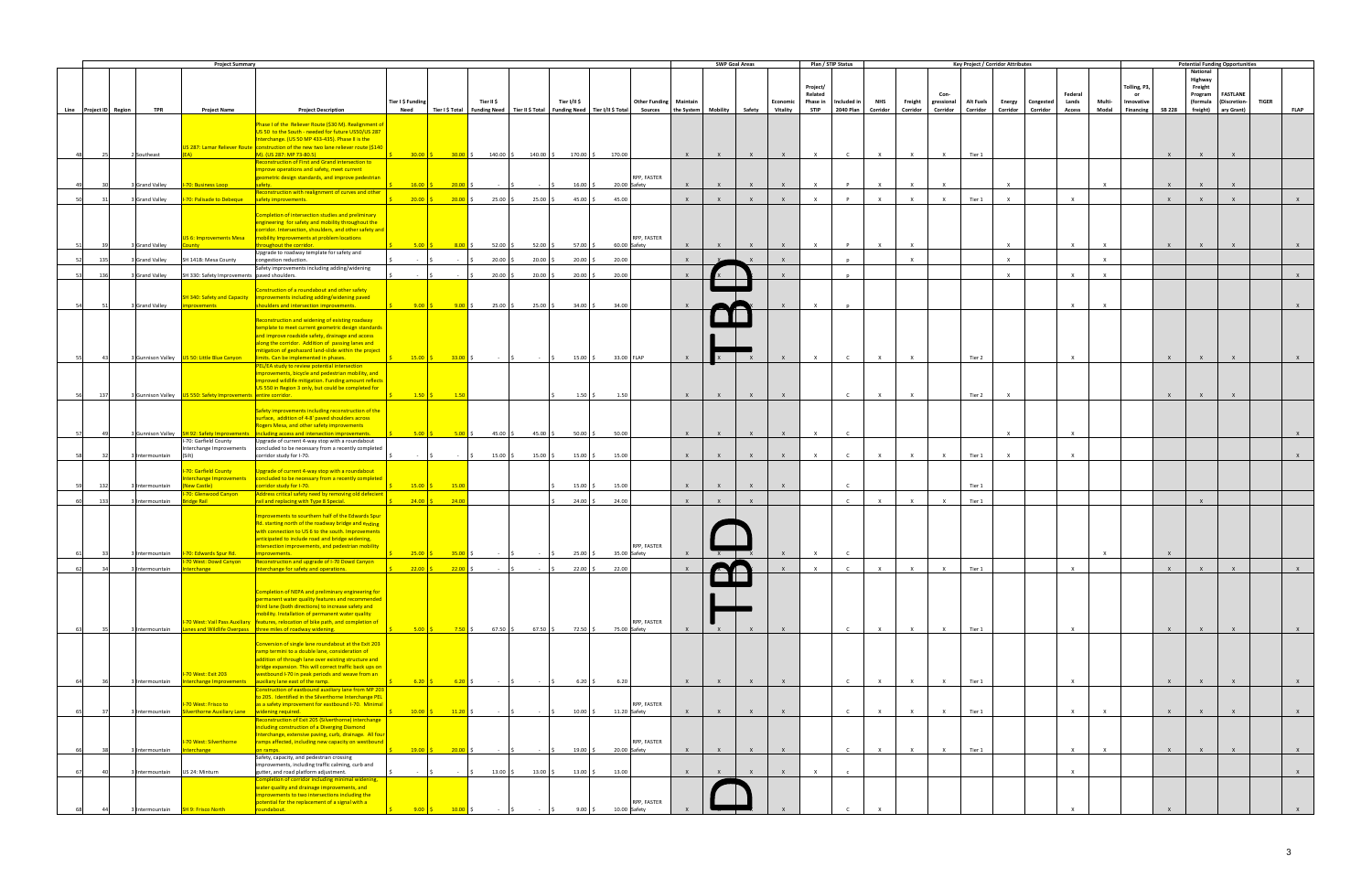|                        |      |                 | <b>Project Summary</b>                                         |                                                                                                                                           |                   |                      |                                                                    |                                                                                                                         |                  |                                                                                                                                           |                               |              |              | <b>SWP Goal Areas</b> |              |                     | Plan / STIP Status |              |              |              | Key Project / Corridor Attributes |              |           |                  |              |                  |               | <b>Potential Funding Opportunities</b> |                                 |              |              |
|------------------------|------|-----------------|----------------------------------------------------------------|-------------------------------------------------------------------------------------------------------------------------------------------|-------------------|----------------------|--------------------------------------------------------------------|-------------------------------------------------------------------------------------------------------------------------|------------------|-------------------------------------------------------------------------------------------------------------------------------------------|-------------------------------|--------------|--------------|-----------------------|--------------|---------------------|--------------------|--------------|--------------|--------------|-----------------------------------|--------------|-----------|------------------|--------------|------------------|---------------|----------------------------------------|---------------------------------|--------------|--------------|
|                        |      |                 |                                                                |                                                                                                                                           |                   |                      |                                                                    |                                                                                                                         |                  |                                                                                                                                           |                               |              |              |                       |              |                     |                    |              |              |              |                                   |              |           |                  |              |                  |               | National<br>Highway                    |                                 |              |              |
|                        |      |                 |                                                                |                                                                                                                                           |                   |                      |                                                                    |                                                                                                                         |                  |                                                                                                                                           |                               |              |              |                       |              | Project/            |                    |              |              |              |                                   |              |           |                  |              | Tolling, P3,     |               | Freight                                |                                 |              |              |
|                        |      |                 |                                                                |                                                                                                                                           | Tier I \$ Funding |                      | Tier II \$                                                         |                                                                                                                         | Tier I/II \$     |                                                                                                                                           | <b>Other Funding Maintain</b> |              |              |                       | Economic     | Related<br>Phase in | Included in        | <b>NHS</b>   | Freight      | gressional   | <b>Alt Fuels</b>                  | Energy       | Congested | Federal<br>Lands | Multi-       | or<br>Innovative |               | Program<br>(formula                    | <b>FASTLANE</b><br>(Discretion- | <b>TIGER</b> |              |
| Line Project ID Region |      | <b>TPR</b>      | <b>Project Name</b>                                            | <b>Project Description</b>                                                                                                                | Need              |                      |                                                                    |                                                                                                                         |                  | Tier I \$ Total   Funding Need   Tier II \$ Total   Funding Need   Tier I/II \$ Total Sources   the System   Mobility   Safety   Vitality |                               |              |              |                       |              | <b>STIP</b>         | 2040 Plan          | Corridor     | Corridor     | Corridor     | Corridor                          | Corridor     | Corridor  | <b>Access</b>    | Modal        | <b>Financing</b> | <b>SB 228</b> |                                        | freight) ary Grant)             |              | <b>FLAP</b>  |
|                        |      |                 |                                                                | Phase I of the Reliever Route (\$30 M). Realignment o                                                                                     |                   |                      |                                                                    |                                                                                                                         |                  |                                                                                                                                           |                               |              |              |                       |              |                     |                    |              |              |              |                                   |              |           |                  |              |                  |               |                                        |                                 |              |              |
|                        |      |                 |                                                                | US 50 to the South - needed for future US50/US 287                                                                                        |                   |                      |                                                                    |                                                                                                                         |                  |                                                                                                                                           |                               |              |              |                       |              |                     |                    |              |              |              |                                   |              |           |                  |              |                  |               |                                        |                                 |              |              |
|                        |      |                 |                                                                | Interchange. (US 50 MP 433-435). Phase II is the<br>US 287: Lamar Reliever Route   construction of the new two lane reliever route (\$140 |                   |                      |                                                                    |                                                                                                                         |                  |                                                                                                                                           |                               |              |              |                       |              |                     |                    |              |              |              |                                   |              |           |                  |              |                  |               |                                        |                                 |              |              |
|                        | - 25 | 2 Southeast     |                                                                | M). (US 287: MP 73-80.5)                                                                                                                  | $30.00$ \$        |                      |                                                                    |                                                                                                                         |                  |                                                                                                                                           |                               | $\mathsf{X}$ | $\mathsf{X}$ | $\mathsf{X}$          | $\mathbf{x}$ | $\mathsf{X}$        | $\mathsf{C}$       | $\mathsf{X}$ | $\mathsf{X}$ | $\mathsf{X}$ | Tier 1                            |              |           |                  |              |                  | $\mathsf{x}$  | $\mathsf{X}$                           |                                 |              |              |
|                        |      |                 |                                                                | Reconstruction of First and Grand intersection to<br>improve operations and safety, meet current                                          |                   |                      |                                                                    |                                                                                                                         |                  |                                                                                                                                           |                               |              |              |                       |              |                     |                    |              |              |              |                                   |              |           |                  |              |                  |               |                                        |                                 |              |              |
|                        |      |                 |                                                                | geometric design standards, and improve pedestrian                                                                                        |                   |                      |                                                                    |                                                                                                                         |                  |                                                                                                                                           | RPP, FASTER                   |              |              |                       |              |                     |                    |              |              |              |                                   |              |           |                  |              |                  |               |                                        |                                 |              |              |
|                        |      | Grand Valley    | <b>I-70: Business Loop</b>                                     | safety.<br>Reconstruction with realignment of curves and other                                                                            | 16.00 S           | $20.00$ \$           |                                                                    |                                                                                                                         | $16.00$ \$       | 20.00 Safety                                                                                                                              |                               | $\mathsf{X}$ | $\mathsf{X}$ | $\mathsf{X}$          | $\mathbf{x}$ | $\mathsf{X}$        | P                  | $\mathsf{X}$ | $\mathsf{X}$ | $\mathsf{x}$ |                                   | $\mathsf{x}$ |           |                  | $\mathsf{X}$ |                  | $\mathsf{X}$  | $\mathsf{X}$                           | $\mathsf{X}$                    |              |              |
|                        |      | Grand Valley    | <b>I-70: Palisade to Debeque</b>                               | safety improvements.                                                                                                                      | $20.00$ \$        |                      | $20.00 \div 25.00 \div$                                            | $25.00$ \$                                                                                                              | 45.00 \$         | 45.00                                                                                                                                     |                               | $\mathsf{X}$ | $\mathsf{X}$ | $\mathsf{X}$          | $\mathsf{X}$ | $\mathbf{x}$        | $\mathbf{D}$       | $\mathbf{x}$ | $\mathsf{x}$ | $\mathsf{X}$ | Tier 1                            | $\mathsf{x}$ |           | $\mathsf{X}$     |              |                  | $\mathsf{X}$  | $\mathsf{X}$                           | $\mathbf{x}$                    |              |              |
|                        |      |                 |                                                                | Completion of intersection studies and preliminary                                                                                        |                   |                      |                                                                    |                                                                                                                         |                  |                                                                                                                                           |                               |              |              |                       |              |                     |                    |              |              |              |                                   |              |           |                  |              |                  |               |                                        |                                 |              |              |
|                        |      |                 |                                                                | engineering for safety and mobility throughout the                                                                                        |                   |                      |                                                                    |                                                                                                                         |                  |                                                                                                                                           |                               |              |              |                       |              |                     |                    |              |              |              |                                   |              |           |                  |              |                  |               |                                        |                                 |              |              |
|                        |      |                 | <b>IS 6: Improvements Mesa</b>                                 | corridor. Intersection, shoulders, and other safety and<br>mobility Improvements at problem locations                                     |                   |                      |                                                                    |                                                                                                                         |                  |                                                                                                                                           | RPP, FASTER                   |              |              |                       |              |                     |                    |              |              |              |                                   |              |           |                  |              |                  |               |                                        |                                 |              |              |
|                        |      | Grand Valley    |                                                                | hroughout the corridor.                                                                                                                   | 5.00              | $8.00$ \$            | $52.00$ \$                                                         | 52.00                                                                                                                   | 57.00 \$         | 60.00 Safety                                                                                                                              |                               | $\mathbf{x}$ | $\mathsf{x}$ | $\mathsf{X}$          | $\mathbf{x}$ | $\mathsf{X}$        | $\mathsf{P}$       | $\mathsf{X}$ | $\mathsf{x}$ |              |                                   | $\mathbf{x}$ |           | $\mathsf{X}$     | $\mathsf{x}$ |                  | $\mathsf{X}$  | $\mathbf{x}$                           | $\mathbf{x}$                    |              |              |
| 52                     | 135  | 3 Grand Valley  | SH 141B: Mesa County                                           | Upgrade to roadway template for safety and<br>congestion reduction.                                                                       |                   |                      | $20.00$ \$                                                         | 20.00                                                                                                                   | $20.00$ \$       | 20.00                                                                                                                                     |                               | $\mathsf{X}$ |              |                       | $\mathsf{x}$ |                     |                    |              | $\mathsf{X}$ |              |                                   | $\mathsf{X}$ |           |                  | $\mathsf{X}$ |                  |               |                                        |                                 |              |              |
| -53                    | 136  |                 |                                                                | Safety improvements including adding/widening                                                                                             | $\sim 10^{-1}$    |                      |                                                                    |                                                                                                                         |                  |                                                                                                                                           |                               | $\mathbf{x}$ |              |                       |              |                     |                    |              |              |              |                                   | $\mathbf{x}$ |           | $\times$         | $\mathsf{X}$ |                  |               |                                        |                                 |              | $\mathsf{X}$ |
|                        |      | Grand Valley    | SH 330: Safety Improvements paved shoulders.                   |                                                                                                                                           |                   |                      | 20.00                                                              | 20.00                                                                                                                   | $20.00$ \$       | 20.00                                                                                                                                     |                               |              |              |                       |              |                     |                    |              |              |              |                                   |              |           |                  |              |                  |               |                                        |                                 |              |              |
|                        |      |                 |                                                                | Construction of a roundabout and other safety                                                                                             |                   |                      |                                                                    |                                                                                                                         |                  |                                                                                                                                           |                               |              |              |                       |              |                     |                    |              |              |              |                                   |              |           |                  |              |                  |               |                                        |                                 |              |              |
|                        |      | 3 Grand Valley  | nprovements                                                    | SH 340: Safety and Capacity   improvements including adding/widening paved<br>shoulders and intersection improvements.                    | $9.00$ \$         | $9.00$ \$            | $25.00$ \$                                                         | 25.00                                                                                                                   | $34.00$ \$       | 34.00                                                                                                                                     |                               |              |              |                       |              |                     |                    |              |              |              |                                   |              |           | $\times$         | $\mathbf{x}$ |                  |               |                                        |                                 |              |              |
|                        |      |                 |                                                                | Reconstruction and widening of existing roadway                                                                                           |                   |                      |                                                                    |                                                                                                                         |                  |                                                                                                                                           |                               |              |              |                       |              |                     |                    |              |              |              |                                   |              |           |                  |              |                  |               |                                        |                                 |              |              |
|                        |      |                 |                                                                | emplate to meet current geometric design standards                                                                                        |                   |                      |                                                                    |                                                                                                                         |                  |                                                                                                                                           |                               |              |              |                       |              |                     |                    |              |              |              |                                   |              |           |                  |              |                  |               |                                        |                                 |              |              |
|                        |      |                 |                                                                | and improve roadside safety, drainage and access                                                                                          |                   |                      |                                                                    |                                                                                                                         |                  |                                                                                                                                           |                               |              |              |                       |              |                     |                    |              |              |              |                                   |              |           |                  |              |                  |               |                                        |                                 |              |              |
|                        |      |                 |                                                                | along the corridor. Addition of passing lanes and<br>mitigation of geohazard land-slide within the project                                |                   |                      |                                                                    |                                                                                                                         |                  |                                                                                                                                           |                               |              |              |                       |              |                     |                    |              |              |              |                                   |              |           |                  |              |                  |               |                                        |                                 |              |              |
| 551                    | 43   |                 | 3 Gunnison Valley   US 50: Little Blue Canyon                  | limits. Can be implemented in phases.                                                                                                     | $15.00$ $\mid$ \$ |                      |                                                                    | $\begin{array}{ccc} \textbf{33.00} \text{ } \textbf{S} & \textbf{.} & \textbf{.} & \textbf{.} & \textbf{.} \end{array}$ |                  | 33.00 FLAP<br>$15.00\degree$ \$                                                                                                           |                               | $\mathsf{X}$ |              | $\mathbf{x}$          | $\mathsf{X}$ | $\mathsf{X}$        | $\mathsf{C}$       | $\mathsf{X}$ | $\mathsf{X}$ |              | Tier 2                            |              |           | $\mathsf{X}$     |              |                  | $\mathsf{X}$  | $\mathsf{X}$                           | $\mathsf{X}$                    |              | X            |
|                        |      |                 |                                                                | PEL/EA study to review potential intersection<br>mprovements, bicycle and pedestrian mobility, and                                        |                   |                      |                                                                    |                                                                                                                         |                  |                                                                                                                                           |                               |              |              |                       |              |                     |                    |              |              |              |                                   |              |           |                  |              |                  |               |                                        |                                 |              |              |
|                        |      |                 |                                                                | mproved wildlife mitigation. Funding amount reflects                                                                                      |                   |                      |                                                                    |                                                                                                                         |                  |                                                                                                                                           |                               |              |              |                       |              |                     |                    |              |              |              |                                   |              |           |                  |              |                  |               |                                        |                                 |              |              |
| 56                     | 137  |                 | 3 Gunnison Valley US 550: Safety Improvements entire corridor. | US 550 in Region 3 only, but could be completed for                                                                                       | $1.50$ $\vert$ \$ | $\overline{1.50}$    |                                                                    |                                                                                                                         | $1.50$ \$        | 1.50                                                                                                                                      |                               | $\mathsf{x}$ |              |                       |              |                     |                    |              | $\mathbf{x}$ |              | Tier 2                            | $\mathsf{x}$ |           |                  |              |                  |               |                                        |                                 |              |              |
|                        |      |                 |                                                                | Safety improvements including reconstruction of the                                                                                       |                   |                      |                                                                    |                                                                                                                         |                  |                                                                                                                                           |                               |              |              |                       |              |                     |                    |              |              |              |                                   |              |           |                  |              |                  |               |                                        |                                 |              |              |
|                        |      |                 |                                                                | surface, addition of 4-8' paved shoulders across                                                                                          |                   |                      |                                                                    |                                                                                                                         |                  |                                                                                                                                           |                               |              |              |                       |              |                     |                    |              |              |              |                                   |              |           |                  |              |                  |               |                                        |                                 |              |              |
| 57                     | 49   |                 |                                                                | Rogers Mesa, and other safety improvements<br>including access and intersection improvements.                                             |                   |                      | $5.00 \t\t\begin{bmatrix} 5 \\ 5.00 \t\t\end{bmatrix}$ \$ 45.00 \$ | 45.00 \$                                                                                                                | $50.00$ \$       | 50.00                                                                                                                                     |                               | $\mathsf{X}$ | $\mathsf{X}$ | $\mathsf{X}$          | $\mathsf{X}$ | $\mathsf{X}$        | $\mathsf{C}$       |              |              |              |                                   | $\mathbf{x}$ |           | $\mathsf{X}$     |              |                  |               |                                        |                                 |              |              |
|                        |      |                 | -70: Garfield County                                           | Upgrade of current 4-way stop with a roundabout                                                                                           |                   |                      |                                                                    |                                                                                                                         |                  |                                                                                                                                           |                               |              |              |                       |              |                     |                    |              |              |              |                                   |              |           |                  |              |                  |               |                                        |                                 |              |              |
|                        |      | 3 Intermountain | nterchange Improvements<br>(Silt)                              | concluded to be necessary from a recently completed<br>corridor study for I-70.                                                           |                   |                      | $15.00$ \$<br>$\sim$ $\sim$ $\sim$                                 | $15.00\%$                                                                                                               | $15.00$ \$       | 15.00                                                                                                                                     |                               | $\mathsf{X}$ | $\mathsf{x}$ | $\mathsf{X}$          | $\mathbf{x}$ | $\times$            | $\mathsf{C}$       | $\mathsf{x}$ | $\times$     | $\mathsf{x}$ | Tier 1                            | $\times$     |           | $\times$         |              |                  |               |                                        |                                 |              |              |
|                        |      |                 |                                                                |                                                                                                                                           |                   |                      |                                                                    |                                                                                                                         |                  |                                                                                                                                           |                               |              |              |                       |              |                     |                    |              |              |              |                                   |              |           |                  |              |                  |               |                                        |                                 |              |              |
|                        |      |                 | 70: Garfield County<br><b>Iterchange Improvements</b>          | Upgrade of current 4-way stop with a roundabout<br>concluded to be necessary from a recently completed                                    |                   |                      |                                                                    |                                                                                                                         |                  |                                                                                                                                           |                               |              |              |                       |              |                     |                    |              |              |              |                                   |              |           |                  |              |                  |               |                                        |                                 |              |              |
|                        | 132  | Intermountain   | New Castle)                                                    | corridor study for I-70.                                                                                                                  | $15.00$ \$        | $\frac{15.00}{5}$    |                                                                    |                                                                                                                         | $15.00$ \$       | 15.00                                                                                                                                     |                               | $\mathsf{X}$ | $\mathsf{X}$ | $\mathsf{X}$          | $\mathbf{x}$ |                     | $\mathsf{C}$       |              |              |              | Tier 1                            |              |           |                  |              |                  |               |                                        |                                 |              |              |
| -60 l                  | 133  | Intermountain   | 70: Glenwood Canyon<br>ridge Rail                              | Address critical safety need by removing old defecient<br>rail and replacing with Type 8 Special.                                         | $24.00$ \$        | 24.00                |                                                                    |                                                                                                                         | $24.00$ \$       | 24.00                                                                                                                                     |                               | $\mathsf{X}$ | $\mathbf{x}$ | $\mathsf{X}$          |              |                     | $\mathsf{C}$       | $\mathsf{x}$ | $\mathsf{X}$ | $\mathsf{x}$ | Tier 1                            |              |           |                  |              |                  |               | $\mathsf{X}$                           |                                 |              |              |
|                        |      |                 |                                                                |                                                                                                                                           |                   |                      |                                                                    |                                                                                                                         |                  |                                                                                                                                           |                               |              |              |                       |              |                     |                    |              |              |              |                                   |              |           |                  |              |                  |               |                                        |                                 |              |              |
|                        |      |                 |                                                                | mprovements to sourthern half of the Edwards Spur<br>Rd. starting north of the roadway bridge and ending                                  |                   |                      |                                                                    |                                                                                                                         |                  |                                                                                                                                           |                               |              |              |                       |              |                     |                    |              |              |              |                                   |              |           |                  |              |                  |               |                                        |                                 |              |              |
|                        |      |                 |                                                                | with connection to US 6 to the south. Improvements                                                                                        |                   |                      |                                                                    |                                                                                                                         |                  |                                                                                                                                           |                               |              |              |                       |              |                     |                    |              |              |              |                                   |              |           |                  |              |                  |               |                                        |                                 |              |              |
|                        |      |                 |                                                                | anticipated to include road and bridge widening,<br>intersection improvements, and pedestrian mobility                                    |                   |                      |                                                                    |                                                                                                                         |                  |                                                                                                                                           | RPP, FASTER                   |              |              |                       |              |                     |                    |              |              |              |                                   |              |           |                  |              |                  |               |                                        |                                 |              |              |
| 61                     | 33   |                 | 3 Intermountain   1-70: Edwards Spur Rd.                       | improvements.                                                                                                                             |                   |                      |                                                                    |                                                                                                                         |                  | 35.00 Safety                                                                                                                              |                               |              | X            |                       |              | $\mathbf{x}$        |                    |              |              |              |                                   |              |           |                  | $\mathsf{X}$ |                  | $\mathsf{x}$  |                                        |                                 |              |              |
|                        |      | 3 Intermountain | <b>Iterchange</b>                                              | ado of L70 Dowd Can<br>Interchange for safety and operations.                                                                             | $22.00$ \$        | $22.00$ \$           |                                                                    |                                                                                                                         | $22.00$ \$       | 22.00                                                                                                                                     |                               |              |              |                       |              |                     |                    |              | $\mathsf{x}$ | $\mathsf{x}$ | Tier 1                            |              |           | $\times$         |              |                  | $\mathsf{x}$  | $\mathsf{x}$                           |                                 |              | $\mathsf{X}$ |
|                        |      |                 |                                                                |                                                                                                                                           |                   |                      |                                                                    |                                                                                                                         |                  |                                                                                                                                           |                               |              |              |                       |              |                     |                    |              |              |              |                                   |              |           |                  |              |                  |               |                                        |                                 |              |              |
|                        |      |                 |                                                                | Completion of NEPA and preliminary engineering for                                                                                        |                   |                      |                                                                    |                                                                                                                         |                  |                                                                                                                                           |                               |              |              |                       |              |                     |                    |              |              |              |                                   |              |           |                  |              |                  |               |                                        |                                 |              |              |
|                        |      |                 |                                                                | permanent water quality features and recommended                                                                                          |                   |                      |                                                                    |                                                                                                                         |                  |                                                                                                                                           |                               |              |              |                       |              |                     |                    |              |              |              |                                   |              |           |                  |              |                  |               |                                        |                                 |              |              |
|                        |      |                 |                                                                | third lane (both directions) to increase safety and<br>mobility. Installation of permanent water quality                                  |                   |                      |                                                                    |                                                                                                                         |                  |                                                                                                                                           |                               |              |              |                       |              |                     |                    |              |              |              |                                   |              |           |                  |              |                  |               |                                        |                                 |              |              |
|                        |      |                 |                                                                | -70 West: Vail Pass Auxiliary   features, relocation of bike path, and completion of                                                      |                   |                      |                                                                    |                                                                                                                         |                  |                                                                                                                                           | RPP, FASTER                   |              |              |                       |              |                     |                    |              |              |              |                                   |              |           |                  |              |                  |               |                                        |                                 |              |              |
|                        |      |                 |                                                                | 3 Intermountain Lanes and Wildlife Overpass three miles of roadway widening.                                                              | $5.00$ \$         |                      | <b>7.50</b> \$67.50 \$                                             | $67.50$ \$                                                                                                              | 72.50 \$         | 75.00 Safety                                                                                                                              |                               | $\mathbf{x}$ | $\mathsf{x}$ | $\mathsf{X}$          | $\mathbf{x}$ |                     | $\mathsf{C}$       | $\times$     | $\mathsf{X}$ | $\mathsf{X}$ | Tier 1                            |              |           | $\mathsf{X}$     |              |                  | $\mathsf{X}$  | $\mathsf{X}$                           | $\mathsf{x}$                    |              | $\mathsf{X}$ |
|                        |      |                 |                                                                | Conversion of single lane roundabout at the Exit 203                                                                                      |                   |                      |                                                                    |                                                                                                                         |                  |                                                                                                                                           |                               |              |              |                       |              |                     |                    |              |              |              |                                   |              |           |                  |              |                  |               |                                        |                                 |              |              |
|                        |      |                 |                                                                | ramp termini to a double lane, consideration of<br>addition of through lane over existing structure and                                   |                   |                      |                                                                    |                                                                                                                         |                  |                                                                                                                                           |                               |              |              |                       |              |                     |                    |              |              |              |                                   |              |           |                  |              |                  |               |                                        |                                 |              |              |
|                        |      |                 |                                                                | bridge expansion. This will correct traffic back ups on                                                                                   |                   |                      |                                                                    |                                                                                                                         |                  |                                                                                                                                           |                               |              |              |                       |              |                     |                    |              |              |              |                                   |              |           |                  |              |                  |               |                                        |                                 |              |              |
|                        |      | Intermountain   | 70 West: Exit 203<br>terchange Improvements                    | westbound I-70 in peak periods and weave from an<br>auxiliary lane east of the ramp.                                                      | 6.20              | $6.20$ \$            |                                                                    |                                                                                                                         | $6.20\degree$ \$ | 6.20                                                                                                                                      |                               | $\mathbf{x}$ | $\mathsf{X}$ | $\mathsf{X}$          | $\mathbf{x}$ |                     | $\mathsf{C}$       | $\mathsf{X}$ | $\mathsf{x}$ | $\times$     | Tier 1                            |              |           | $\mathsf{X}$     |              |                  | $\mathsf{x}$  | $\mathbf{x}$                           | $\mathbf{x}$                    |              | $\mathsf{X}$ |
|                        |      |                 |                                                                | Construction of eastbound auxiliary lane from MP 203                                                                                      |                   |                      |                                                                    |                                                                                                                         |                  |                                                                                                                                           |                               |              |              |                       |              |                     |                    |              |              |              |                                   |              |           |                  |              |                  |               |                                        |                                 |              |              |
|                        |      |                 | 70 West: Frisco to                                             | to 205. Identified in the Silverthorne Interchange PEL<br>as a safety improvement for eastbound I-70. Minimal                             |                   |                      |                                                                    |                                                                                                                         |                  |                                                                                                                                           | RPP, FASTER                   |              |              |                       |              |                     |                    |              |              |              |                                   |              |           |                  |              |                  |               |                                        |                                 |              |              |
| 651                    |      | 3 Intermountain | Silverthorne Auxiliary Lane   widening required.               |                                                                                                                                           | $10.00$ \$        | $\frac{11.20}{ }$ \$ |                                                                    | $-15$                                                                                                                   |                  | 10.00 \$ 11.20 Safety                                                                                                                     |                               | $\mathsf{X}$ | $\mathbf{x}$ | $\mathsf{X}$          |              |                     | $\mathsf{C}$       | $\mathsf{x}$ | $\times$     | $\times$     | Tier 1                            |              |           | $\mathsf{X}$     | $\mathsf{X}$ |                  | $\mathsf{X}$  | $\mathsf{X}$                           | $\mathbf{x}$                    |              | $\mathsf{X}$ |
|                        |      |                 |                                                                | Reconstruction of Exit 205 (Silverthorne) interchange<br>including construction of a Diverging Diamond                                    |                   |                      |                                                                    |                                                                                                                         |                  |                                                                                                                                           |                               |              |              |                       |              |                     |                    |              |              |              |                                   |              |           |                  |              |                  |               |                                        |                                 |              |              |
|                        |      |                 |                                                                | Interchange, extensive paving, curb, drainage. All four                                                                                   |                   |                      |                                                                    |                                                                                                                         |                  |                                                                                                                                           |                               |              |              |                       |              |                     |                    |              |              |              |                                   |              |           |                  |              |                  |               |                                        |                                 |              |              |
|                        |      | Intermountain   | 70 West: Silverthorne<br><b>iterchange</b>                     | ramps affected, including new capacity on westbound<br>on ramps.                                                                          | $19.00$ \$        | $20.00$ \$           |                                                                    |                                                                                                                         | $19.00$ \$       | 20.00 Safety                                                                                                                              | RPP, FASTER                   | $\mathsf{X}$ | $\mathsf{X}$ | $\mathsf{X}$          | $\mathbf{x}$ |                     | $\mathsf{C}$       | $\mathsf{X}$ | $\times$     | $\mathsf{X}$ | Tier 1                            |              |           | $\mathsf{X}$     | $\mathsf{X}$ |                  | $\mathsf{X}$  | $\mathsf{X}$                           | $\mathsf{x}$                    |              | $\mathsf{X}$ |
|                        |      |                 |                                                                | Safety, capacity, and pedestrian crossing                                                                                                 |                   |                      |                                                                    |                                                                                                                         |                  |                                                                                                                                           |                               |              |              |                       |              |                     |                    |              |              |              |                                   |              |           |                  |              |                  |               |                                        |                                 |              |              |
|                        |      | Intermountain   | US 24: Minturn                                                 | improvements, including traffic calming, curb and<br>gutter, and road platform adjustment.                                                |                   |                      | $13.00\frac{1}{5}$                                                 | $13.00\%$                                                                                                               |                  | $13.00\frac{1}{2}$<br>13.00                                                                                                               |                               | $\mathsf{X}$ | $\mathbf{x}$ |                       | $\mathbf{x}$ | $\mathsf{X}$        |                    |              |              |              |                                   |              |           | $\mathsf{X}$     |              |                  |               |                                        |                                 |              | $\mathsf{x}$ |
|                        |      |                 |                                                                | Completion of corridor including minimal widening,                                                                                        |                   |                      |                                                                    |                                                                                                                         |                  |                                                                                                                                           |                               |              |              |                       |              |                     |                    |              |              |              |                                   |              |           |                  |              |                  |               |                                        |                                 |              |              |
|                        |      |                 |                                                                | water quality and drainage improvements, and<br>improvements to two intersections including the                                           |                   |                      |                                                                    |                                                                                                                         |                  |                                                                                                                                           |                               |              |              |                       |              |                     |                    |              |              |              |                                   |              |           |                  |              |                  |               |                                        |                                 |              |              |
|                        |      | Intermountain   | SH 9: Frisco North                                             | potential for the replacement of a signal with a<br>roundabout.                                                                           | $9.00$ \$         | $10.00$ \$           |                                                                    |                                                                                                                         | $9.00$ \$        | 10.00 Safety                                                                                                                              | RPP, FASTER                   |              |              |                       |              |                     |                    |              |              |              |                                   |              |           |                  |              |                  |               |                                        |                                 |              |              |
|                        |      |                 |                                                                |                                                                                                                                           |                   |                      |                                                                    |                                                                                                                         |                  |                                                                                                                                           |                               |              |              |                       |              |                     |                    |              |              |              |                                   |              |           |                  |              |                  |               |                                        |                                 |              |              |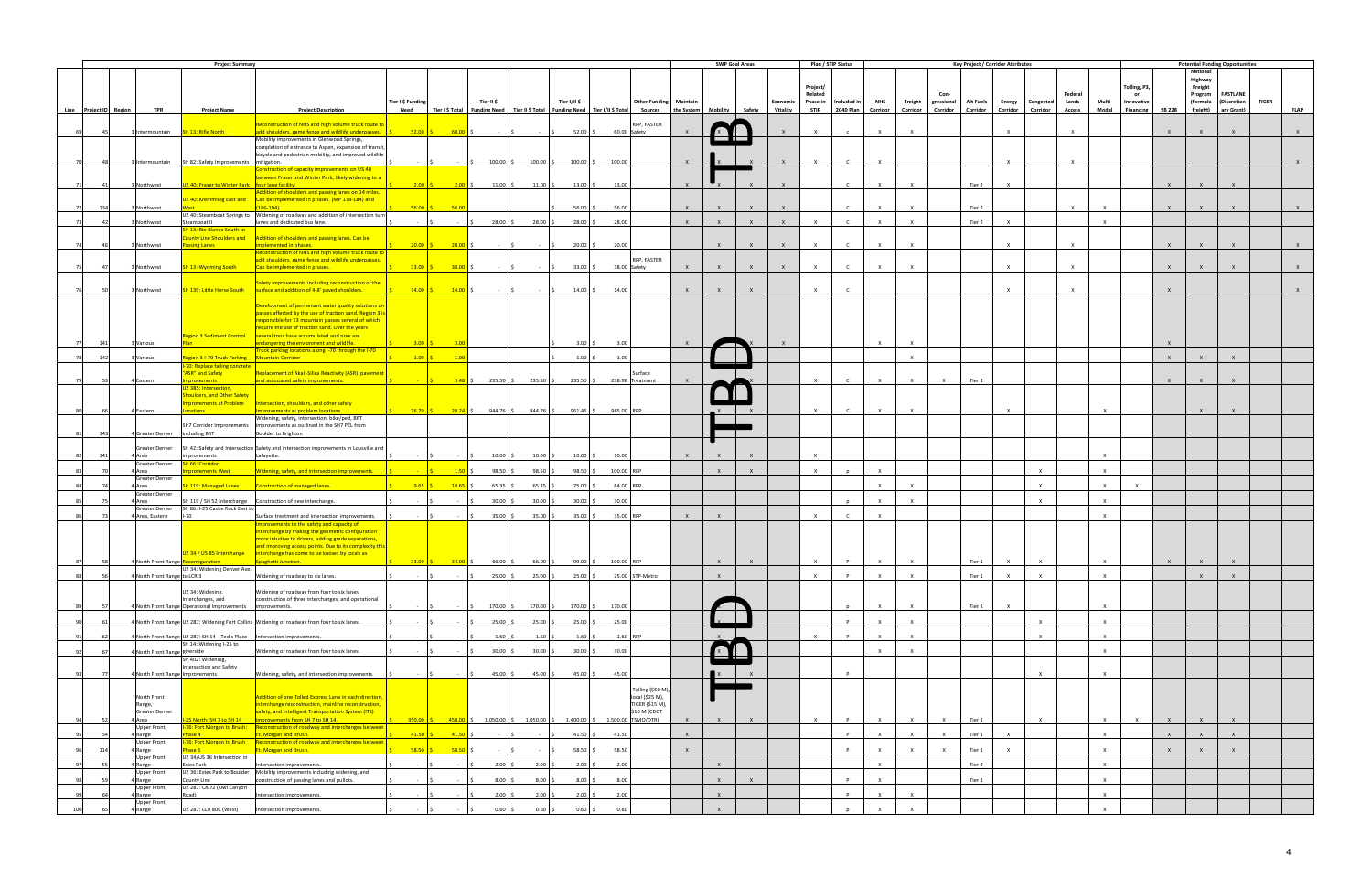|            |                        |                                  | <b>Project Summary</b>                                                     |                                                                                                                                      |                                                          |                             |                                               |                                                                                       |                                                                              |                            | <b>SWP Goal Areas</b> |              |                              | Plan / STIP Status           |                    |                    |                   | <b>Key Project / Corridor Attributes</b> |               |              |               |                          |               | <b>Potential Funding Opportunities</b> |                     |              |              |
|------------|------------------------|----------------------------------|----------------------------------------------------------------------------|--------------------------------------------------------------------------------------------------------------------------------------|----------------------------------------------------------|-----------------------------|-----------------------------------------------|---------------------------------------------------------------------------------------|------------------------------------------------------------------------------|----------------------------|-----------------------|--------------|------------------------------|------------------------------|--------------------|--------------------|-------------------|------------------------------------------|---------------|--------------|---------------|--------------------------|---------------|----------------------------------------|---------------------|--------------|--------------|
|            |                        |                                  |                                                                            |                                                                                                                                      |                                                          |                             |                                               |                                                                                       |                                                                              |                            |                       |              |                              |                              |                    |                    |                   |                                          |               |              |               |                          |               | National                               |                     |              |              |
|            |                        |                                  |                                                                            |                                                                                                                                      |                                                          |                             |                                               |                                                                                       |                                                                              |                            |                       |              |                              | Project/                     |                    |                    |                   |                                          |               |              |               | Tolling, P3,             |               | Highway<br>Freight                     |                     |              |              |
|            |                        |                                  |                                                                            |                                                                                                                                      |                                                          |                             |                                               |                                                                                       |                                                                              |                            |                       |              |                              | Related                      |                    |                    | Con-              |                                          |               |              | Federal       | or                       |               | Program                                | <b>FASTLANE</b>     |              |              |
|            |                        |                                  |                                                                            |                                                                                                                                      | Tier I \$ Funding                                        | Tier II \$                  |                                               | Tier I/II \$                                                                          | <b>Other Funding Maintain</b>                                                |                            |                       |              | Economic                     | Phase in<br>Included in      | <b>NHS</b>         | Freight gressional |                   | <b>Alt Fuels</b>                         | <b>Energy</b> | Congested    | Lands         | Multi-<br>Innovative     |               | (formula                               | (Discretion-        | <b>TIGER</b> |              |
|            | Line Project ID Region | <b>TPR</b>                       | <b>Project Name</b>                                                        | <b>Project Description</b>                                                                                                           | Need                                                     |                             |                                               | Tier I \$ Total   Funding Need   Tier II \$ Total   Funding Need   Tier I/II \$ Total | <b>Sources</b>                                                               | the System Mobility Safety |                       |              | <b>Vitality</b>              | <b>STIP</b>                  | 2040 Plan Corridor | Corridor           | Corridor Corridor |                                          | Corridor      | Corridor     | <b>Access</b> | Modal<br>Financing       | <b>SB 228</b> |                                        | freight) ary Grant) |              | <b>FLAP</b>  |
|            |                        |                                  |                                                                            | Reconstruction of NHS and high volume truck route to                                                                                 |                                                          |                             |                                               |                                                                                       | RPP, FASTER                                                                  |                            |                       |              |                              |                              |                    |                    |                   |                                          |               |              |               |                          |               |                                        |                     |              |              |
|            |                        | Intermountain                    | SH 13: Rifle North                                                         | add shoulders, game fence and wildlife underpasses.                                                                                  | $52.00$ \$<br>$60.00$ \$                                 |                             |                                               | $52.00$ \$                                                                            | 60.00 Safety                                                                 |                            |                       |              |                              | $\mathsf{x}$                 | $\times$           | $\mathbf{x}$       |                   |                                          | $\mathbf{x}$  |              | $\mathsf{X}$  |                          | $\mathsf{X}$  | $\mathsf{X}$                           | $\mathbf{x}$        |              | $\mathsf{X}$ |
|            |                        |                                  |                                                                            | Mobility improvements in Glenwood Springs,<br>completion of entrance to Aspen, expansion of transit,                                 |                                                          |                             |                                               |                                                                                       |                                                                              |                            |                       |              |                              |                              |                    |                    |                   |                                          |               |              |               |                          |               |                                        |                     |              |              |
|            |                        |                                  |                                                                            | bicycle and pedestrian mobility, and improved wildlife                                                                               |                                                          |                             |                                               |                                                                                       |                                                                              |                            |                       |              |                              |                              |                    |                    |                   |                                          |               |              |               |                          |               |                                        |                     |              |              |
| <b>701</b> | 48                     |                                  | 3 Intermountain SH 82: Safety Improvements mitigation.                     |                                                                                                                                      |                                                          |                             |                                               | $\frac{1}{2}$   \$ 100.00   \$ 100.00   \$ 100.00   \$ 100.00                         |                                                                              | $\mathsf{X}$               |                       |              | $\mathsf{x}$                 | $\mathsf{X}$<br>$\mathsf{C}$ | $\mathsf{x}$       |                    |                   |                                          | $\times$      |              | $\mathsf{X}$  |                          |               |                                        |                     |              |              |
|            |                        |                                  |                                                                            | Construction of capacity improvements on US 40                                                                                       |                                                          |                             |                                               |                                                                                       |                                                                              |                            |                       |              |                              |                              |                    |                    |                   |                                          |               |              |               |                          |               |                                        |                     |              |              |
| 71         |                        | 3 Northwest                      | US 40: Fraser to Winter Park   four lane facility.                         | between Fraser and Winter Park, likely widening to a                                                                                 | $2.00$ \$<br>$2.00$ \$                                   | $11.00$ \$                  | $11.00$ \$                                    | $13.00$ \$                                                                            | 13.00                                                                        | $\mathsf{x}$               |                       |              |                              | $\mathsf{C}$                 | $\mathsf{X}$       | $\mathsf{x}$       |                   | Tier 2                                   | $\mathsf{x}$  |              |               |                          | $\mathsf{x}$  |                                        |                     |              |              |
|            |                        |                                  |                                                                            | Addition of shoulders and passing lanes on 14 miles.                                                                                 |                                                          |                             |                                               |                                                                                       |                                                                              |                            |                       |              |                              |                              |                    |                    |                   |                                          |               |              |               |                          |               |                                        |                     |              |              |
|            |                        |                                  |                                                                            | US 40: Kremmling East and   Can be implemented in phases. (MP 178-184) and                                                           |                                                          |                             |                                               |                                                                                       |                                                                              |                            |                       |              |                              |                              |                    |                    |                   |                                          |               |              |               |                          |               |                                        |                     |              |              |
| 134<br>72  |                        | Northwest                        |                                                                            | $(186-194)$ .<br>US 40: Steamboat Springs to   Widening of roadway and addition of intersection turn                                 | $56.00$ $\frac{5}{5}$<br>56.00                           |                             |                                               | $56.00$ \$                                                                            | 56.00                                                                        | $\mathbf{x}$               |                       |              | $\mathbf{x}$                 |                              | $\mathbf{x}$       | $\mathbf{x}$       |                   | Tier 2                                   |               |              | $\mathsf{x}$  | $\mathsf{X}$             | $\mathbf{x}$  |                                        |                     |              |              |
| 73         |                        | 3 Northwest                      | Steamboat II                                                               | lanes and dedicated bus lane.                                                                                                        |                                                          | $28.00$ \$                  | $28.00$ \$                                    | 28.00 \$                                                                              | 28.00                                                                        | $\mathsf{X}$               | $\mathsf{x}$          | $\mathsf{X}$ | $\mathsf{x}$                 | $\times$<br>$\mathsf{C}$     | $\mathsf{X}$       | $\mathbf{x}$       |                   | Tier 2                                   | $\times$      |              |               | $\mathsf{x}$             |               |                                        |                     |              |              |
|            |                        |                                  | SH 13: Rio Blanco South to                                                 |                                                                                                                                      |                                                          |                             |                                               |                                                                                       |                                                                              |                            |                       |              |                              |                              |                    |                    |                   |                                          |               |              |               |                          |               |                                        |                     |              |              |
| 74         |                        | <b>Northwest</b>                 | assing Lanes                                                               | ounty Line Shoulders and   Addition of shoulders and passing lanes. Can be<br>mplemented in phases.                                  | $20.00$ \$<br>$20.00$ \$                                 |                             |                                               | $20.00$ \$                                                                            | 20.00                                                                        |                            | $\mathsf{X}$          | $\mathsf{X}$ | $\mathsf{x}$<br>$\mathbf{x}$ | $\mathsf{C}$                 | $\mathsf{X}$       | $\mathsf{x}$       |                   |                                          | $\mathsf{x}$  |              | $\mathsf{X}$  |                          | $\mathsf{x}$  |                                        |                     |              |              |
|            |                        |                                  |                                                                            | Reconstruction of NHS and high volume truck route to                                                                                 |                                                          |                             |                                               |                                                                                       |                                                                              |                            |                       |              |                              |                              |                    |                    |                   |                                          |               |              |               |                          |               |                                        |                     |              |              |
|            |                        |                                  |                                                                            | add shoulders, game fence and wildlife underpasses.                                                                                  |                                                          |                             |                                               |                                                                                       | RPP, FASTER                                                                  |                            |                       |              |                              |                              |                    |                    |                   |                                          |               |              |               |                          |               |                                        |                     |              |              |
| 75         | $\Delta$ 7             | 3 Northwest                      | <b>SH 13: Wyoming South</b>                                                | Can be implemented in phases.                                                                                                        | $33.00$ \$<br>$38.00$ \$                                 |                             | $\sim$ $\sim$ $\sim$                          | $33.00$ \$                                                                            | 38.00 Safety                                                                 | $\mathsf{x}$               | $\mathbf{x}$          | $\mathsf{X}$ | $\mathbf{x}$                 | $\mathsf{X}$<br>$\epsilon$   | $\times$           | $\mathbf{x}$       |                   |                                          | $\mathbf{x}$  |              | $\times$      |                          | $\mathsf{x}$  |                                        |                     |              |              |
|            |                        |                                  |                                                                            | Safety improvements including reconstruction of the                                                                                  |                                                          |                             |                                               |                                                                                       |                                                                              |                            |                       |              |                              |                              |                    |                    |                   |                                          |               |              |               |                          |               |                                        |                     |              |              |
|            | 50                     | 3 Northwest                      |                                                                            | SH 139: Little Horse South surface and addition of 4-8' paved shoulders.                                                             | $14.00$ \$<br>$14.00$ \$                                 |                             | $\sim$ $\vert s \vert$ $\sim$ $\vert s \vert$ | $14.00$ \$                                                                            | 14.00                                                                        | $\mathsf{x}$               | $\times$              | $\mathsf{X}$ |                              | $\times$<br>$\epsilon$       |                    |                    |                   |                                          | $\mathbf{x}$  |              | $\times$      |                          | $\mathsf{X}$  |                                        |                     |              |              |
|            |                        |                                  |                                                                            | Development of permenant water quality solutions or                                                                                  |                                                          |                             |                                               |                                                                                       |                                                                              |                            |                       |              |                              |                              |                    |                    |                   |                                          |               |              |               |                          |               |                                        |                     |              |              |
|            |                        |                                  |                                                                            | passes affected by the use of traction sand. Region 3 is                                                                             |                                                          |                             |                                               |                                                                                       |                                                                              |                            |                       |              |                              |                              |                    |                    |                   |                                          |               |              |               |                          |               |                                        |                     |              |              |
|            |                        |                                  |                                                                            | responsible for 13 mountain passes several of which                                                                                  |                                                          |                             |                                               |                                                                                       |                                                                              |                            |                       |              |                              |                              |                    |                    |                   |                                          |               |              |               |                          |               |                                        |                     |              |              |
|            |                        |                                  | egion 3 Sediment Control                                                   | require the use of traction sand. Over the years<br>several tons have accumulated and now are                                        |                                                          |                             |                                               |                                                                                       |                                                                              |                            |                       |              |                              |                              |                    |                    |                   |                                          |               |              |               |                          |               |                                        |                     |              |              |
| 77<br>141  |                        | 3 Various                        |                                                                            | endangering the envionment and wildlife.                                                                                             | $3.00$ \$<br>3.00                                        |                             |                                               | $3.00$ \$                                                                             | 3.00                                                                         | $\mathbf{x}$               |                       |              |                              |                              | $\mathsf{x}$       | $\mathsf{x}$       |                   |                                          |               |              |               |                          | $\mathsf{x}$  |                                        |                     |              |              |
|            |                        |                                  |                                                                            | Truck parking locations along I-70 through the I-70                                                                                  |                                                          |                             |                                               |                                                                                       |                                                                              |                            |                       |              |                              |                              |                    |                    |                   |                                          |               |              |               |                          |               |                                        |                     |              |              |
| 142        |                        | Various                          | egion 3 I-70 Truck Parking   Mountain Corridor                             |                                                                                                                                      | $1.00$ \$<br>1.00                                        |                             |                                               | $1.00$ \$                                                                             | 1.00                                                                         |                            |                       |              |                              |                              |                    | $\mathbf{x}$       |                   |                                          |               |              |               |                          | $\mathsf{X}$  | $\mathsf{x}$                           | $\mathsf{x}$        |              |              |
|            |                        |                                  | 70: Replace failing concrete<br>"ASR" and Safety                           | Replacement of Akali-Silica Reactivity (ASR) pavement                                                                                |                                                          |                             |                                               |                                                                                       | Surface                                                                      |                            |                       |              |                              |                              |                    |                    |                   |                                          |               |              |               |                          |               |                                        |                     |              |              |
| -791       | 53                     | 4 Eastern                        | provements                                                                 | and associated safety improvements.                                                                                                  | $  s $                                                   |                             |                                               |                                                                                       | $\frac{3.48}{5}$ \$ 235.50 \$ 235.50 \$ 235.50 \$ 238.98 Treatment           |                            |                       |              |                              | $\mathbf{x}$<br>$\sim$       | $\mathsf{X}$       | $\mathbf{x}$       | $\mathbf{x}$      | Tier 1                                   |               |              |               |                          | $\mathsf{X}$  | $\mathbf{x}$                           |                     |              |              |
|            |                        |                                  | US 385: Intersection,                                                      |                                                                                                                                      |                                                          |                             |                                               |                                                                                       |                                                                              |                            |                       |              |                              |                              |                    |                    |                   |                                          |               |              |               |                          |               |                                        |                     |              |              |
|            |                        |                                  | houlders, and Other Safety<br>mprovements at Problem                       | Intersection, shoulders, and other safety                                                                                            |                                                          |                             |                                               |                                                                                       |                                                                              |                            |                       |              |                              |                              |                    |                    |                   |                                          |               |              |               |                          |               |                                        |                     |              |              |
|            |                        | 4 Eastern                        | Locations                                                                  | Improvements at problem locations.                                                                                                   | <b>16.70 \$20.24 \$944.76 \$944.76 \$961.46 \$961.46</b> |                             |                                               |                                                                                       |                                                                              |                            |                       |              |                              | $\mathsf{C}$<br>$\times$     | $\mathsf{X}$       | $\mathsf{x}$       |                   |                                          | $\mathsf{x}$  |              |               | $\mathsf{x}$             |               | $\mathsf{x}$                           |                     |              |              |
|            |                        |                                  |                                                                            | Widening, safety, intersection, bike/ped, BRT                                                                                        |                                                          |                             |                                               |                                                                                       |                                                                              |                            |                       |              |                              |                              |                    |                    |                   |                                          |               |              |               |                          |               |                                        |                     |              |              |
| 143<br>81  |                        | 4 Greater Denver                 | SH7 Corridor Improvements<br>including BRT                                 | improvements as outlined in the SH7 PEL from<br>Boulder to Brighton                                                                  |                                                          |                             |                                               |                                                                                       |                                                                              |                            |                       |              |                              |                              |                    |                    |                   |                                          |               |              |               |                          |               |                                        |                     |              |              |
|            |                        |                                  |                                                                            |                                                                                                                                      |                                                          |                             |                                               |                                                                                       |                                                                              |                            |                       |              |                              |                              |                    |                    |                   |                                          |               |              |               |                          |               |                                        |                     |              |              |
|            |                        | Greater Denver                   |                                                                            | SH 42: Safety and Intersection Safety and intersection improvements in Lousville and                                                 |                                                          |                             |                                               |                                                                                       |                                                                              | $\mathbf{x}$               |                       | $\mathbf{x}$ | $\mathbf{x}$                 |                              |                    |                    |                   |                                          |               |              |               |                          |               |                                        |                     |              |              |
| 141<br>82  |                        | 4 Area<br><b>Greater Denver</b>  | improvements<br>SH 66: Corridor                                            | Lafayette.                                                                                                                           |                                                          | $10.00$ \$                  | 10.00                                         | $10.00$ \$                                                                            | 10.00                                                                        |                            | $\mathsf{X}$          |              |                              |                              |                    |                    |                   |                                          |               |              |               | $\mathsf{X}$             |               |                                        |                     |              |              |
| 83         | 70                     | 4 Area                           | nprovements West                                                           | Widening, safety, and intersection improvements.                                                                                     | $\sim$ $\sim$ $\sim$ $\sim$<br>$1.50$ \$                 | $98.50$ \$                  | $98.50$ \$                                    | 98.50 \$                                                                              | 100.00 RPP                                                                   |                            | $\mathsf{x}$          | $\mathsf{X}$ |                              | $\mathsf{x}$<br>$\mathbf{D}$ | $\mathsf{X}$       |                    |                   |                                          |               | $\mathsf{X}$ |               | $\mathsf{X}$             |               |                                        |                     |              |              |
|            |                        | Greater Denver                   |                                                                            |                                                                                                                                      |                                                          |                             |                                               |                                                                                       |                                                                              |                            |                       |              |                              |                              |                    |                    |                   |                                          |               | $\mathbf{x}$ |               | $\mathbf{x}$             |               |                                        |                     |              |              |
|            |                        | 4 Area<br>Greater Denver         |                                                                            | SH 119: Managed Lanes   Construction of managed lanes.                                                                               | $9.65$ \$<br>18.65                                       | 65.35                       | 65.35                                         | 75.00                                                                                 | 84.00 RPP                                                                    |                            |                       |              |                              |                              | $\times$           | $\mathbf{x}$       |                   |                                          |               |              |               | $\mathsf{x}$             |               |                                        |                     |              |              |
|            |                        | 4 Area                           |                                                                            | SH 119 / SH 52 Interchange Construction of new interchange.                                                                          |                                                          | 30.00                       | 30.00                                         | 30.00                                                                                 | 30.00                                                                        |                            |                       |              |                              |                              | $\mathsf{X}$       | $\times$           |                   |                                          |               | $\times$     |               | $\mathsf{X}$             |               |                                        |                     |              |              |
|            |                        | Greater Denver                   | SH 86: I-25 Castle Rock East to                                            |                                                                                                                                      |                                                          |                             |                                               |                                                                                       |                                                                              |                            |                       |              | $\mathbf{x}$                 | $\mathsf{C}$                 | $\mathsf{x}$       |                    |                   |                                          |               |              |               |                          |               |                                        |                     |              |              |
|            |                        | 4 Area, Eastern                  | $1 - 70$                                                                   | Surface treatment and intersection improvements.<br>Improvements to the safety and capacity of                                       | $\sim$ $\sim$                                            | $35.00$ \$<br>$\sim$ $\sim$ | $35.00$ \$                                    | $35.00$ \$                                                                            | 35.00 RPP                                                                    | $\mathsf{x}$               | $\mathbf{x}$          |              |                              |                              |                    |                    |                   |                                          |               |              |               | $\mathsf{X}$             |               |                                        |                     |              |              |
|            |                        |                                  |                                                                            | nterchange by making the geometric configuration                                                                                     |                                                          |                             |                                               |                                                                                       |                                                                              |                            |                       |              |                              |                              |                    |                    |                   |                                          |               |              |               |                          |               |                                        |                     |              |              |
|            |                        |                                  |                                                                            | more intuitive to drivers, adding grade separations,                                                                                 |                                                          |                             |                                               |                                                                                       |                                                                              |                            |                       |              |                              |                              |                    |                    |                   |                                          |               |              |               |                          |               |                                        |                     |              |              |
|            |                        |                                  |                                                                            | and improving access points. Due to its complexity this<br>US 34 / US 85 Interchange   interchange has come to be known by locals as |                                                          |                             |                                               |                                                                                       |                                                                              |                            |                       |              |                              |                              |                    |                    |                   |                                          |               |              |               |                          |               |                                        |                     |              |              |
| 8/1        |                        | 4 INOrth Front Rang              |                                                                            |                                                                                                                                      | 33.00<br>$34.00$ S                                       | 66.00 \$                    | 66.00 \$                                      | 99.00 5                                                                               | 100.00 RPP                                                                   |                            | $\mathbf{x}$          | $\mathbf{x}$ |                              |                              |                    | X                  |                   | lier 1                                   |               |              |               | X                        | $\mathbf{x}$  | $\mathbf{x}$                           | $\mathbf{x}$        |              |              |
|            |                        |                                  | US 34: Widening Denver Ave.                                                |                                                                                                                                      |                                                          |                             |                                               |                                                                                       |                                                                              |                            |                       |              |                              |                              |                    |                    |                   |                                          |               |              |               |                          |               |                                        |                     |              |              |
|            |                        | 4 North Front Range to LCR 3     |                                                                            | Widening of roadway to six lanes.                                                                                                    |                                                          | $25.00$ \$                  | $25.00$ \$                                    | $25.00$ \$                                                                            | 25.00 STP-Metro                                                              |                            | $\mathsf{x}$          |              |                              | $\times$<br><b>D</b>         | $\times$           | $\mathbf{x}$       |                   | Tier 1                                   | $\times$      | $\mathsf{x}$ |               | $\mathsf{X}$             |               | $\mathsf{x}$                           |                     |              |              |
|            |                        |                                  | US 34: Widening,                                                           | Widening of roadway from four to six lanes,                                                                                          |                                                          |                             |                                               |                                                                                       |                                                                              |                            |                       |              |                              |                              |                    |                    |                   |                                          |               |              |               |                          |               |                                        |                     |              |              |
|            | 57                     |                                  | nterchanges, and                                                           | construction of three interchanges, and operational                                                                                  |                                                          |                             |                                               |                                                                                       |                                                                              |                            |                       |              |                              |                              |                    |                    |                   | Tier 1                                   |               |              |               | $\mathsf{X}$             |               |                                        |                     |              |              |
| -89        |                        |                                  | 4 North Front Range Operational Improvements improvements.                 |                                                                                                                                      |                                                          | $170.00$ \$<br>IS.          | $170.00$ \$                                   | 170.00 \$                                                                             | 170.00                                                                       |                            |                       |              |                              | $\mathbf{D}$                 | $\mathsf{x}$       | $\mathsf{x}$       |                   |                                          | $\mathsf{X}$  |              |               |                          |               |                                        |                     |              |              |
| 90         |                        |                                  |                                                                            | 4 North Front Range US 287: Widening Fort Collins Widening of roadway from four to six lanes.                                        |                                                          | 25.00                       | 25.00                                         | 25.00                                                                                 | 25.00                                                                        |                            |                       |              |                              | P                            | $\mathsf{X}$       | $\mathsf{X}$       |                   |                                          |               | $\mathsf{X}$ |               | $\mathsf{X}$             |               |                                        |                     |              |              |
| 91         |                        |                                  | 4 North Front Range US 287: SH 14-Ted's Place   Intersection improvements. |                                                                                                                                      |                                                          | 1.60                        | $1.60$ \$                                     | $1.60 \pm 5$                                                                          | 1.60 RPP                                                                     |                            |                       |              |                              | $\mathsf{X}$<br>P            | $\mathsf{x}$       | $\mathsf{x}$       |                   |                                          |               | $\mathsf{X}$ |               | $\mathsf{X}$             |               |                                        |                     |              |              |
|            |                        |                                  | SH 14: Widening I-25 to                                                    |                                                                                                                                      |                                                          |                             |                                               |                                                                                       |                                                                              |                            |                       |              |                              |                              |                    |                    |                   |                                          |               |              |               |                          |               |                                        |                     |              |              |
| 92         |                        | 4 North Front Range Riverside    |                                                                            | Widening of roadway from four to six lanes.                                                                                          |                                                          | 30.00                       | 30.00                                         | $30.00$ \$                                                                            | 30.00                                                                        |                            |                       |              |                              |                              | $\mathsf{X}$       | $\mathsf{x}$       |                   |                                          |               |              |               | $\mathsf{X}$             |               |                                        |                     |              |              |
|            |                        |                                  | SH 402: Widening,                                                          |                                                                                                                                      |                                                          |                             |                                               |                                                                                       |                                                                              |                            |                       |              |                              |                              |                    |                    |                   |                                          |               |              |               |                          |               |                                        |                     |              |              |
| -93        |                        | 4 North Front Range Improvements | Intersection and Safety                                                    | Widening, safety, and intersection improvements.                                                                                     |                                                          | 45.00                       | $45.00$ \$                                    | $45.00$ \$                                                                            | 45.00                                                                        |                            |                       |              |                              | <b>D</b>                     |                    |                    |                   |                                          |               | $\mathbf{x}$ |               | $\mathsf{X}$             |               |                                        |                     |              |              |
|            |                        |                                  |                                                                            |                                                                                                                                      |                                                          |                             |                                               |                                                                                       |                                                                              |                            |                       |              |                              |                              |                    |                    |                   |                                          |               |              |               |                          |               |                                        |                     |              |              |
|            |                        | North Front                      |                                                                            | Addition of one Tolled Express Lane in each direction,                                                                               |                                                          |                             |                                               |                                                                                       | Tolling (\$50 M),<br>local (\$25 M),                                         |                            |                       |              |                              |                              |                    |                    |                   |                                          |               |              |               |                          |               |                                        |                     |              |              |
|            |                        | Range,                           |                                                                            | interchange reconstruction, mainline reconstruction,                                                                                 |                                                          |                             |                                               |                                                                                       | TIGER (\$15 M),                                                              |                            |                       |              |                              |                              |                    |                    |                   |                                          |               |              |               |                          |               |                                        |                     |              |              |
|            |                        | Greater Denver                   |                                                                            | safety, and Intelligent Transportation System (ITS)                                                                                  |                                                          |                             |                                               |                                                                                       | \$10 M (CDOT                                                                 |                            |                       |              |                              |                              |                    |                    |                   |                                          |               |              |               |                          |               |                                        |                     |              |              |
|            |                        | 4 Area                           | 25 North: SH 7 to SH 14                                                    | mprovements from SH 7 to SH 14.<br>-76: Fort Morgan to Brush: Reconstruction of roadway and interchanges between                     | $350.00$ \$                                              |                             |                                               |                                                                                       | $\frac{450.00}{5}$ \$ 1,050.00 \$ 1,050.00 \$ 1,400.00 \$ 1,500.00 TSMO/DTR) |                            | $\times$              | $\mathsf{X}$ |                              | $\mathsf{X}$<br>P            | $\mathsf{x}$       | $\mathsf{X}$       | $\mathsf{X}$      | Tier 1                                   |               | $\mathsf{x}$ |               | $\mathsf{X}$<br>$\times$ | $\mathsf{X}$  | $\mathsf{X}$                           | $\mathsf{x}$        |              |              |
|            |                        | <b>Upper Front</b><br>4 Range    | hase 4                                                                     | Ft. Morgan and Brush.                                                                                                                | 41.50<br>$41.50$ \$                                      |                             |                                               | $41.50$ \$                                                                            | 41.50                                                                        | $\mathsf{X}$               |                       |              |                              | P                            | $\mathsf{x}$       | $\mathsf{X}$       | $\mathsf{x}$      | Tier 1                                   | $\mathsf{X}$  |              |               | $\mathsf{X}$             | $\mathsf{X}$  | $\mathsf{X}$                           | $\mathsf{X}$        |              |              |
|            |                        | <b>Upper Front</b>               | -76: Fort Morgan to Brush                                                  | Reconstruction of roadway and interchanges between                                                                                   |                                                          |                             |                                               |                                                                                       |                                                                              |                            |                       |              |                              |                              |                    |                    |                   |                                          |               |              |               |                          |               |                                        |                     |              |              |
| 114        |                        | 4 Range                          | hase 5<br>US 34/US 36 Intersection in                                      | Ft. Morgan and Brush.                                                                                                                | 58.50<br>58.50                                           |                             |                                               | $58.50$ \$                                                                            | 58.50                                                                        | $\mathsf{X}$               |                       |              |                              | P                            | $\mathsf{x}$       | $\mathsf{X}$       | $\mathsf{X}$      | Tier 1                                   | $\times$      |              |               | $\mathsf{X}$             | $\mathsf{X}$  | $\mathsf{x}$                           | $\mathsf{x}$        |              |              |
|            |                        | <b>Upper Front</b><br>1 Range    | stes Park                                                                  | tersection improvements.                                                                                                             |                                                          | 2.00                        | 2.00                                          | 2.00                                                                                  | 2.00                                                                         |                            | $\mathsf{x}$          |              |                              |                              | $\times$           |                    |                   | Tier 2                                   |               |              |               | $\mathsf{X}$             |               |                                        |                     |              |              |
|            |                        | <b>Upper Front</b>               |                                                                            | US 36: Estes Park to Boulder Mobility improvements including widening, and                                                           |                                                          |                             |                                               |                                                                                       |                                                                              |                            |                       |              |                              |                              |                    |                    |                   |                                          |               |              |               |                          |               |                                        |                     |              |              |
|            |                        | 4 Range<br><b>Upper Front</b>    | County Line<br>US 287: CR 72 (Owl Canyon                                   | construction of passing lanes and pullots.                                                                                           |                                                          | 8.00                        | 8.00                                          | 8.00%                                                                                 | 8.00                                                                         |                            | $\mathsf{x}$          | $\mathsf{x}$ |                              | P                            | $\mathsf{X}$       |                    |                   | Tier 1                                   |               |              |               | $\mathsf{X}$             |               |                                        |                     |              |              |
|            |                        | 4 Range                          | Road)                                                                      | Intersection improvements.                                                                                                           |                                                          | $2.00$ :                    | $2.00$ \$                                     | $2.00\frac{1}{5}$                                                                     | 2.00                                                                         |                            | $\mathsf{X}$          |              |                              | P                            | X                  | $\mathsf{x}$       |                   |                                          |               |              |               | $\mathsf{X}$             |               |                                        |                     |              |              |
|            |                        | <b>Upper Front</b>               |                                                                            |                                                                                                                                      |                                                          |                             |                                               |                                                                                       |                                                                              |                            |                       |              |                              |                              |                    |                    |                   |                                          |               |              |               |                          |               |                                        |                     |              |              |
|            |                        | 4 Range                          | US 287: LCR 80C (West)                                                     | Intersection improvements.                                                                                                           |                                                          | $0.60$ :                    | $0.60$ :                                      | $0.60$ \$                                                                             | 0.60                                                                         |                            | $\mathsf{x}$          |              |                              |                              | $\times$           | $\mathsf{x}$       |                   |                                          |               |              |               | $\mathsf{X}$             |               |                                        |                     |              |              |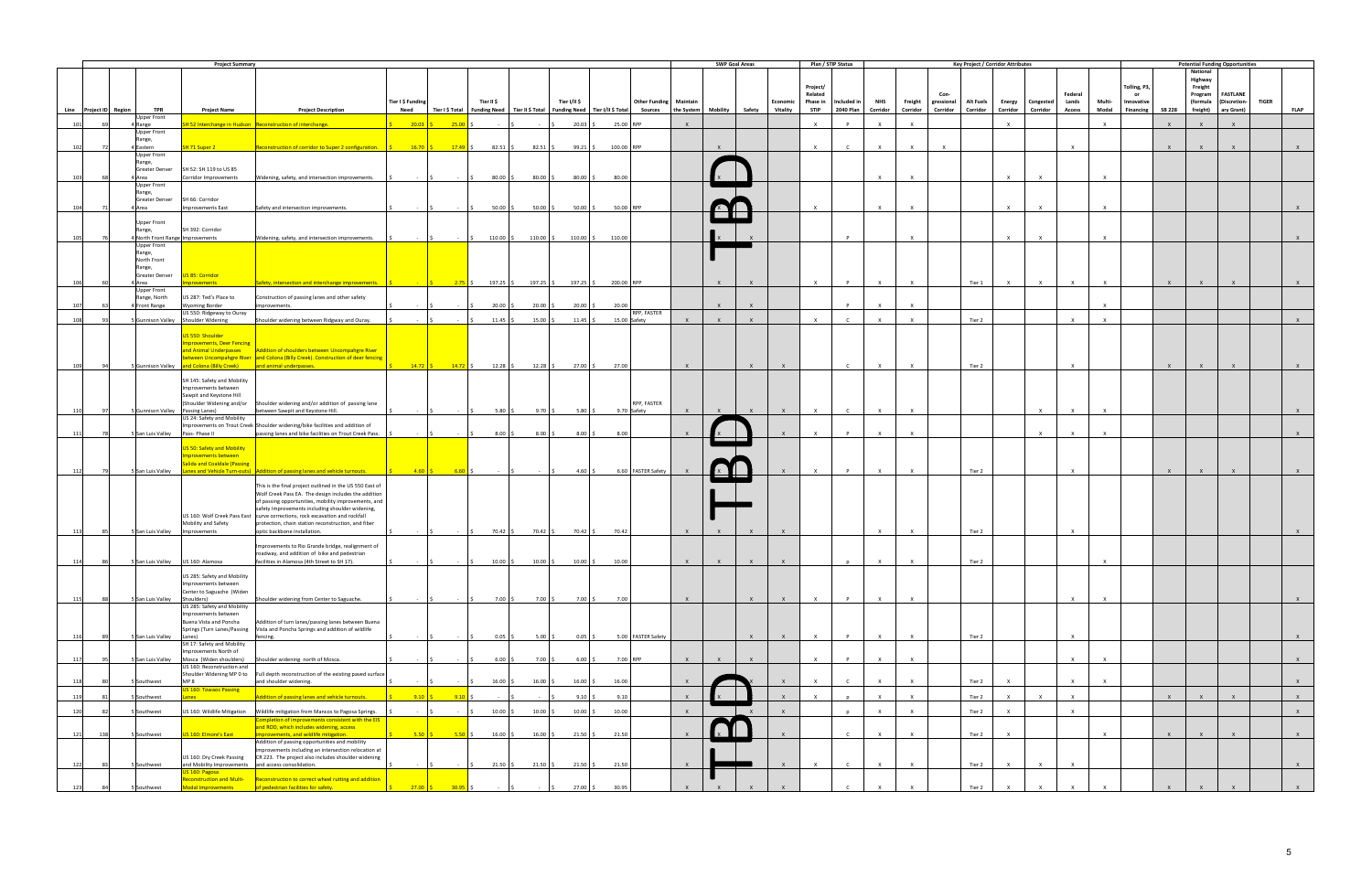|                 |                                      | <b>Project Summary</b>                                                |                                                                                                                                                                                                                                                         |                           |                                                                                                                                                                                       |                     |                          |                               |                                                                                                                                                          |              |              | <b>SWP Goal Areas</b> |                             |                         | Plan / STIP Status              |                        |              |                                | <b>Key Project / Corridor Attributes</b> |                           |                       |                        |                 |                                |               | <b>Potential Funding Opportunities</b>           |                                     |              |              |
|-----------------|--------------------------------------|-----------------------------------------------------------------------|---------------------------------------------------------------------------------------------------------------------------------------------------------------------------------------------------------------------------------------------------------|---------------------------|---------------------------------------------------------------------------------------------------------------------------------------------------------------------------------------|---------------------|--------------------------|-------------------------------|----------------------------------------------------------------------------------------------------------------------------------------------------------|--------------|--------------|-----------------------|-----------------------------|-------------------------|---------------------------------|------------------------|--------------|--------------------------------|------------------------------------------|---------------------------|-----------------------|------------------------|-----------------|--------------------------------|---------------|--------------------------------------------------|-------------------------------------|--------------|--------------|
|                 |                                      |                                                                       |                                                                                                                                                                                                                                                         |                           |                                                                                                                                                                                       |                     |                          |                               |                                                                                                                                                          |              |              |                       |                             | Project/<br>Related     |                                 |                        |              | Con-                           |                                          |                           |                       | Federal                |                 | Tolling, P3,<br>or             |               | <b>National</b><br>Highway<br>Freight<br>Program | <b>FASTLANE</b>                     |              |              |
|                 | <b>TPR</b><br>Line Project ID Region | <b>Project Name</b>                                                   | <b>Project Description</b>                                                                                                                                                                                                                              | Tier I \$ Funding<br>Need |                                                                                                                                                                                       | Tier II \$          |                          | Tier I/II \$                  | <b>Other Funding Maintain</b><br>Tier I \$ Total   Funding Need   Tier II \$ Total   Funding Need   Tier I/II \$ Total   Sources   the System   Mobility |              |              |                       | Economic<br>Safety Vitality | Phase in<br><b>STIP</b> | Included in<br><b>2040 Plan</b> | <b>NHS</b><br>Corridor | Corridor     | Freight gressional<br>Corridor | Alt Fuels<br>Corridor                    | <b>Energy</b><br>Corridor | Congested<br>Corridor | Lands<br><b>Access</b> | Multi-<br>Modal | Innovative<br><b>Financing</b> | <b>SB 228</b> | (formula                                         | (Discretion-<br>freight) ary Grant) | <b>TIGER</b> | <b>FLAP</b>  |
| 101             | Upper Front                          |                                                                       |                                                                                                                                                                                                                                                         | $20.03$ \$                | $25.00$ \$                                                                                                                                                                            |                     | <b>Contract Contract</b> |                               |                                                                                                                                                          | $\mathsf{X}$ |              |                       |                             | $\mathsf{x}$            | P                               | $\times$               | $\mathsf{X}$ |                                |                                          | $\mathsf{x}$              |                       |                        | $\mathsf{X}$    |                                | $\mathsf{X}$  | $\mathsf{x}$                                     | $\mathsf{X}$                        |              |              |
|                 | 4 Range<br><b>Upper Front</b>        |                                                                       | H 52 Interchange in Hudson Reconstruction of interchange.                                                                                                                                                                                               |                           |                                                                                                                                                                                       | $-5$                |                          | $20.03$ \$                    | 25.00 RPP                                                                                                                                                |              |              |                       |                             |                         |                                 |                        |              |                                |                                          |                           |                       |                        |                 |                                |               |                                                  |                                     |              |              |
| 102             | Range,<br>4 Eastern<br>72            | SH 71 Super 2                                                         | Reconstruction of corridor to Super 2 configuration. $\begin{vmatrix} 5 & 16.70 \\ 5 & 17.49 \end{vmatrix}$ \$ 82.51 \S 82.51 \S                                                                                                                        |                           |                                                                                                                                                                                       |                     |                          | $99.21$ \$                    | 100.00 RPP                                                                                                                                               |              |              |                       |                             | $\mathbf{x}$            | $\mathsf{C}$                    | $\mathsf{x}$           | $\mathsf{x}$ | $\mathbf{x}$                   |                                          |                           |                       | $\times$               |                 |                                | $\mathbf{x}$  |                                                  |                                     |              |              |
|                 | <b>Upper Front</b><br>Range,         |                                                                       |                                                                                                                                                                                                                                                         |                           |                                                                                                                                                                                       |                     |                          |                               |                                                                                                                                                          |              |              |                       |                             |                         |                                 |                        |              |                                |                                          |                           |                       |                        |                 |                                |               |                                                  |                                     |              |              |
| 10 <sup>2</sup> | Greater Denver<br>4 Area             | SH 52: SH 119 to US 85<br>Corridor Improvements                       | Widening, safety, and intersection improvements.                                                                                                                                                                                                        | l <<br>$-5$               |                                                                                                                                                                                       | $80.00$ \$          | $80.00$ \$               | $80.00$ \$                    | 80.00                                                                                                                                                    |              |              |                       |                             |                         |                                 | $\mathbf{x}$           | $\mathsf{X}$ |                                |                                          | $\mathbf{x}$              | $\mathbf{x}$          |                        | $\mathsf{X}$    |                                |               |                                                  |                                     |              |              |
|                 | Upper Front<br>Range,                |                                                                       |                                                                                                                                                                                                                                                         |                           |                                                                                                                                                                                       |                     |                          |                               |                                                                                                                                                          |              |              |                       |                             |                         |                                 |                        |              |                                |                                          |                           |                       |                        |                 |                                |               |                                                  |                                     |              |              |
| 104             | 4 Area                               | Greater Denver SH 66: Corridor<br>Improvements East                   | Safety and intersection improvements.                                                                                                                                                                                                                   |                           |                                                                                                                                                                                       | $50.00$ \$          | 50.00                    | $50.00$ \$                    | 50.00 RPP                                                                                                                                                |              |              |                       |                             |                         |                                 |                        | $\mathbf{Y}$ |                                |                                          | $\mathbf{x}$              | $\mathbf{x}$          |                        | $\mathbf{x}$    |                                |               |                                                  |                                     |              |              |
|                 | <b>Upper Front</b>                   |                                                                       |                                                                                                                                                                                                                                                         |                           |                                                                                                                                                                                       |                     |                          |                               |                                                                                                                                                          |              |              |                       |                             |                         |                                 |                        |              |                                |                                          |                           |                       |                        |                 |                                |               |                                                  |                                     |              |              |
|                 | Range,                               | SH 392: Corridor                                                      |                                                                                                                                                                                                                                                         |                           |                                                                                                                                                                                       |                     |                          |                               |                                                                                                                                                          |              |              |                       |                             |                         |                                 |                        |              |                                |                                          |                           |                       |                        |                 |                                |               |                                                  |                                     |              |              |
| 105             | Upper Front                          | 4 North Front Range Improvements                                      | Widening, safety, and intersection improvements.                                                                                                                                                                                                        | $\sim$ $\sim$             | $\sim$ $\sim$ $\sim$                                                                                                                                                                  | 110.00 \$           | 110.00 \$                | $110.00$ \$                   | 110.00                                                                                                                                                   |              |              |                       |                             |                         |                                 |                        | $\mathsf{x}$ |                                |                                          | $\mathsf{x}$              | $\mathbf{x}$          |                        | $\mathsf{X}$    |                                |               |                                                  |                                     |              |              |
|                 | Range,<br>North Front                |                                                                       |                                                                                                                                                                                                                                                         |                           |                                                                                                                                                                                       |                     |                          |                               |                                                                                                                                                          |              |              |                       |                             |                         |                                 |                        |              |                                |                                          |                           |                       |                        |                 |                                |               |                                                  |                                     |              |              |
|                 | Range,<br>Greater Denver             | US 85: Corridor                                                       |                                                                                                                                                                                                                                                         |                           |                                                                                                                                                                                       |                     |                          |                               |                                                                                                                                                          |              |              |                       |                             |                         |                                 |                        |              |                                |                                          |                           |                       |                        |                 |                                |               |                                                  |                                     |              |              |
|                 | 4 Area<br><b>Upper Front</b>         | provements                                                            | Safety, intersection and interchange improvements. $\begin{vmatrix} 5 & 197.25 & 5 \\ 197.25 & 5 \end{vmatrix}$ 197.25 $\begin{vmatrix} 5 & 197.25 & 5 \\ 197.25 & 5 \end{vmatrix}$ 197.25 $\begin{vmatrix} 5 & 197.25 & 5 \\ 197.25 & 5 \end{vmatrix}$ |                           |                                                                                                                                                                                       |                     |                          |                               |                                                                                                                                                          |              | $\mathsf{X}$ | $\mathsf{X}$          |                             | $\times$                | P                               | $\mathsf{x}$           | $\mathsf{x}$ |                                | Tier 1                                   | $\times$                  | $\mathsf{X}$          | $\mathbf{x}$           | $\mathsf{x}$    |                                | $\mathsf{x}$  | $\mathsf{X}$                                     | $\mathsf{x}$                        |              |              |
| 107             | Range, North<br>4 Front Range        | US 287: Ted's Place to<br><b>Wyoming Border</b>                       | Construction of passing lanes and other safety<br>rovements.                                                                                                                                                                                            |                           |                                                                                                                                                                                       | $20.00$ \;          | 20.00                    | $20.00$ \$                    | 20.00                                                                                                                                                    |              | $\mathbf{x}$ | $\mathsf{X}$          |                             |                         | $\mathbf{D}$                    | $\mathbf{x}$           | $\mathsf{x}$ |                                |                                          |                           |                       |                        | $\mathsf{X}$    |                                |               |                                                  |                                     |              |              |
| 108             | ۹3                                   | US 550: Ridgeway to Ouray<br>Gunnison Valley Shoulder Widening        | Shoulder widening between Ridgway and Ouray.                                                                                                                                                                                                            | $\sim 10^{-1}$            |                                                                                                                                                                                       | $11.45$ \$          | $15.00$ \$               | $11.45$ \$                    | RPP, FASTER<br>15.00 Safety                                                                                                                              | $\mathsf{X}$ | $\mathsf{X}$ | $\mathsf{X}$          |                             | $\times$                | $\mathsf{r}$                    | $\mathbf{x}$           | $\mathbf{x}$ |                                | Tier 2                                   |                           |                       | $\times$               | $\mathsf{X}$    |                                |               |                                                  |                                     |              | $\mathsf{x}$ |
|                 |                                      |                                                                       |                                                                                                                                                                                                                                                         |                           |                                                                                                                                                                                       |                     |                          |                               |                                                                                                                                                          |              |              |                       |                             |                         |                                 |                        |              |                                |                                          |                           |                       |                        |                 |                                |               |                                                  |                                     |              |              |
|                 |                                      | US 550: Shoulder<br><b>nprovements, Deer Fencing</b>                  |                                                                                                                                                                                                                                                         |                           |                                                                                                                                                                                       |                     |                          |                               |                                                                                                                                                          |              |              |                       |                             |                         |                                 |                        |              |                                |                                          |                           |                       |                        |                 |                                |               |                                                  |                                     |              |              |
|                 |                                      | and Animal Underpasses                                                | Addition of shoulders between Uncompahgre River<br>between Uncompahgre River and Colona (Billy Creek). Construction of deer fencing                                                                                                                     |                           |                                                                                                                                                                                       |                     |                          |                               |                                                                                                                                                          |              |              |                       |                             |                         |                                 |                        |              |                                |                                          |                           |                       |                        |                 |                                |               |                                                  |                                     |              |              |
| 109             | 94                                   | 5 Gunnison Valley and Colona (Billy Creek) and animal underpasses.    |                                                                                                                                                                                                                                                         |                           | $\begin{vmatrix} \frac{\varsigma}{2} & \frac{14.72}{\varsigma} & \frac{14.72}{\varsigma} & \frac{14.72}{\varsigma} & \frac{12.28}{\varsigma} & \frac{12.28}{\varsigma} \end{vmatrix}$ |                     |                          | $27.00$ \$                    | 27.00                                                                                                                                                    | $\mathsf{X}$ |              | $\mathsf{X}$          | $\mathbf{x}$                |                         | $\mathsf{C}$                    | $\times$               | $\mathsf{X}$ |                                | Tier 2                                   |                           |                       | $\mathsf{X}$           |                 |                                | $\mathsf{x}$  |                                                  |                                     |              |              |
|                 |                                      | SH 145: Safety and Mobility<br>Improvements between                   |                                                                                                                                                                                                                                                         |                           |                                                                                                                                                                                       |                     |                          |                               |                                                                                                                                                          |              |              |                       |                             |                         |                                 |                        |              |                                |                                          |                           |                       |                        |                 |                                |               |                                                  |                                     |              |              |
|                 |                                      | Sawpit and Keystone Hill<br>(Shoulder Widening and/or                 | Shoulder widening and/or addition of passing lane                                                                                                                                                                                                       |                           |                                                                                                                                                                                       |                     |                          |                               | RPP, FASTER                                                                                                                                              |              |              |                       |                             |                         |                                 |                        |              |                                |                                          |                           |                       |                        |                 |                                |               |                                                  |                                     |              |              |
| 110             | 97                                   | 5 Gunnison Valley Passing Lanes)<br>US 24: Safety and Mobility        | between Sawpit and Keystone Hill.                                                                                                                                                                                                                       | $\sim 10^{-1}$            |                                                                                                                                                                                       | $5.80\%$            | 9.70%                    | 5.80 $\frac{1}{2}$            | 9.70 Safety                                                                                                                                              | $\mathsf{X}$ |              | $\mathsf{X}$          | $\mathsf{x}$                | $\times$                | $\mathsf{C}$                    | $\times$               | $\mathsf{x}$ |                                |                                          |                           | $\times$              | $\mathsf{X}$           | $\mathsf{X}$    |                                |               |                                                  |                                     |              | $\mathsf{X}$ |
| 111             | 78                                   | San Luis Valley Pass-Phase II                                         | Improvements on Trout Creek Shoulder widening/bike facilities and addition of<br>passing lanes and bike facilities on Trout Creek Pass.                                                                                                                 |                           |                                                                                                                                                                                       | $8.00$ \$           | $8.00$ \$                | $8.00$ \$                     | 8.00                                                                                                                                                     | $\mathsf{X}$ |              |                       |                             |                         |                                 | $\times$               | $\mathsf{x}$ |                                |                                          |                           | $\times$              | $\mathsf{X}$           | $\mathsf{x}$    |                                |               |                                                  |                                     |              |              |
|                 |                                      |                                                                       |                                                                                                                                                                                                                                                         |                           |                                                                                                                                                                                       |                     |                          |                               |                                                                                                                                                          |              |              |                       |                             |                         |                                 |                        |              |                                |                                          |                           |                       |                        |                 |                                |               |                                                  |                                     |              |              |
|                 |                                      | US 50: Safety and Mobility<br>mprovements between                     |                                                                                                                                                                                                                                                         |                           |                                                                                                                                                                                       |                     |                          |                               |                                                                                                                                                          |              |              |                       |                             |                         |                                 |                        |              |                                |                                          |                           |                       |                        |                 |                                |               |                                                  |                                     |              |              |
| 112             | 79                                   | alida and Coaldale (Passing                                           | 5 San Luis Valley Lanes and Vehicle Turn-outs) Addition of passing lanes and vehicle turnouts.                                                                                                                                                          |                           | $4.60 \quad \simeq \qquad 6.60 \quad \simeq \qquad \qquad \simeq \qquad \simeq \qquad \simeq$                                                                                         |                     | $\sim$ $\sim$ 15         | 4.60S                         | 6.60 FASTER Safety                                                                                                                                       |              |              |                       | $\mathbf{x}$                | $\mathsf{X}$            | $\mathsf{P}$                    | $\times$               | $\mathsf{x}$ |                                | Tier 2                                   |                           |                       | $\mathsf{X}$           |                 |                                | $\mathsf{X}$  | $\mathsf{X}$                                     | $\mathsf{X}$                        |              | $\mathsf{x}$ |
|                 |                                      |                                                                       | This is the final project outlined in the US 550 East of                                                                                                                                                                                                |                           |                                                                                                                                                                                       |                     |                          |                               |                                                                                                                                                          |              |              |                       |                             |                         |                                 |                        |              |                                |                                          |                           |                       |                        |                 |                                |               |                                                  |                                     |              |              |
|                 |                                      |                                                                       | Wolf Creek Pass EA. The design includes the addition<br>of passing opportunities, mobility improvements, and                                                                                                                                            |                           |                                                                                                                                                                                       |                     |                          |                               |                                                                                                                                                          |              |              |                       |                             |                         |                                 |                        |              |                                |                                          |                           |                       |                        |                 |                                |               |                                                  |                                     |              |              |
|                 |                                      |                                                                       | safety Improvements including shoulder widening,<br>US 160: Wolf Creek Pass East   curve corrections, rock excavation and rockfall                                                                                                                      |                           |                                                                                                                                                                                       |                     |                          |                               |                                                                                                                                                          |              |              |                       |                             |                         |                                 |                        |              |                                |                                          |                           |                       |                        |                 |                                |               |                                                  |                                     |              |              |
| 113             | 85                                   | Mobility and Safety<br>5 San Luis Valley Improvements                 | protection, chain station reconstruction, and fiber<br>optic backbone installation.                                                                                                                                                                     | $\sim 10^{-1}$            | $S = 1$<br>$\sim$                                                                                                                                                                     | $70.42 \text{ }$ \$ | $70.42 \,$ \$            | $70.42 \text{ }$ \$           | 70.42                                                                                                                                                    | $\mathsf{x}$ |              | $\mathsf{X}$          |                             |                         |                                 | $\mathsf{X}$           | $\mathsf{x}$ |                                | Tier 2                                   |                           |                       | $\mathsf{X}$           |                 |                                |               |                                                  |                                     |              | $\mathsf{x}$ |
|                 |                                      |                                                                       | Improvements to Rio Grande bridge, realignment of                                                                                                                                                                                                       |                           |                                                                                                                                                                                       |                     |                          |                               |                                                                                                                                                          |              |              |                       |                             |                         |                                 |                        |              |                                |                                          |                           |                       |                        |                 |                                |               |                                                  |                                     |              |              |
|                 |                                      |                                                                       | roadway, and addition of bike and pedestrian<br>facilities in Alamosa (4th Street to SH 17).                                                                                                                                                            |                           |                                                                                                                                                                                       |                     |                          |                               |                                                                                                                                                          |              |              |                       |                             |                         |                                 |                        |              |                                |                                          |                           |                       |                        |                 |                                |               |                                                  |                                     |              |              |
| 114             | 86.                                  | 5 San Luis Valley US 160: Alamosa                                     |                                                                                                                                                                                                                                                         |                           |                                                                                                                                                                                       | 10.00 \$            | $10.00$ >                | $10.00$   $\triangleright$    | 10.00                                                                                                                                                    | $\mathbf{x}$ | $\mathsf{X}$ | $\mathsf{X}$          | $\mathsf{X}$                |                         |                                 |                        | $\mathsf{X}$ |                                | Tier 2                                   |                           |                       |                        |                 |                                |               |                                                  |                                     |              |              |
|                 |                                      | US 285: Safety and Mobility<br>Improvements between                   |                                                                                                                                                                                                                                                         |                           |                                                                                                                                                                                       |                     |                          |                               |                                                                                                                                                          |              |              |                       |                             |                         |                                 |                        |              |                                |                                          |                           |                       |                        |                 |                                |               |                                                  |                                     |              |              |
| 115             | 88                                   | Center to Saguache (Widen<br>5 San Luis Valley Shoulders)             | Shoulder widening from Center to Saguache.                                                                                                                                                                                                              | $\sim 100$                | $\sim$ $\sim$ $\sim$                                                                                                                                                                  | $7.00\%$            |                          | $7.00\%$<br>$7.00\%$          | 7.00                                                                                                                                                     | $\mathsf{X}$ |              | $\mathsf{X}$          | $\mathsf{x}$                | $\mathsf{X}$            | P                               | $\mathsf{x}$           | $\mathsf{X}$ |                                |                                          |                           |                       | $\mathsf{X}$           | $\mathsf{X}$    |                                |               |                                                  |                                     |              | $\mathsf{X}$ |
|                 |                                      | US 285: Safety and Mobility<br>Improvements between                   |                                                                                                                                                                                                                                                         |                           |                                                                                                                                                                                       |                     |                          |                               |                                                                                                                                                          |              |              |                       |                             |                         |                                 |                        |              |                                |                                          |                           |                       |                        |                 |                                |               |                                                  |                                     |              |              |
|                 |                                      | Buena Vista and Poncha<br>Springs (Turn Lanes/Passing                 | Addition of turn lanes/passing lanes between Buena<br>Vista and Poncha Springs and addition of wildlife                                                                                                                                                 |                           |                                                                                                                                                                                       |                     |                          |                               |                                                                                                                                                          |              |              |                       |                             |                         |                                 |                        |              |                                |                                          |                           |                       |                        |                 |                                |               |                                                  |                                     |              |              |
| 116             | 5 San Luis Valley<br>89              | Lanes)<br>SH 17: Safety and Mobility                                  | fencing.                                                                                                                                                                                                                                                |                           |                                                                                                                                                                                       | $0.05$ \$           | $5.00\%$                 | $0.05$ \$                     | 5.00 FASTER Safety                                                                                                                                       |              |              | $\mathsf{X}$          | $\mathsf{X}$                | $\times$                | P                               | $\mathsf{x}$           | $\mathsf{x}$ |                                | Tier 2                                   |                           |                       | $\mathsf{X}$           |                 |                                |               |                                                  |                                     |              | $\mathsf{X}$ |
| 117             | 95                                   | Improvements North of<br>SSan Luis Valley Mosca (Widen shoulders)     | Shoulder widening north of Mosca.                                                                                                                                                                                                                       |                           |                                                                                                                                                                                       | $6.00\frac{2}{3}$   | $7.00 \pm 5$             | $6.00\frac{1}{5}$             | 7.00 RPP                                                                                                                                                 | $\mathsf{X}$ | $\mathsf{x}$ | $\mathsf{X}$          |                             | $\times$                | P                               | $\mathsf{x}$           | $\mathsf{X}$ |                                |                                          |                           |                       | $\mathsf{x}$           | $\mathsf{X}$    |                                |               |                                                  |                                     |              | $\mathsf{X}$ |
|                 |                                      | US 160: Reconstruction and<br>Shoulder Widening MP 0 to               | Full depth reconstruction of the existing paved surface                                                                                                                                                                                                 |                           |                                                                                                                                                                                       |                     |                          |                               |                                                                                                                                                          |              |              |                       |                             |                         |                                 |                        |              |                                |                                          |                           |                       |                        |                 |                                |               |                                                  |                                     |              |              |
| 118             | Southwest                            | MP <sub>8</sub><br><b>US 160: Towaoc Passing</b>                      | and shoulder widening.                                                                                                                                                                                                                                  |                           |                                                                                                                                                                                       | $16.00$ \$          | 16.00                    | $16.00$ \$                    | 16.00                                                                                                                                                    |              |              |                       |                             |                         |                                 | $\mathbf{Y}$           | $\mathsf{x}$ |                                | Tier 2                                   |                           |                       | $\mathsf{X}$           | $\mathsf{X}$    |                                |               |                                                  |                                     |              | $\mathsf{X}$ |
| 119             | Southwest<br>81                      | Lanes                                                                 | Addition of passing lanes and vehicle turnouts.                                                                                                                                                                                                         | $9.10$ \$                 | 9.10                                                                                                                                                                                  |                     |                          | $9.10$ \$                     | 9.10                                                                                                                                                     | $\mathsf{X}$ |              |                       | $\mathsf{X}$                | $\mathbf{x}$            |                                 | $\mathsf{x}$           | $\mathsf{X}$ |                                | Tier 2                                   | $\times$                  | $\mathsf{X}$          | $\mathsf{X}$           |                 |                                | $\mathsf{X}$  | $\mathsf{X}$                                     | $\mathsf{X}$                        |              | $\mathsf{X}$ |
| 120             | Southwest<br>82                      | US 160: Wildlife Mitigation                                           | Wildlife mitigation from Mancos to Pagosa Springs.                                                                                                                                                                                                      | $\sim 10^{-1}$            |                                                                                                                                                                                       | $10.00$ \$          | 10.00                    | $10.00$ \$                    | 10.00                                                                                                                                                    | $\mathsf{X}$ |              | $\mathsf{X}$          | $\mathsf{X}$                |                         |                                 | $\times$               | $\mathsf{X}$ |                                | Tier 2                                   | $\mathsf{x}$              |                       | $\mathsf{X}$           |                 |                                |               |                                                  |                                     |              | $\mathsf{X}$ |
|                 |                                      |                                                                       | Completion of improvements consistent with the EIS<br>and ROD, which includes widening, access                                                                                                                                                          |                           |                                                                                                                                                                                       |                     |                          |                               |                                                                                                                                                          |              |              |                       |                             |                         |                                 |                        |              |                                |                                          |                           |                       |                        |                 |                                |               |                                                  |                                     |              |              |
| 121             | 138<br>5 Southwest                   | US 160: Elmore's East                                                 | improvements, and wildlife mitigation.<br>Addition of passing opportunities and mobility                                                                                                                                                                |                           | $5.50 \tbinom{6}{5}$ 5.50 \$                                                                                                                                                          | $16.00$ \$          | $16.00$ \$               |                               | 21.50 \$ 21.50                                                                                                                                           | $\mathsf{X}$ |              |                       |                             |                         | $\mathsf{C}$                    | $\times$               | $\mathsf{X}$ |                                | Tier 2                                   | $\mathsf{x}$              |                       |                        | $\mathsf{X}$    |                                | $\mathsf{X}$  | $\mathsf{X}$                                     | $\mathsf{X}$                        |              | $\mathsf{X}$ |
|                 |                                      | US 160: Dry Creek Passing                                             | mprovements including an intersection relocation at<br>CR 223. The project also includes shoulder widening                                                                                                                                              |                           |                                                                                                                                                                                       |                     |                          |                               |                                                                                                                                                          |              |              |                       |                             |                         |                                 |                        |              |                                |                                          |                           |                       |                        |                 |                                |               |                                                  |                                     |              |              |
| 122             | Southwest<br>83                      | and Mobility Improvements and access consolidation.<br>US 160: Pagosa |                                                                                                                                                                                                                                                         |                           |                                                                                                                                                                                       | $21.50$ \$          |                          | $21.50 \div 21.50 \div 21.50$ |                                                                                                                                                          | $\mathsf{x}$ |              |                       |                             |                         |                                 |                        |              |                                | Tier 2                                   | $\mathsf{x}$              | $\mathbf{x}$          |                        |                 |                                |               |                                                  |                                     |              | $\mathsf{X}$ |
| 123             | 5 Southwest                          | Modal Improvements                                                    | econstruction and Multi- Reconstruction to correct wheel rutting and addition<br>of pedestrian facilities for safety.                                                                                                                                   | $27.00$ \$                | $30.95$ \$                                                                                                                                                                            |                     |                          | $27.00$ \$                    | 30.95                                                                                                                                                    |              |              |                       |                             |                         |                                 |                        |              |                                | Tier 2                                   |                           |                       |                        |                 |                                |               |                                                  |                                     |              |              |
|                 |                                      |                                                                       |                                                                                                                                                                                                                                                         |                           |                                                                                                                                                                                       |                     |                          |                               |                                                                                                                                                          |              |              |                       |                             |                         |                                 |                        |              |                                |                                          |                           |                       |                        |                 |                                |               |                                                  |                                     |              |              |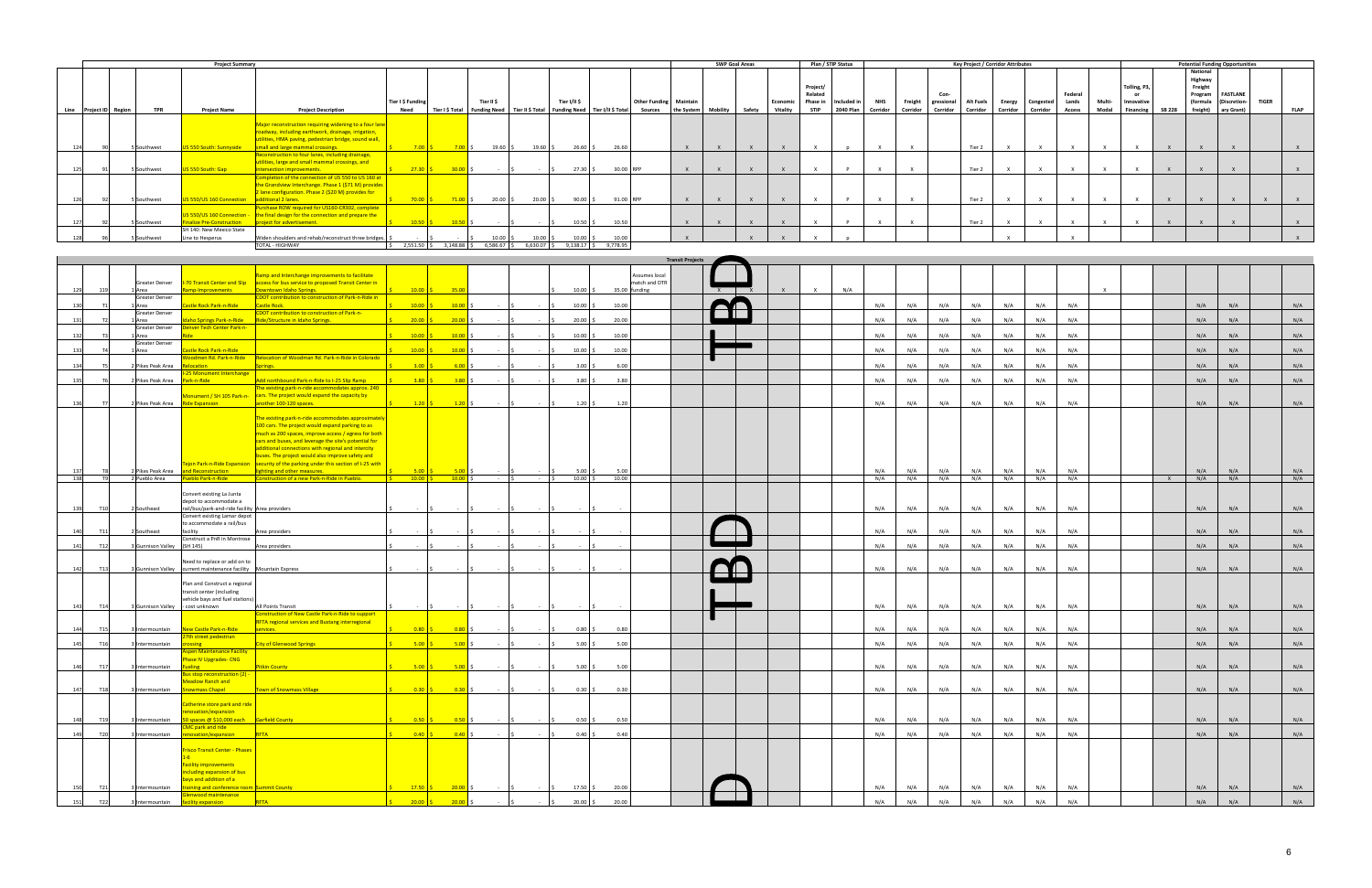| <b>Project Summary</b> |                        |  |             |                                  |                                                        |                   |                 |                     |                  |              |                                   | <b>SWP Goal Areas</b> |            |          | Plan / STIP Status |          |             |             | <b>Key Project / Corridor Attributes</b> |                       |                  |          |           |         |        | <b>Potential Funding Opportunities</b> |               |                     |                 |              |             |
|------------------------|------------------------|--|-------------|----------------------------------|--------------------------------------------------------|-------------------|-----------------|---------------------|------------------|--------------|-----------------------------------|-----------------------|------------|----------|--------------------|----------|-------------|-------------|------------------------------------------|-----------------------|------------------|----------|-----------|---------|--------|----------------------------------------|---------------|---------------------|-----------------|--------------|-------------|
|                        |                        |  |             |                                  |                                                        |                   |                 |                     |                  |              |                                   |                       |            |          |                    |          |             |             |                                          |                       |                  |          |           |         |        |                                        |               | National<br>Highway |                 |              |             |
|                        |                        |  |             |                                  |                                                        |                   |                 |                     |                  |              |                                   |                       |            |          |                    |          | Project/    |             |                                          |                       |                  |          |           |         |        | Tolling, P3                            |               | Freight             |                 |              |             |
|                        |                        |  |             |                                  |                                                        |                   |                 |                     |                  |              |                                   |                       |            |          |                    |          | Related     |             |                                          |                       | Con-             |          |           | Federal |        | or                                     |               | Program             | <b>FASTLANE</b> |              |             |
|                        |                        |  |             |                                  |                                                        | Tier I \$ Funding |                 | Tier II \$          |                  | Tier I/II \$ |                                   | <b>Other Funding</b>  | Maintain   |          |                    | Economi  | Phase in    | Included in | <b>NHS</b>                               | Freight<br>gressional | <b>Alt Fuels</b> | Energy   | Congested | Lands   | Multi- | Innovative                             |               | (formula            | (Discretion-    | <b>TIGER</b> |             |
|                        | Line Project ID Region |  | <b>TPR</b>  | <b>Project Name</b>              | <b>Project Description</b>                             | Need              | Tier I \$ Total | <b>Funding Need</b> | Tier II \$ Total |              | Funding Need   Tier I/II \$ Total | <b>Sources</b>        | the System | Mobility | Safety             | Vitality | <b>STIP</b> | 2040 Plan   | Corridor                                 | Corridor<br>Corridor  | Corridor         | Corridor | Corridor  | Access  | Modal  | <b>Financing</b>                       | <b>SB 228</b> | freight)            | ary Grant)      |              | <b>FLAP</b> |
|                        |                        |  |             |                                  |                                                        |                   |                 |                     |                  |              |                                   |                       |            |          |                    |          |             |             |                                          |                       |                  |          |           |         |        |                                        |               |                     |                 |              |             |
|                        |                        |  |             |                                  | lajor reconstruction requiring widening to a four lane |                   |                 |                     |                  |              |                                   |                       |            |          |                    |          |             |             |                                          |                       |                  |          |           |         |        |                                        |               |                     |                 |              |             |
|                        |                        |  |             |                                  | ncluding earthwork, drainage, irrigation               |                   |                 |                     |                  |              |                                   |                       |            |          |                    |          |             |             |                                          |                       |                  |          |           |         |        |                                        |               |                     |                 |              |             |
|                        |                        |  |             |                                  | tilities, HMA paving, pedestrian bridge, sound wall,   |                   |                 |                     |                  |              |                                   |                       |            |          |                    |          |             |             |                                          |                       |                  |          |           |         |        |                                        |               |                     |                 |              |             |
|                        |                        |  | 5 Southwest | US 550 South: Sunnyside          | small and large mammal crossings.                      | 7.00              | 7.00            | 19.60               | 19.60            | 26.60        | 26.60                             |                       |            |          |                    |          |             |             |                                          | x                     | Tier 2           |          |           |         |        |                                        |               |                     |                 |              |             |
|                        |                        |  |             |                                  | econstruction to four lanes, including drainage,       |                   |                 |                     |                  |              |                                   |                       |            |          |                    |          |             |             |                                          |                       |                  |          |           |         |        |                                        |               |                     |                 |              |             |
|                        |                        |  |             |                                  | ilities, large and small mammal crossings, and         |                   |                 |                     |                  |              |                                   |                       |            |          |                    |          |             |             |                                          |                       |                  |          |           |         |        |                                        |               |                     |                 |              |             |
|                        |                        |  | 5 Southwest | US 550 South: Gap                | <b>ntersection improvements.</b>                       | 27.30             | 30.00           |                     |                  | 27.30        | 30.00 RPP                         |                       |            |          |                    |          |             |             |                                          |                       | Tier 2           |          |           |         |        |                                        |               |                     |                 |              |             |
|                        |                        |  |             |                                  | ompletion of the connection of US 550 to US 160 at     |                   |                 |                     |                  |              |                                   |                       |            |          |                    |          |             |             |                                          |                       |                  |          |           |         |        |                                        |               |                     |                 |              |             |
|                        |                        |  |             |                                  | ne Grandview Interchange. Phase 1 (\$71 M) provides    |                   |                 |                     |                  |              |                                   |                       |            |          |                    |          |             |             |                                          |                       |                  |          |           |         |        |                                        |               |                     |                 |              |             |
|                        |                        |  |             |                                  | lane configuration. Phase 2 (\$20 M) provides for      |                   |                 |                     |                  |              |                                   |                       |            |          |                    |          |             |             |                                          |                       |                  |          |           |         |        |                                        |               |                     |                 |              |             |
|                        |                        |  | 5 Southwest | <b>JS 550/US 160 Connection</b>  | ditional 2 lanes                                       | $-70.00$ :        | 71.00           | 20.00               | 20.00            | 90.00        | 91.00 RPP                         |                       |            |          |                    |          |             |             |                                          | $\mathbf{x}$          | Tier 2           |          |           |         |        |                                        |               |                     |                 |              |             |
|                        |                        |  |             |                                  | urchase ROW required for US160-CR302, complete         |                   |                 |                     |                  |              |                                   |                       |            |          |                    |          |             |             |                                          |                       |                  |          |           |         |        |                                        |               |                     |                 |              |             |
|                        |                        |  |             | 160 Connecti                     | the final design for the connection and prepare t      |                   |                 |                     |                  |              |                                   |                       |            |          |                    |          |             |             |                                          |                       |                  |          |           |         |        |                                        |               |                     |                 |              |             |
|                        |                        |  | 5 Southwest | <b>Finalize Pre-Construction</b> | project for advertisement.                             | 10.50             | 10.50           |                     |                  | $10.50$ :    | 10.50                             |                       |            |          |                    |          |             |             |                                          |                       | Tier 2           |          |           |         |        |                                        |               |                     |                 |              |             |
|                        |                        |  |             | SH 140: New Mexico State         |                                                        |                   |                 |                     |                  |              |                                   |                       |            |          |                    |          |             |             |                                          |                       |                  |          |           |         |        |                                        |               |                     |                 |              |             |
|                        |                        |  | Southwest   | Line to Hesperus                 | Widen shoulders and rehab/reconstruct three bridges.   |                   |                 | 10.00               | 10.00            | 10.00        | 10.00                             |                       |            |          |                    |          |             |             |                                          |                       |                  |          |           |         |        |                                        |               |                     |                 |              |             |
|                        |                        |  |             |                                  | TOTAL - HIGHWAY                                        | $2,551.50$ \$     | 3,148.88        | 6,586.67            | 6,630.07         | 9,138.17     | 9,778.95                          |                       |            |          |                    |          |             |             |                                          |                       |                  |          |           |         |        |                                        |               |                     |                 |              |             |

|     |                 |                                  |                                                                          |                                                                                                                       |                   |                                                       |                                                                |                              |                             |                    |               | <b>Transit Projects</b> |              |          |     |     |     |     |             |     |              |              |     |     |     |
|-----|-----------------|----------------------------------|--------------------------------------------------------------------------|-----------------------------------------------------------------------------------------------------------------------|-------------------|-------------------------------------------------------|----------------------------------------------------------------|------------------------------|-----------------------------|--------------------|---------------|-------------------------|--------------|----------|-----|-----|-----|-----|-------------|-----|--------------|--------------|-----|-----|-----|
|     |                 |                                  |                                                                          | Ramp and Interchange improvements to facilitate                                                                       |                   |                                                       |                                                                |                              |                             |                    | Assumes local |                         |              |          |     |     |     |     |             |     |              |              |     |     |     |
|     |                 | <b>Greater Denver</b>            |                                                                          | 1-70 Transit Center and Slip   access for bus service to proposed Transit Center in                                   |                   |                                                       |                                                                |                              |                             |                    | match and DTR |                         |              |          |     |     |     |     |             |     |              |              |     |     |     |
| 129 | 119             | L Area                           | <u>amp-Improvements </u>                                                 | Downtown Idaho Springs.                                                                                               | $10.00$ \$        | 35.00                                                 |                                                                |                              |                             | $10.00$ \$         | 35.00 funding |                         | $\mathbf{x}$ | $\times$ | N/A |     |     |     |             |     | $\mathbf{x}$ |              |     |     |     |
| 130 |                 | <b>Greater Denver</b><br>L Area  | astle Rock Park-n-Ride                                                   | CDOT contribution to construction of Park-n-Ride in<br>Castle Rock.                                                   | $10.00$ \$        |                                                       | $10.00$ \$                                                     | $-15$                        |                             | $10.00$ \$         | 10.00         |                         |              |          | N/A | N/A | N/A | N/A | N/A         | N/A | N/A          |              | N/A | N/A | N/A |
|     |                 | <b>Greater Denver</b>            |                                                                          | CDOT contribution to construction of Park-n-                                                                          |                   |                                                       |                                                                |                              |                             |                    |               |                         |              |          |     |     |     |     |             |     |              |              |     |     |     |
| 131 | T2              | 1 Area<br>Greater Denver         | daho Springs Park-n-Ride<br>Denver Tech Center Park-n-                   | Ride/Structure in Idaho Springs.                                                                                      | $20.00$ \$        |                                                       | $20.00$ \$                                                     | $-15$                        | <b>Contract Contract</b>    | $20.00$ \$         | 20.00         |                         |              |          | N/A | N/A | N/A | N/A | N/A         | N/A | N/A          |              | N/A | N/A | N/A |
| 132 |                 | L Area                           |                                                                          |                                                                                                                       | $10.00$ \$        |                                                       | $10.00$ \$                                                     |                              |                             | $10.00$ \$         | 10.00         |                         |              |          | N/A | N/A | N/A | N/A | N/A         | N/A | N/A          |              | N/A | N/A | N/A |
|     |                 | Greater Denver                   | Castle Rock Park-n-Ride                                                  |                                                                                                                       | $10.00$ S         |                                                       | $10.00$ \$                                                     |                              |                             | $10.00$ \$         | 10.00         |                         |              |          | N/A | N/A | N/A | N/A | N/A         | N/A | N/A          |              | N/A | N/A | N/A |
| 133 |                 | 1 Area                           |                                                                          | Woodmen Rd. Park-n-Ride Relocation of Woodman Rd. Park-n-Ride in Colorado                                             |                   |                                                       |                                                                |                              |                             |                    |               |                         |              |          |     |     |     |     |             |     |              |              |     |     |     |
| 134 |                 | 2 Pikes Peak Area Relocation     |                                                                          | Springs.                                                                                                              | $3.00$ S          |                                                       | $6.00$ S                                                       |                              |                             | $3.00$ S           | 6.00          |                         |              |          | N/A | N/A | N/A | N/A | N/A         | N/A | N/A          |              | N/A | N/A | N/A |
| 135 | T <sub>6</sub>  | 2 Pikes Peak Area                | -25 Monument Interchange<br>Park-n-Ride                                  | Add northbound Park-n-Ride to I-25 Slip Ramp                                                                          | $3.80\,$ \$       |                                                       | $3.80$ \$                                                      | $ \sim$ $\sim$               | <b>Contract</b>             | 3.80               | 3.80          |                         |              |          | N/A | N/A | N/A | N/A | N/A         | N/A | N/A          |              | N/A | N/A | N/A |
|     |                 |                                  |                                                                          | The existing park-n-ride accommodates approx. 240                                                                     |                   |                                                       |                                                                |                              |                             |                    |               |                         |              |          |     |     |     |     |             |     |              |              |     |     |     |
| 136 | <b>T7</b>       | 2 Pikes Peak Area Ride Expansion |                                                                          | <b>Monument / SH 105 Park-n-</b> cars. The project would expand the capacity by<br>another 100-120 spaces.            |                   | $1.20 \t\begin{vmatrix} 5 \\ 2.20 \t\end{vmatrix}$ \$ |                                                                | $\sim$ $\vert$ \$ $\vert$ \$ |                             | $1.20$ \$          | 1.20          |                         |              |          | N/A | N/A | N/A | N/A | N/A         | N/A | N/A          |              | N/A | N/A | N/A |
|     |                 |                                  |                                                                          |                                                                                                                       |                   |                                                       |                                                                |                              |                             |                    |               |                         |              |          |     |     |     |     |             |     |              |              |     |     |     |
|     |                 |                                  |                                                                          | The existing park-n-ride accommodates approximately                                                                   |                   |                                                       |                                                                |                              |                             |                    |               |                         |              |          |     |     |     |     |             |     |              |              |     |     |     |
|     |                 |                                  |                                                                          | 100 cars. The project would expand parking to as<br>much as 200 spaces, improve access / egress for both              |                   |                                                       |                                                                |                              |                             |                    |               |                         |              |          |     |     |     |     |             |     |              |              |     |     |     |
|     |                 |                                  |                                                                          | cars and buses, and leverage the site's potential for                                                                 |                   |                                                       |                                                                |                              |                             |                    |               |                         |              |          |     |     |     |     |             |     |              |              |     |     |     |
|     |                 |                                  |                                                                          | additional connections with regional and intercity<br>buses. The project would also improve safety and                |                   |                                                       |                                                                |                              |                             |                    |               |                         |              |          |     |     |     |     |             |     |              |              |     |     |     |
|     |                 |                                  |                                                                          | ejon Park-n-Ride Expansion security of the parking under this section of I-25 with                                    |                   |                                                       |                                                                |                              |                             |                    |               |                         |              |          |     |     |     |     |             |     |              |              |     |     |     |
| 137 | T <sub>8</sub>  |                                  | 2 Pikes Peak Area and Reconstruction                                     | lighting and other measures.                                                                                          |                   |                                                       |                                                                |                              |                             | $5.00$ \$          | 5.00          |                         |              |          | N/A | N/A | N/A | N/A | N/A         | N/A | N/A          |              | N/A | N/A | N/A |
| 138 | <b>T9</b>       |                                  |                                                                          | 2 Pueblo Area Pueblo Park-n-Ride Construction of a new Park-n-Ride in Pueblo. $\frac{1}{5}$ 10.00   \$10.00   \$10.00 |                   |                                                       |                                                                | $ \sqrt{5}$                  | $\sim$ $\sim$ $\sim$        | $10.00\frac{1}{5}$ | 10.00         |                         |              |          | N/A | N/A | N/A |     | $N/A$ $N/A$ | N/A | N/A          | $\mathbf{x}$ | N/A | N/A | N/A |
|     |                 |                                  | Convert existing La Junta                                                |                                                                                                                       |                   |                                                       |                                                                |                              |                             |                    |               |                         |              |          |     |     |     |     |             |     |              |              |     |     |     |
| 139 | T10             | 2 Southeast                      | depot to accommodate a<br>rail/bus/park-and-ride facility Area providers |                                                                                                                       |                   |                                                       |                                                                |                              |                             |                    |               |                         |              |          | N/A | N/A | N/A | N/A | N/A         | N/A | N/A          |              | N/A | N/A | N/A |
|     |                 |                                  | Convert existing Lamar depot                                             |                                                                                                                       |                   |                                                       |                                                                |                              |                             |                    |               |                         |              |          |     |     |     |     |             |     |              |              |     |     |     |
| 140 | T11             | 2 Southeast                      | to accommodate a rail/bus<br>facility                                    | Area providers                                                                                                        |                   |                                                       |                                                                |                              |                             |                    |               |                         |              |          | N/A | N/A | N/A | N/A | N/A         | N/A | N/A          |              | N/A | N/A | N/A |
|     |                 |                                  | Construct a PnR in Montrose                                              |                                                                                                                       |                   |                                                       |                                                                |                              |                             |                    |               |                         |              |          |     |     |     |     |             |     |              |              |     |     |     |
| 141 | T12             | 3 Gunnison Valley (SH 145)       |                                                                          | Area providers                                                                                                        |                   |                                                       |                                                                |                              |                             |                    |               |                         |              |          | N/A | N/A | N/A | N/A | N/A         | N/A | N/A          |              | N/A | N/A | N/A |
|     |                 |                                  | Need to replace or add on to                                             |                                                                                                                       |                   |                                                       |                                                                |                              |                             |                    |               |                         |              |          |     |     |     |     |             |     |              |              |     |     |     |
| 142 | <b>T13</b>      |                                  | 3 Gunnison Valley current maintenance facility Mountain Express          |                                                                                                                       |                   |                                                       |                                                                |                              |                             |                    |               |                         |              |          | N/A | N/A | N/A | N/A | N/A         | N/A | N/A          |              | N/A | N/A | N/A |
|     |                 |                                  | Plan and Construct a regional                                            |                                                                                                                       |                   |                                                       |                                                                |                              |                             |                    |               |                         |              |          |     |     |     |     |             |     |              |              |     |     |     |
|     |                 |                                  | transit center (including                                                |                                                                                                                       |                   |                                                       |                                                                |                              |                             |                    |               |                         |              |          |     |     |     |     |             |     |              |              |     |     |     |
| 143 | T14             | 3 Gunnison Valley - cost unknown | vehicle bays and fuel stations)                                          | All Points Transit                                                                                                    |                   |                                                       |                                                                | $-5$                         | <b>Contractor</b>           |                    |               |                         |              |          | N/A | N/A | N/A | N/A | N/A         | N/A | N/A          |              | N/A | N/A | N/A |
|     |                 |                                  |                                                                          | Construction of New Castle Park-n-Ride to support                                                                     |                   |                                                       |                                                                |                              |                             |                    |               |                         |              |          |     |     |     |     |             |     |              |              |     |     |     |
|     | <b>T15</b>      |                                  |                                                                          | <b>RFTA regional services and Bustang interregional</b>                                                               |                   |                                                       |                                                                | $\sim$ $\sim$                | $\sim$ $\sim$ $\sim$ $\sim$ |                    |               |                         |              |          |     |     |     |     |             |     |              |              |     |     |     |
| 144 |                 |                                  | 3 Intermountain New Castle Park-n-Ride<br>7th street pedestrian          | services.                                                                                                             | $0.80$ S          |                                                       | $0.80$ \$                                                      |                              |                             | $0.80$ \$          | 0.80          |                         |              |          | N/A | N/A | N/A | N/A | N/A         | N/A | N/A          |              | N/A | N/A | N/A |
| 145 | T16             | Intermountain                    | ossing                                                                   | City of Glenwood Springs                                                                                              | $5.00$ \$         |                                                       | $5.00$ \$                                                      |                              |                             | $5.00$ \$          | 5.00          |                         |              |          | N/A | N/A | N/A | N/A | N/A         | N/A | N/A          |              | N/A | N/A | N/A |
|     |                 |                                  | spen Maintenance Facility<br>hase IV Upgrades- CNG                       |                                                                                                                       |                   |                                                       |                                                                |                              |                             |                    |               |                         |              |          |     |     |     |     |             |     |              |              |     |     |     |
| 146 | T17             | Intermountain                    |                                                                          | <b>Pitkin County</b>                                                                                                  | $5.00$ \$         |                                                       | 5.00                                                           |                              |                             | $5.00$ \$          | 5.00          |                         |              |          | N/A | N/A | N/A | N/A | N/A         | N/A | N/A          |              | N/A | N/A | N/A |
|     |                 |                                  | us stop reconstruction (2) -<br><b>Meadow Ranch and</b>                  |                                                                                                                       |                   |                                                       |                                                                |                              |                             |                    |               |                         |              |          |     |     |     |     |             |     |              |              |     |     |     |
| 147 | <b>T18</b>      | Intermountain                    | nowmass Chapel                                                           | <b>Town of Snowmass Village</b>                                                                                       | $0.30$ \$         |                                                       | $\begin{array}{c c} \hline \text{0.30} & \text{S} \end{array}$ | $ \sim$ $\sim$               |                             | $0.30$ \$          | 0.30          |                         |              |          | N/A | N/A | N/A | N/A | N/A         | N/A | N/A          |              | N/A | N/A | N/A |
|     |                 |                                  |                                                                          |                                                                                                                       |                   |                                                       |                                                                |                              |                             |                    |               |                         |              |          |     |     |     |     |             |     |              |              |     |     |     |
|     |                 |                                  | atherine store park and ride<br>novation/expansion                       |                                                                                                                       |                   |                                                       |                                                                |                              |                             |                    |               |                         |              |          |     |     |     |     |             |     |              |              |     |     |     |
| 148 | T <sub>19</sub> | 3 Intermountain                  | 50 spaces @ \$10,000 each Garfield County                                |                                                                                                                       | $\frac{0.50}{5}$  |                                                       | $0.50$ \$                                                      | $-15$                        | $\sim$ $\sim$ $\sim$ $\sim$ | $0.50$ \$          | 0.50          |                         |              |          | N/A | N/A | N/A | N/A | N/A         | N/A | N/A          |              | N/A | N/A | N/A |
| 149 | <b>T20</b>      | 3 Intermountain                  | <b>CMC park and ride</b><br>enovation/expansion                          | RFTA                                                                                                                  | $0.40$ \$         |                                                       | $0.40$ \$                                                      | $-15$                        | <b>Contractor</b>           | $0.40\degree$ \$   | 0.40          |                         |              |          | N/A | N/A | N/A | N/A | N/A         | N/A | N/A          |              | N/A | N/A | N/A |
|     |                 |                                  |                                                                          |                                                                                                                       |                   |                                                       |                                                                |                              |                             |                    |               |                         |              |          |     |     |     |     |             |     |              |              |     |     |     |
|     |                 |                                  | risco Transit Center - Phases                                            |                                                                                                                       |                   |                                                       |                                                                |                              |                             |                    |               |                         |              |          |     |     |     |     |             |     |              |              |     |     |     |
|     |                 |                                  | <b>Facility improvements</b>                                             |                                                                                                                       |                   |                                                       |                                                                |                              |                             |                    |               |                         |              |          |     |     |     |     |             |     |              |              |     |     |     |
|     |                 |                                  | ncluding expansion of bus                                                |                                                                                                                       |                   |                                                       |                                                                |                              |                             |                    |               |                         |              |          |     |     |     |     |             |     |              |              |     |     |     |
| 150 | T21             | 3 Intermountain                  | bays and addition of a<br>training and conference room Summit County     |                                                                                                                       | 17.50S            |                                                       | $20.00$ \$                                                     | $\sim$ $\sim$                | $\sim$ $\sim$ $\sim$ $\sim$ | $17.50$ \$         | 20.00         |                         |              |          | N/A | N/A | N/A | N/A | N/A         | N/A | N/A          |              | N/A | N/A | N/A |
|     |                 |                                  | Glenwood maintenance                                                     |                                                                                                                       |                   |                                                       |                                                                |                              |                             |                    |               |                         |              |          |     |     |     |     |             |     |              |              |     |     |     |
| 151 | T22             | 3 Intermountain                  | acility expansion                                                        | RFTA                                                                                                                  | $20.00$ $\mid$ \$ |                                                       | $\frac{20.00}{5}$ S                                            | $-5$                         | $\sim$ $\sqrt{5}$           | $20.00$ \$         | 20.00         |                         |              |          | N/A | N/A | N/A | N/A | N/A         | N/A | N/A          |              | N/A | N/A | N/A |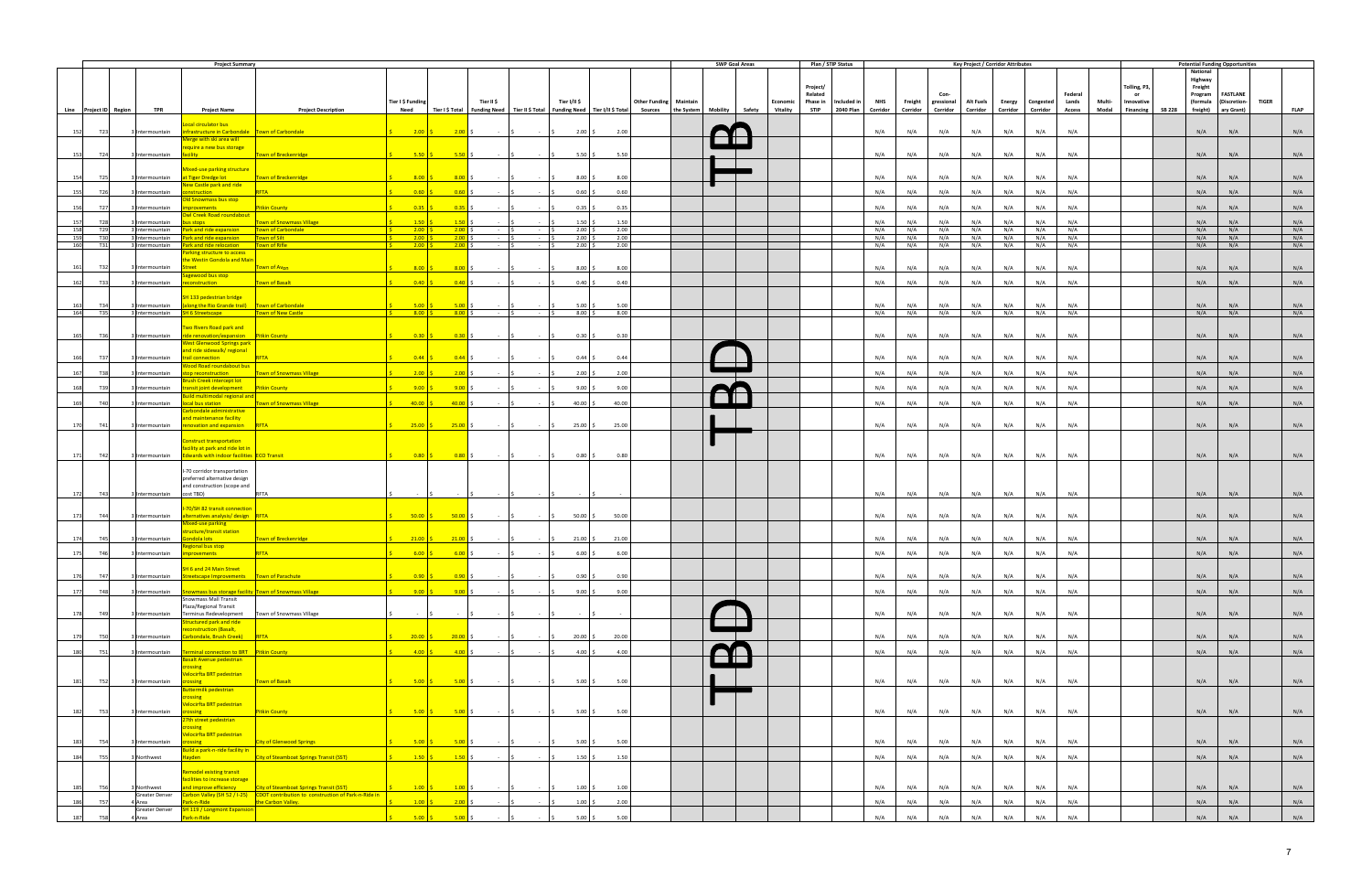|                          |                    | <b>Project Summary</b>                                                                                                                   |                                                                                                                        |                                                                                                               |                                                                                             |                             |                                                                                                                                                                                                                                                                                                                                                                                                                                                                |                                                                                                                                        |                                                                                                                                                |                               | <b>SWP Goal Areas</b> |                     | Plan / STIP Status                          |            |            | <b>Key Project / Corridor Attributes</b>            |                  |            |            |                        |                     | <b>Potential Funding Opportunities</b> |              |             |
|--------------------------|--------------------|------------------------------------------------------------------------------------------------------------------------------------------|------------------------------------------------------------------------------------------------------------------------|---------------------------------------------------------------------------------------------------------------|---------------------------------------------------------------------------------------------|-----------------------------|----------------------------------------------------------------------------------------------------------------------------------------------------------------------------------------------------------------------------------------------------------------------------------------------------------------------------------------------------------------------------------------------------------------------------------------------------------------|----------------------------------------------------------------------------------------------------------------------------------------|------------------------------------------------------------------------------------------------------------------------------------------------|-------------------------------|-----------------------|---------------------|---------------------------------------------|------------|------------|-----------------------------------------------------|------------------|------------|------------|------------------------|---------------------|----------------------------------------|--------------|-------------|
|                          |                    |                                                                                                                                          |                                                                                                                        |                                                                                                               |                                                                                             |                             |                                                                                                                                                                                                                                                                                                                                                                                                                                                                |                                                                                                                                        |                                                                                                                                                |                               |                       |                     |                                             |            |            |                                                     |                  |            |            |                        | <b>National</b>     |                                        |              |             |
|                          |                    |                                                                                                                                          |                                                                                                                        |                                                                                                               |                                                                                             |                             |                                                                                                                                                                                                                                                                                                                                                                                                                                                                |                                                                                                                                        |                                                                                                                                                |                               |                       |                     |                                             |            |            |                                                     |                  |            |            |                        | Highway             |                                        |              |             |
|                          |                    |                                                                                                                                          |                                                                                                                        |                                                                                                               |                                                                                             |                             |                                                                                                                                                                                                                                                                                                                                                                                                                                                                |                                                                                                                                        |                                                                                                                                                |                               |                       | Project/<br>Related |                                             |            |            |                                                     |                  |            | Federal    | Tolling, P3,<br>or     | Freight<br>Program  | <b>FASTLANE</b>                        |              |             |
|                          |                    |                                                                                                                                          |                                                                                                                        | Tier I \$ Funding                                                                                             |                                                                                             | Tier II \$                  |                                                                                                                                                                                                                                                                                                                                                                                                                                                                | Tier I/II \$                                                                                                                           |                                                                                                                                                | <b>Other Funding Maintain</b> |                       |                     | Economic Phase in Included in<br><b>NHS</b> |            |            | Freight gressional Alt Fuels                        | Energy Congested | Lands      | Multi-     | Innovative             |                     | (formula (Discretion-                  | <b>TIGER</b> |             |
| Line Project ID Region   | <b>TPR</b>         | <b>Project Name</b>                                                                                                                      | <b>Project Description</b>                                                                                             | <b>Need</b>                                                                                                   |                                                                                             |                             |                                                                                                                                                                                                                                                                                                                                                                                                                                                                |                                                                                                                                        | Tier I\$ Total Funding Need Tier II\$ Total Funding Need Tier I/II\$ Total Sources the System Mobility Safety Vitality STIP 2040 Plan Corridor |                               |                       |                     |                                             |            |            | Corridor Corridor Corridor Corridor Corridor Access |                  |            |            | Modal Financing SB 228 | freight) ary Grant) |                                        |              | <b>FLAP</b> |
|                          |                    |                                                                                                                                          |                                                                                                                        |                                                                                                               |                                                                                             |                             |                                                                                                                                                                                                                                                                                                                                                                                                                                                                |                                                                                                                                        |                                                                                                                                                |                               |                       |                     |                                             |            |            |                                                     |                  |            |            |                        |                     |                                        |              |             |
|                          |                    | ocal circulator bus                                                                                                                      |                                                                                                                        |                                                                                                               |                                                                                             |                             |                                                                                                                                                                                                                                                                                                                                                                                                                                                                |                                                                                                                                        |                                                                                                                                                |                               |                       |                     |                                             |            |            |                                                     |                  | N/A        |            |                        |                     |                                        |              |             |
| T23<br>152               | Intermountain      | infrastructure in Carbondale Town of Carbondale<br>Merge with ski area will                                                              |                                                                                                                        | $\frac{1}{5}$ 2.00 \$ 2.00 \$                                                                                 |                                                                                             | $ \sqrt{5}$                 | $-15$                                                                                                                                                                                                                                                                                                                                                                                                                                                          | $2.00\frac{1}{5}$                                                                                                                      | 2.00                                                                                                                                           |                               |                       |                     | N/A                                         | N/A        | N/A        | N/A                                                 | N/A              | N/A        |            |                        | N/A                 | N/A                                    |              | N/A         |
|                          |                    | require a new bus storage                                                                                                                |                                                                                                                        |                                                                                                               |                                                                                             |                             |                                                                                                                                                                                                                                                                                                                                                                                                                                                                |                                                                                                                                        |                                                                                                                                                |                               |                       |                     |                                             |            |            |                                                     |                  |            |            |                        |                     |                                        |              |             |
| 153<br><b>T24</b>        |                    | 3 Intermountain facility and the state of the state of the state of the state of the state of the state of the                           | Town of Breckenridge                                                                                                   |                                                                                                               |                                                                                             |                             | $\begin{array}{ccccccc} \textbf{5.50} & \textbf{\large\textsf{S}} & \textbf{5.50} & \textbf{\large\textsf{S}} & \textbf{5.50} & \textbf{\large\textsf{S}} & \textbf{5.50} & \textbf{\large\textsf{S}} & \textbf{5.50} & \textbf{\large\textsf{S}} & \textbf{5.50} & \textbf{\large\textsf{S}} & \textbf{5.50} & \textbf{\large\textsf{S}} & \textbf{5.50} & \textbf{\large\textsf{S}} & \textbf{5.50} & \textbf{\large\textsf{S}} & \textbf{5.50} & \textbf{\$ | $5.50$ \$                                                                                                                              | 5.50                                                                                                                                           |                               |                       |                     | N/A                                         | N/A        | N/A        | N/A                                                 | N/A              | N/A        | N/A        |                        | N/A                 | N/A                                    |              | N/A         |
|                          |                    |                                                                                                                                          |                                                                                                                        |                                                                                                               |                                                                                             |                             |                                                                                                                                                                                                                                                                                                                                                                                                                                                                |                                                                                                                                        |                                                                                                                                                |                               |                       |                     |                                             |            |            |                                                     |                  |            |            |                        |                     |                                        |              |             |
|                          |                    | Mixed-use parking structure                                                                                                              |                                                                                                                        |                                                                                                               |                                                                                             |                             |                                                                                                                                                                                                                                                                                                                                                                                                                                                                |                                                                                                                                        |                                                                                                                                                |                               |                       |                     |                                             |            |            |                                                     |                  |            |            |                        |                     |                                        |              |             |
| T25<br>154               |                    | 3 Intermountain at Tiger Dredge lot Town of Breckenridge                                                                                 |                                                                                                                        |                                                                                                               | $8.00 \div 8.00$ \$                                                                         | $ \sqrt{5}$                 | $\sim$ $\sim$ 15                                                                                                                                                                                                                                                                                                                                                                                                                                               | $8.00$ \$                                                                                                                              | 8.00                                                                                                                                           |                               |                       |                     | N/A                                         | N/A        | N/A        | N/A                                                 | N/A              | N/A<br>N/A |            |                        | N/A                 | N/A                                    |              | N/A         |
| 155<br>T26               | Intermountain      | New Castle park and ride<br>onstruction                                                                                                  | RFTA                                                                                                                   | $0.60$ $\sqrt{5}$                                                                                             | $0.60$ \$                                                                                   | - IS                        | <b>Contractor</b>                                                                                                                                                                                                                                                                                                                                                                                                                                              | $0.60$ \$                                                                                                                              | 0.60                                                                                                                                           |                               |                       |                     | N/A                                         | N/A        | N/A        | N/A                                                 | N/A              | N/A        | N/A        |                        | N/A                 | N/A                                    |              | N/A         |
|                          |                    | <b>Old Snowmass bus stop</b>                                                                                                             |                                                                                                                        |                                                                                                               |                                                                                             |                             |                                                                                                                                                                                                                                                                                                                                                                                                                                                                |                                                                                                                                        |                                                                                                                                                |                               |                       |                     |                                             |            |            |                                                     |                  |            |            |                        |                     |                                        |              |             |
| T <sub>27</sub><br>156   | Intermountain      | nprovements and the                                                                                                                      | <b>Pitkin County</b>                                                                                                   | $0.35$ $\frac{5}{5}$                                                                                          | $\overline{0.35}$ :                                                                         |                             | <b>Contract</b>                                                                                                                                                                                                                                                                                                                                                                                                                                                | $0.35$ \$                                                                                                                              | 0.35                                                                                                                                           |                               |                       |                     | N/A                                         | N/A        | N/A        | N/A                                                 | N/A              | N/A        | N/A        |                        | N/A                 | N/A                                    |              | N/A         |
|                          |                    | Owl Creek Road roundabout                                                                                                                |                                                                                                                        |                                                                                                               |                                                                                             |                             |                                                                                                                                                                                                                                                                                                                                                                                                                                                                |                                                                                                                                        |                                                                                                                                                |                               |                       |                     |                                             |            |            |                                                     |                  |            |            |                        |                     |                                        |              |             |
| 157<br>T28               | Intermountain      | <u>us stops and the stop in the stop in the stop in the stop in the stop in the stop in the stop in the stop in the s</u>                | Town of Snowmass Village                                                                                               | $1.50$ \$                                                                                                     | $1.50$ \$                                                                                   |                             |                                                                                                                                                                                                                                                                                                                                                                                                                                                                | 1.50S                                                                                                                                  | 1.50                                                                                                                                           |                               |                       |                     | N/A                                         | N/A        | N/A        | N/A                                                 | N/A              | N/A        | N/A        |                        | N/A                 | N/A                                    |              | N/A         |
| 158<br>T29<br>159<br>T30 | 3 Intermountain    | 3 Intermountain Park and ride expansion Town of Carbondale<br><b>Park and ride expansion   Town of Silt</b>                              |                                                                                                                        | $2.00$ \$<br><u>is i</u><br>$\frac{\sin 200}{\sin 5}$                                                         | $2.00$ \$<br>$2.00$ \$                                                                      | $ \sqrt{S}$<br>$ \sim$      | $-15$                                                                                                                                                                                                                                                                                                                                                                                                                                                          | $2.00$ \$<br>$2.00$ \$                                                                                                                 | 2.00<br>2.00                                                                                                                                   |                               |                       |                     | N/A<br>N/A                                  | N/A<br>N/A | N/A<br>N/A | N/A<br>N/A                                          | N/A<br>N/A       | N/A<br>N/A | N/A<br>N/A |                        | N/A<br>N/A          | N/A<br>N/A                             |              | N/A<br>N/A  |
| 160<br>T31               |                    | 3 Intermountain Park and ride relocation                                                                                                 | Town of Rifle                                                                                                          |                                                                                                               |                                                                                             | $ \sqrt{5}$                 | $\sim$ $\sim$ $\sim$ $\sim$                                                                                                                                                                                                                                                                                                                                                                                                                                    | $2.00$ S                                                                                                                               | 2.00                                                                                                                                           |                               |                       |                     | N/A                                         | N/A        | N/A        | N/A                                                 | N/A              | N/A<br>N/A |            |                        | N/A                 | N/A                                    |              | N/A         |
|                          |                    | Parking structure to access                                                                                                              |                                                                                                                        |                                                                                                               |                                                                                             |                             |                                                                                                                                                                                                                                                                                                                                                                                                                                                                |                                                                                                                                        |                                                                                                                                                |                               |                       |                     |                                             |            |            |                                                     |                  |            |            |                        |                     |                                        |              |             |
|                          |                    | the Westin Gondola and Main                                                                                                              |                                                                                                                        |                                                                                                               |                                                                                             |                             |                                                                                                                                                                                                                                                                                                                                                                                                                                                                |                                                                                                                                        |                                                                                                                                                |                               |                       |                     |                                             |            |            |                                                     |                  |            |            |                        |                     |                                        |              |             |
| 161<br><b>T32</b>        | 3 Intermountain    | <b>Street Allen Street</b>                                                                                                               | Town of Avon                                                                                                           |                                                                                                               | $8.00 \div 8.00$ \$                                                                         | $-15$                       | $-5$                                                                                                                                                                                                                                                                                                                                                                                                                                                           | $8.00$ \$                                                                                                                              | 8.00                                                                                                                                           |                               |                       |                     | N/A                                         | N/A        | N/A        | N/A                                                 | N/A              | N/A        | N/A        |                        | N/A                 | N/A                                    |              | N/A         |
|                          |                    | Sagewood bus stop                                                                                                                        |                                                                                                                        |                                                                                                               |                                                                                             |                             |                                                                                                                                                                                                                                                                                                                                                                                                                                                                |                                                                                                                                        |                                                                                                                                                |                               |                       |                     |                                             |            |            |                                                     |                  |            |            |                        |                     |                                        |              |             |
| 162<br><b>T33</b>        | 3 Intermountain    | reconstruction                                                                                                                           | Town of Basalt                                                                                                         | $0.40$ $\vert$ \$                                                                                             | $0.40\degree$ \$                                                                            | $-5$                        | $-5$                                                                                                                                                                                                                                                                                                                                                                                                                                                           | $0.40$ \$                                                                                                                              | 0.40                                                                                                                                           |                               |                       |                     | N/A                                         | N/A        | N/A        | N/A                                                 | N/A              | N/A        | N/A        |                        | N/A                 | N/A                                    |              | N/A         |
|                          |                    | <b>SH 133 pedestrian bridge</b>                                                                                                          |                                                                                                                        |                                                                                                               |                                                                                             |                             |                                                                                                                                                                                                                                                                                                                                                                                                                                                                |                                                                                                                                        |                                                                                                                                                |                               |                       |                     |                                             |            |            |                                                     |                  |            |            |                        |                     |                                        |              |             |
| <b>T34</b><br>163        |                    | 3 Intermountain (along the Rio Grande trail) Town of Carbondale                                                                          |                                                                                                                        |                                                                                                               |                                                                                             | $\sim$ $\sim$               | <b>Contract</b>                                                                                                                                                                                                                                                                                                                                                                                                                                                | $5.00$ \$                                                                                                                              | 5.00                                                                                                                                           |                               |                       |                     | N/A                                         | N/A        | N/A        | N/A                                                 | N/A              | N/A        | N/A        |                        | N/A                 | N/A                                    |              | N/A         |
| 164<br><b>T35</b>        |                    | 3 Intermountain SH 6 Streetscape Town of New Castle                                                                                      |                                                                                                                        | $\begin{array}{ c c c c c }\n\hline\n\text{S} & \text{8.00} & \text{S} & \text{8.00} & \text{S}\n\end{array}$ |                                                                                             | $ \sqrt{5}$                 | $\sim$ $\sim$ $\sim$ $\sim$ $\sim$                                                                                                                                                                                                                                                                                                                                                                                                                             | $8.00\%$                                                                                                                               | 8.00                                                                                                                                           |                               |                       |                     | N/A                                         | N/A        | N/A        | N/A                                                 | N/A              | N/A<br>N/A |            |                        | N/A                 | N/A                                    |              | N/A         |
|                          |                    | Two Rivers Road park and                                                                                                                 |                                                                                                                        |                                                                                                               |                                                                                             |                             |                                                                                                                                                                                                                                                                                                                                                                                                                                                                |                                                                                                                                        |                                                                                                                                                |                               |                       |                     |                                             |            |            |                                                     |                  |            |            |                        |                     |                                        |              |             |
| 165<br><b>T36</b>        |                    | 3 Intermountain ride renovation/expansion Pitkin County                                                                                  |                                                                                                                        |                                                                                                               | $0.30 \,   \, \text{S}$ 0.30 \ \$                                                           |                             |                                                                                                                                                                                                                                                                                                                                                                                                                                                                |                                                                                                                                        | 0.30                                                                                                                                           |                               |                       |                     | N/A                                         | N/A        | N/A        | N/A                                                 | N/A              | N/A<br>N/A |            |                        | N/A                 | N/A                                    |              | N/A         |
|                          |                    | <b>West Glenwood Springs park</b>                                                                                                        |                                                                                                                        |                                                                                                               |                                                                                             |                             |                                                                                                                                                                                                                                                                                                                                                                                                                                                                |                                                                                                                                        |                                                                                                                                                |                               |                       |                     |                                             |            |            |                                                     |                  |            |            |                        |                     |                                        |              |             |
|                          |                    | and ride sidewalk/ regional                                                                                                              |                                                                                                                        |                                                                                                               |                                                                                             |                             |                                                                                                                                                                                                                                                                                                                                                                                                                                                                |                                                                                                                                        |                                                                                                                                                |                               |                       |                     |                                             |            |            |                                                     |                  |            |            |                        |                     |                                        |              |             |
| T37<br>166               |                    | 3 Intermountain <b>trail connection</b>                                                                                                  | RETA                                                                                                                   |                                                                                                               | $0.44 \begin{pmatrix} 5 \end{pmatrix} 0.44 \begin{pmatrix} 5 \end{pmatrix}$                 | $-5$                        | $-5$                                                                                                                                                                                                                                                                                                                                                                                                                                                           | $0.44 \,$ \$                                                                                                                           | 0.44                                                                                                                                           |                               |                       |                     | N/A                                         | N/A        | N/A        | N/A                                                 | N/A              | N/A        | N/A        |                        | N/A                 | N/A                                    |              | N/A         |
|                          |                    | Wood Road roundabout bus                                                                                                                 |                                                                                                                        |                                                                                                               |                                                                                             |                             |                                                                                                                                                                                                                                                                                                                                                                                                                                                                |                                                                                                                                        |                                                                                                                                                |                               |                       |                     |                                             |            |            |                                                     |                  |            |            |                        |                     |                                        |              |             |
| <b>T38</b><br>167        | lIntermountain     | <b>Srush Creek intercept lot</b>                                                                                                         | <b>The Second Contract of Science Contract Contract Contract Contract Contract Contract Contract Contract Contract</b> | $\frac{1}{5}$ 2.00 \$ 2.00 \$                                                                                 |                                                                                             | $-15$                       | <b>Contractor</b>                                                                                                                                                                                                                                                                                                                                                                                                                                              | $2.00$ \$                                                                                                                              | 2.00                                                                                                                                           |                               |                       |                     | N/A                                         | N/A        | N/A        | N/A                                                 | N/A              | N/A        | N/A        |                        | N/A                 | N/A                                    |              | N/A         |
| T39<br>168               | Intermountain      | transit joint development Pitkin County                                                                                                  |                                                                                                                        | $9.00$ \$                                                                                                     | $9.00$ \$                                                                                   | $-15$                       | <b>Contractor</b>                                                                                                                                                                                                                                                                                                                                                                                                                                              | $9.00$ \$                                                                                                                              | 9.00                                                                                                                                           |                               |                       |                     | N/A                                         | N/A        | N/A        | N/A                                                 | N/A              | N/A<br>N/A |            |                        | N/A                 | N/A                                    |              | N/A         |
|                          |                    | <b>Build multimodal regional and</b>                                                                                                     |                                                                                                                        |                                                                                                               |                                                                                             |                             |                                                                                                                                                                                                                                                                                                                                                                                                                                                                |                                                                                                                                        |                                                                                                                                                |                               |                       |                     |                                             |            |            |                                                     |                  |            |            |                        |                     |                                        |              |             |
| 169<br><b>T40</b>        | Intermountain      | local bus station                                                                                                                        | <b>Example 2018</b> Town of Snowmass Village                                                                           | $40.00$ \$                                                                                                    | $40.00$ \$                                                                                  | $-15$                       | $\sim$ $\sim$ $\sim$                                                                                                                                                                                                                                                                                                                                                                                                                                           | $40.00$ \$                                                                                                                             | 40.00                                                                                                                                          |                               |                       |                     | N/A                                         | N/A        | N/A        | N/A                                                 | N/A              | N/A        | N/A        |                        | N/A                 | N/A                                    |              | N/A         |
|                          |                    | Carbondale administrative<br>and maintenance facility                                                                                    |                                                                                                                        |                                                                                                               |                                                                                             |                             |                                                                                                                                                                                                                                                                                                                                                                                                                                                                |                                                                                                                                        |                                                                                                                                                |                               |                       |                     |                                             |            |            |                                                     |                  |            |            |                        |                     |                                        |              |             |
| 170<br>T41               |                    | 3 Intermountain renovation and expansion RFTA                                                                                            |                                                                                                                        |                                                                                                               |                                                                                             |                             |                                                                                                                                                                                                                                                                                                                                                                                                                                                                | $\begin{vmatrix} 5 & 25.00 & 5 \\ 25.00 & 5 & 25.00 \end{vmatrix}$ \$ = $\begin{vmatrix} 5 & 25.00 & 5 \\ 5 & 25.00 & 5 \end{vmatrix}$ | 25.00                                                                                                                                          |                               |                       |                     | N/A                                         | N/A        | N/A        | N/A                                                 | N/A              | N/A        | N/A        |                        | N/A                 | N/A                                    |              | N/A         |
|                          |                    |                                                                                                                                          |                                                                                                                        |                                                                                                               |                                                                                             |                             |                                                                                                                                                                                                                                                                                                                                                                                                                                                                |                                                                                                                                        |                                                                                                                                                |                               |                       |                     |                                             |            |            |                                                     |                  |            |            |                        |                     |                                        |              |             |
|                          |                    | onstruct transportation                                                                                                                  |                                                                                                                        |                                                                                                               |                                                                                             |                             |                                                                                                                                                                                                                                                                                                                                                                                                                                                                |                                                                                                                                        |                                                                                                                                                |                               |                       |                     |                                             |            |            |                                                     |                  |            |            |                        |                     |                                        |              |             |
|                          |                    | facility at park and ride lot in                                                                                                         |                                                                                                                        |                                                                                                               |                                                                                             |                             |                                                                                                                                                                                                                                                                                                                                                                                                                                                                |                                                                                                                                        |                                                                                                                                                |                               |                       |                     |                                             |            |            |                                                     |                  |            |            |                        |                     |                                        |              |             |
| 171<br>T42               |                    | 3 Intermountain Edwards with indoor facilities ECO Transit                                                                               |                                                                                                                        | $\begin{array}{ c c c c c }\n\hline\n\text{S} & \text{0.80} & \text{S} & \text{0.80} & \text{S}\n\end{array}$ |                                                                                             |                             |                                                                                                                                                                                                                                                                                                                                                                                                                                                                | $ \begin{vmatrix} 5 & -15 \end{vmatrix}$ $-$ 0.80 $\begin{vmatrix} 5 & 0 \end{vmatrix}$                                                | 0.80                                                                                                                                           |                               |                       |                     | N/A                                         | N/A        | N/A        | N/A                                                 | N/A              | N/A<br>N/A |            |                        | N/A                 | N/A                                    |              | N/A         |
|                          |                    | I-70 corridor transportation                                                                                                             |                                                                                                                        |                                                                                                               |                                                                                             |                             |                                                                                                                                                                                                                                                                                                                                                                                                                                                                |                                                                                                                                        |                                                                                                                                                |                               |                       |                     |                                             |            |            |                                                     |                  |            |            |                        |                     |                                        |              |             |
|                          |                    | preferred alternative design                                                                                                             |                                                                                                                        |                                                                                                               |                                                                                             |                             |                                                                                                                                                                                                                                                                                                                                                                                                                                                                |                                                                                                                                        |                                                                                                                                                |                               |                       |                     |                                             |            |            |                                                     |                  |            |            |                        |                     |                                        |              |             |
|                          |                    | and construction (scope and                                                                                                              |                                                                                                                        |                                                                                                               |                                                                                             |                             |                                                                                                                                                                                                                                                                                                                                                                                                                                                                |                                                                                                                                        |                                                                                                                                                |                               |                       |                     |                                             |            |            |                                                     |                  |            |            |                        |                     |                                        |              |             |
| T43<br>172               | 3 Intermountain    | cost TBD)                                                                                                                                | <b>RFTA</b>                                                                                                            | $\sim 10^{-1}$                                                                                                |                                                                                             |                             | <b>Contractor</b>                                                                                                                                                                                                                                                                                                                                                                                                                                              | $\sim$ 5                                                                                                                               |                                                                                                                                                |                               |                       |                     | N/A                                         | N/A        | N/A        | N/A                                                 | N/A              | N/A<br>N/A |            |                        | N/A                 | N/A                                    |              | N/A         |
|                          |                    | -70/SH 82 transit connection                                                                                                             |                                                                                                                        |                                                                                                               |                                                                                             |                             |                                                                                                                                                                                                                                                                                                                                                                                                                                                                |                                                                                                                                        |                                                                                                                                                |                               |                       |                     |                                             |            |            |                                                     |                  |            |            |                        |                     |                                        |              |             |
| 173<br>T44               | 3 Intermountain    | alternatives analysis/ design RFTA                                                                                                       |                                                                                                                        |                                                                                                               | $50.00$ \$ 50.00 \$                                                                         |                             |                                                                                                                                                                                                                                                                                                                                                                                                                                                                |                                                                                                                                        | 50.00                                                                                                                                          |                               |                       |                     | N/A                                         | N/A        | N/A        | N/A                                                 | N/A              | N/A<br>N/A |            |                        | N/A                 | N/A                                    |              | N/A         |
|                          |                    | Mixed-use parking                                                                                                                        |                                                                                                                        |                                                                                                               |                                                                                             |                             |                                                                                                                                                                                                                                                                                                                                                                                                                                                                |                                                                                                                                        |                                                                                                                                                |                               |                       |                     |                                             |            |            |                                                     |                  |            |            |                        |                     |                                        |              |             |
|                          |                    | tructure/transit station                                                                                                                 |                                                                                                                        |                                                                                                               |                                                                                             |                             |                                                                                                                                                                                                                                                                                                                                                                                                                                                                |                                                                                                                                        |                                                                                                                                                |                               |                       |                     |                                             |            |            |                                                     |                  |            |            |                        |                     |                                        |              |             |
| 174<br><b>T45</b>        | 3 Intermountain    | iondola lots                                                                                                                             | Town of Breckenridge                                                                                                   |                                                                                                               | $21.00 \tbinom{6}{5} 21.00 \tbinom{6}{5}$                                                   | $-5$                        | $ \vert$ \$                                                                                                                                                                                                                                                                                                                                                                                                                                                    | $21.00$ \$                                                                                                                             | 21.00                                                                                                                                          |                               |                       |                     | N/A                                         | N/A        | N/A        | N/A                                                 | N/A              | N/A        | N/A        |                        | N/A                 | N/A                                    |              | N/A         |
| 175<br>T46               | 3 Intermountain    | egional bus stop<br>mprovements                                                                                                          | RFTA                                                                                                                   | $6.00$ $\mid$ \$                                                                                              | $6.00$ \$                                                                                   |                             | $ \vert$ s $ \vert$ s                                                                                                                                                                                                                                                                                                                                                                                                                                          | $6.00$ \$                                                                                                                              | 6.00                                                                                                                                           |                               |                       |                     | N/A                                         | N/A        | N/A        | N/A                                                 | N/A              | N/A        | N/A        |                        | N/A                 | N/A                                    |              | N/A         |
|                          |                    |                                                                                                                                          |                                                                                                                        |                                                                                                               |                                                                                             |                             |                                                                                                                                                                                                                                                                                                                                                                                                                                                                |                                                                                                                                        |                                                                                                                                                |                               |                       |                     |                                             |            |            |                                                     |                  |            |            |                        |                     |                                        |              |             |
|                          |                    | SH 6 and 24 Main Street                                                                                                                  |                                                                                                                        |                                                                                                               |                                                                                             |                             |                                                                                                                                                                                                                                                                                                                                                                                                                                                                |                                                                                                                                        |                                                                                                                                                |                               |                       |                     |                                             |            |            |                                                     |                  |            |            |                        |                     |                                        |              |             |
| T47<br>176               | Intermountain      | treetscape Improvements Town of Parachute                                                                                                |                                                                                                                        | $0.90$ \$                                                                                                     | $\begin{array}{ c c c c c } \hline \quad & 0.90 & \text{\$} \end{array}$                    |                             |                                                                                                                                                                                                                                                                                                                                                                                                                                                                | $0.90$ \$                                                                                                                              | 0.90                                                                                                                                           |                               |                       |                     | N/A                                         | N/A        | N/A        | N/A                                                 | N/A              | N/A<br>N/A |            |                        | N/A                 | N/A                                    |              | N/A         |
|                          |                    |                                                                                                                                          |                                                                                                                        |                                                                                                               | $9.00 \begin{array}{ c c c c c } \hline 9.00 & \text{\textcircled{s}} \ \hline \end{array}$ | $\sim$ $\sim$ $\sim$ $\sim$ | $\sim$ $\sim$ $\sim$                                                                                                                                                                                                                                                                                                                                                                                                                                           |                                                                                                                                        |                                                                                                                                                |                               |                       |                     |                                             |            |            |                                                     |                  |            | N/A        |                        | N/A                 | N/A                                    |              |             |
| 177<br><b>T48</b>        |                    | 3 Intermountain Snowmass bus storage facility Town of Snowmass Village<br>Snowmass Mall Transit                                          |                                                                                                                        |                                                                                                               |                                                                                             |                             |                                                                                                                                                                                                                                                                                                                                                                                                                                                                | $9.00$ \$                                                                                                                              | 9.00                                                                                                                                           |                               |                       |                     | N/A                                         | N/A        | N/A        | N/A                                                 | N/A              | N/A        |            |                        |                     |                                        |              | N/A         |
|                          |                    | Plaza/Regional Transit                                                                                                                   |                                                                                                                        |                                                                                                               |                                                                                             |                             |                                                                                                                                                                                                                                                                                                                                                                                                                                                                |                                                                                                                                        |                                                                                                                                                |                               |                       |                     |                                             |            |            |                                                     |                  |            |            |                        |                     |                                        |              |             |
| 178<br>T49               | 3 Intermountain    | Terminus Redevelopment   Town of Snowmass Village                                                                                        |                                                                                                                        | $\sim 100$                                                                                                    |                                                                                             |                             | $ \begin{array}{ccc} \cdot & \cdot & \cdot & \cdot & \cdot \end{array}$                                                                                                                                                                                                                                                                                                                                                                                        | $\sim$ $\sim$ $\sim$ $\sim$                                                                                                            | $\sim$ 10 $\pm$                                                                                                                                |                               |                       |                     | N/A                                         | N/A        | N/A        | N/A                                                 | N/A              | N/A        | N/A        |                        | N/A                 | N/A                                    |              | N/A         |
|                          |                    | <b>Structured park and ride</b>                                                                                                          |                                                                                                                        |                                                                                                               |                                                                                             |                             |                                                                                                                                                                                                                                                                                                                                                                                                                                                                |                                                                                                                                        |                                                                                                                                                |                               |                       |                     |                                             |            |            |                                                     |                  |            |            |                        |                     |                                        |              |             |
| 179<br><b>T50</b>        |                    | econstruction (Basalt,<br>3 Intermountain Carbondale, Brush Creek) RFTA                                                                  |                                                                                                                        |                                                                                                               | $20.00 \t\t \t\t 20.00 \t\t \t\t \t\t 5$                                                    | $-5$                        | $\sim$ $\vert$ S                                                                                                                                                                                                                                                                                                                                                                                                                                               | $20.00$ \$                                                                                                                             | 20.00                                                                                                                                          |                               |                       |                     | N/A                                         | N/A        | N/A        | N/A                                                 | N/A              | N/A        | N/A        |                        | N/A                 | N/A                                    |              | N/A         |
|                          |                    |                                                                                                                                          |                                                                                                                        |                                                                                                               |                                                                                             |                             |                                                                                                                                                                                                                                                                                                                                                                                                                                                                |                                                                                                                                        |                                                                                                                                                |                               |                       |                     |                                             |            |            |                                                     |                  |            |            |                        |                     |                                        |              |             |
| 180<br>T51               | Intermountain      | <b>Terminal connection to BRT</b> Pitkin County                                                                                          |                                                                                                                        | $4.00$ $\vert$ \$                                                                                             | $4.00$ \$                                                                                   | $-5$                        | <b>Contract</b>                                                                                                                                                                                                                                                                                                                                                                                                                                                | $4.00$ \$                                                                                                                              | 4.00                                                                                                                                           |                               |                       |                     | N/A                                         | N/A        | N/A        | N/A                                                 | N/A              | N/A<br>N/A |            |                        | N/A                 | N/A                                    |              | N/A         |
|                          |                    | Basalt Avenue pedestrian                                                                                                                 |                                                                                                                        |                                                                                                               |                                                                                             |                             |                                                                                                                                                                                                                                                                                                                                                                                                                                                                |                                                                                                                                        |                                                                                                                                                |                               |                       |                     |                                             |            |            |                                                     |                  |            |            |                        |                     |                                        |              |             |
|                          |                    | rossing<br><b>Velocirfta BRT pedestrian</b>                                                                                              |                                                                                                                        |                                                                                                               |                                                                                             |                             |                                                                                                                                                                                                                                                                                                                                                                                                                                                                |                                                                                                                                        |                                                                                                                                                |                               |                       |                     |                                             |            |            |                                                     |                  |            |            |                        |                     |                                        |              |             |
| <b>T52</b><br>181        | 3 Intermountain    | <b>Experience Service Service Service</b>                                                                                                | Town of Basalt                                                                                                         |                                                                                                               |                                                                                             |                             | $\begin{array}{ccccccc} 5.00 & \zeta & 5.00 & \zeta & - & \zeta & - & \zeta \end{array}$                                                                                                                                                                                                                                                                                                                                                                       |                                                                                                                                        | $5.00\,$ \$ 5.00                                                                                                                               |                               |                       |                     | N/A                                         | N/A        | N/A        | N/A                                                 | N/A              | N/A        | N/A        |                        | N/A                 | N/A                                    |              | N/A         |
|                          |                    | Buttermilk pedestrian                                                                                                                    |                                                                                                                        |                                                                                                               |                                                                                             |                             |                                                                                                                                                                                                                                                                                                                                                                                                                                                                |                                                                                                                                        |                                                                                                                                                |                               |                       |                     |                                             |            |            |                                                     |                  |            |            |                        |                     |                                        |              |             |
|                          |                    | rossing                                                                                                                                  |                                                                                                                        |                                                                                                               |                                                                                             |                             |                                                                                                                                                                                                                                                                                                                                                                                                                                                                |                                                                                                                                        |                                                                                                                                                |                               |                       |                     |                                             |            |            |                                                     |                  |            |            |                        |                     |                                        |              |             |
| 182<br><b>T53</b>        | 3 Intermountain    | <b>Velocirfta BRT pedestrian</b>                                                                                                         | <b>Pitkin County</b>                                                                                                   |                                                                                                               |                                                                                             |                             | $\begin{array}{ccccccc} 5.00 & \text{S} & \text{5.00} & \text{S} & \text{B} & \text{S} & \text{C} \end{array}$                                                                                                                                                                                                                                                                                                                                                 | $5.00$ \$                                                                                                                              | 5.00                                                                                                                                           |                               |                       |                     | N/A                                         | N/A        | N/A        | N/A                                                 | N/A              | N/A        | N/A        |                        | N/A                 | N/A                                    |              | N/A         |
|                          |                    | rossing and the state of the state of the state of the state of the state of the state of the state of the sta<br>27th street pedestrian |                                                                                                                        |                                                                                                               |                                                                                             |                             |                                                                                                                                                                                                                                                                                                                                                                                                                                                                |                                                                                                                                        |                                                                                                                                                |                               |                       |                     |                                             |            |            |                                                     |                  |            |            |                        |                     |                                        |              |             |
|                          |                    | rossing                                                                                                                                  |                                                                                                                        |                                                                                                               |                                                                                             |                             |                                                                                                                                                                                                                                                                                                                                                                                                                                                                |                                                                                                                                        |                                                                                                                                                |                               |                       |                     |                                             |            |            |                                                     |                  |            |            |                        |                     |                                        |              |             |
|                          |                    | <b>Velocirfta BRT pedestrian</b>                                                                                                         |                                                                                                                        |                                                                                                               |                                                                                             |                             |                                                                                                                                                                                                                                                                                                                                                                                                                                                                |                                                                                                                                        |                                                                                                                                                |                               |                       |                     |                                             |            |            |                                                     |                  |            |            |                        |                     |                                        |              |             |
| 183<br>T54               | 3 Intermountain    | <mark>crossing</mark> and the                                                                                                            | <b>City of Glenwood Springs</b>                                                                                        |                                                                                                               |                                                                                             |                             | $\begin{array}{ccccccc} 5.00 & \zeta & 5.00 & \zeta & - & \zeta & - & \zeta \end{array}$                                                                                                                                                                                                                                                                                                                                                                       | $5.00$ \$                                                                                                                              | 5.00                                                                                                                                           |                               |                       |                     | N/A                                         | N/A        | N/A        | N/A                                                 | N/A              | N/A<br>N/A |            |                        | N/A                 | N/A                                    |              | N/A         |
| 184<br><b>T55</b>        | <b>B</b> Northwest | Build a park-n-ride facility in<br>Hayden and                                                                                            | <b>City of Steamboat Springs Transit (SST)</b>                                                                         |                                                                                                               | $1.50 \S$ $1.50 \S$                                                                         | $ \sqrt{5}$                 | $\sim$ $\sim$ $\sim$ $\sim$                                                                                                                                                                                                                                                                                                                                                                                                                                    | 1.50S                                                                                                                                  | 1.50                                                                                                                                           |                               |                       |                     | N/A                                         | N/A        | N/A        | N/A                                                 | N/A              | N/A        | N/A        |                        | N/A                 | N/A                                    |              | N/A         |
|                          |                    |                                                                                                                                          |                                                                                                                        |                                                                                                               |                                                                                             |                             |                                                                                                                                                                                                                                                                                                                                                                                                                                                                |                                                                                                                                        |                                                                                                                                                |                               |                       |                     |                                             |            |            |                                                     |                  |            |            |                        |                     |                                        |              |             |
|                          |                    | <b>Remodel existing transit</b>                                                                                                          |                                                                                                                        |                                                                                                               |                                                                                             |                             |                                                                                                                                                                                                                                                                                                                                                                                                                                                                |                                                                                                                                        |                                                                                                                                                |                               |                       |                     |                                             |            |            |                                                     |                  |            |            |                        |                     |                                        |              |             |
|                          |                    | facilities to increase storage                                                                                                           |                                                                                                                        |                                                                                                               |                                                                                             |                             |                                                                                                                                                                                                                                                                                                                                                                                                                                                                |                                                                                                                                        |                                                                                                                                                |                               |                       |                     |                                             |            |            |                                                     |                  |            |            |                        |                     |                                        |              |             |
| 185<br><b>T56</b>        | 3 Northwest        |                                                                                                                                          | and improve efficiency City of Steamboat Springs Transit (SST)                                                         |                                                                                                               |                                                                                             |                             | $\begin{array}{ccccccc} 1.00 & \zeta & 1.00 & \zeta & - & \zeta & - & \zeta \end{array}$                                                                                                                                                                                                                                                                                                                                                                       | $1.00 \,$ \$                                                                                                                           | 1.00                                                                                                                                           |                               |                       |                     | N/A                                         | N/A        | N/A        | N/A                                                 | N/A              | N/A<br>N/A |            |                        | N/A                 | N/A                                    |              | N/A         |
| 186<br><b>T57</b>        | 4 Area             | Park-n-Ride                                                                                                                              | Greater Denver Carbon Valley (SH 52 / I-25) CDOT contribution to construction of Park-n-Ride in<br>the Carbon Valley.  |                                                                                                               | $1.00 \tbinom{1}{5}$ 2.00 \$                                                                | $ \sqrt{5}$                 | <b>Contract</b>                                                                                                                                                                                                                                                                                                                                                                                                                                                | $1.00$ \$                                                                                                                              | 2.00                                                                                                                                           |                               |                       |                     | N/A                                         | N/A        | N/A        | N/A                                                 | N/A              | N/A        | N/A        |                        | N/A                 | N/A                                    |              | N/A         |
|                          |                    | Greater Denver <b>SH 119 / Longmont Expansion</b>                                                                                        |                                                                                                                        |                                                                                                               |                                                                                             |                             |                                                                                                                                                                                                                                                                                                                                                                                                                                                                |                                                                                                                                        |                                                                                                                                                |                               |                       |                     |                                             |            |            |                                                     |                  |            |            |                        |                     |                                        |              |             |
| 187<br><b>T58</b>        | 4 Area             | Park-n-Ride                                                                                                                              |                                                                                                                        |                                                                                                               |                                                                                             | $-5$                        |                                                                                                                                                                                                                                                                                                                                                                                                                                                                | $5.00\%$                                                                                                                               | 5.00                                                                                                                                           |                               |                       |                     | N/A                                         | N/A        | N/A        | N/A                                                 | N/A              | N/A        | N/A        |                        | N/A                 | N/A                                    |              | N/A         |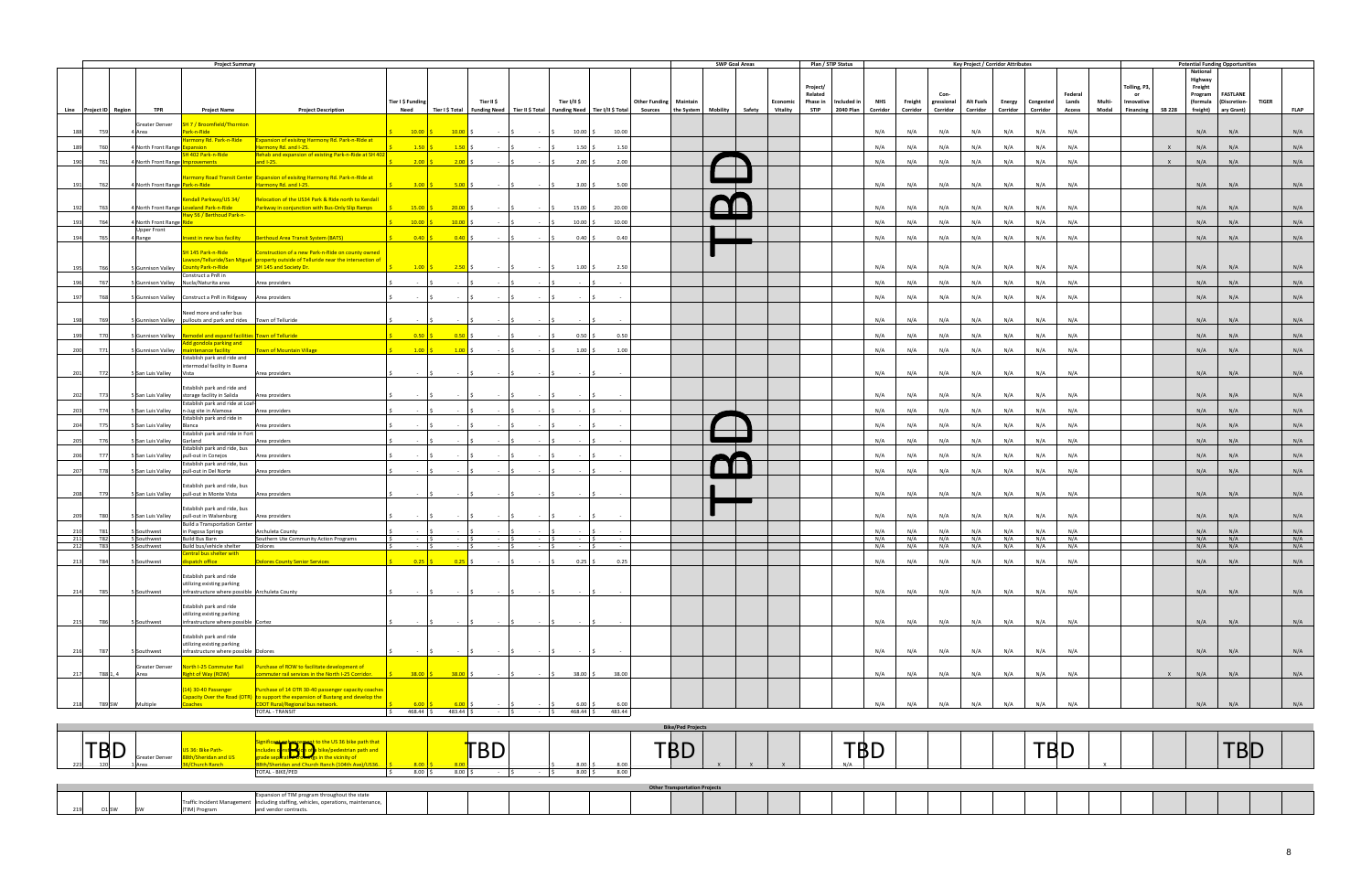|            |                          |               |                                         | <b>Project Summary</b>                                                                       |                                                                                                                      |                                                   |                  |                |                                    |                   |        |                               |                          | <b>SWP Goal Areas</b>                                                                                                                       |                     | Plan / STIP Status                                                   |            |                                | <b>Key Project / Corridor Attributes</b> |                    |                       |                        |                 |                                |              |                                           | <b>Potential Funding Opportunities</b>       |              |             |
|------------|--------------------------|---------------|-----------------------------------------|----------------------------------------------------------------------------------------------|----------------------------------------------------------------------------------------------------------------------|---------------------------------------------------|------------------|----------------|------------------------------------|-------------------|--------|-------------------------------|--------------------------|---------------------------------------------------------------------------------------------------------------------------------------------|---------------------|----------------------------------------------------------------------|------------|--------------------------------|------------------------------------------|--------------------|-----------------------|------------------------|-----------------|--------------------------------|--------------|-------------------------------------------|----------------------------------------------|--------------|-------------|
|            |                          |               |                                         |                                                                                              |                                                                                                                      |                                                   |                  |                |                                    |                   |        |                               |                          |                                                                                                                                             | Project/<br>Related |                                                                      |            | Con-                           |                                          |                    |                       | Federal                |                 | Tolling, P3,<br>or             |              | National<br>Highway<br>Freight<br>Program | <b>FASTLANE</b>                              |              |             |
|            | Line Project ID Region   |               | <b>TPR</b>                              | <b>Project Name</b>                                                                          | <b>Project Description</b>                                                                                           | Tier I \$ Funding<br>Need                         |                  | Tier II \$     |                                    | Tier I/II \$      |        | <b>Other Funding Maintain</b> |                          | Tier I \$ Total   Funding Need   Tier II \$ Total   Funding Need   Tier I/II \$ Total   Sources   the System   Mobility   Safety   Vitality | <b>STIP</b>         | Economic Phase in Included in<br><b>NHS</b><br>2040 Plan<br>Corridor | Corridor   | Freight gressional<br>Corridor | Alt Fuels<br>Corridor                    | Energy<br>Corridor | Congested<br>Corridor | Lands<br><b>Access</b> | Multi-<br>Modal | Innovative<br>Financing SB 228 |              |                                           | (formula (Discretion-<br>freight) ary Grant) | <b>TIGER</b> | <b>FLAP</b> |
| 188        | <b>T59</b>               |               | Greater Denver                          | SH 7 / Broomfield/Thornton<br>Park-n-Ride                                                    |                                                                                                                      |                                                   |                  |                |                                    | $10.00$ \$        | 10.00  |                               |                          |                                                                                                                                             |                     | N/A                                                                  | N/A        | N/A                            | N/A                                      | N/A                | N/A                   | N/A                    |                 |                                |              | N/A                                       | N/A                                          |              | N/A         |
|            |                          |               | 4 Area                                  | Harmony Rd. Park-n-Ride                                                                      | <b>Expansion of exisitng Harmony Rd. Park-n-Ride at</b>                                                              | $10.00$ \$                                        | $10.00$ \$       |                |                                    |                   |        |                               |                          |                                                                                                                                             |                     |                                                                      |            |                                |                                          |                    |                       |                        |                 |                                |              |                                           |                                              |              |             |
|            | 189<br><b>T60</b>        |               | 4 North Front Range Expansion           |                                                                                              | Harmony Rd. and I-25.                                                                                                | 1.50                                              | $1.50$ \$        | $ \sim$ $\sim$ | $\sim$ $\sim$ $\sim$ $\sim$        | $1.50$ \$         | 1.50   |                               |                          |                                                                                                                                             |                     | N/A                                                                  | N/A        | N/A                            | N/A                                      | N/A                | N/A                   | N/A                    |                 |                                | $\mathsf{X}$ | N/A                                       | N/A                                          |              | N/A         |
| 190        | T61                      |               | 4 North Front Range <b>Improvements</b> | SH 402 Park-n-Ride                                                                           | Rehab and expansion of existing Park-n-Ride at SH 402<br>and $1-25$ .                                                | $2.00$ \$                                         | $2.00$ \$        | $-15$          | <b>Contractor</b>                  | $2.00$ \$         | 2.00   |                               |                          |                                                                                                                                             |                     | N/A                                                                  | N/A        | N/A                            | N/A                                      | N/A                | N/A                   | N/A                    |                 |                                | $\mathsf{x}$ | N/A                                       | N/A                                          |              | N/A         |
| 191        | T62                      |               | 4 North Front Range Park-n-Ride         |                                                                                              | Harmony Road Transit Center Expansion of exisitng Harmony Rd. Park-n-RIde at<br>Harmony Rd. and I-25.                | $3.00$ \$                                         | $5.00\degree$ \$ | $ \sqrt{5}$    | $-15$                              | $3.00\frac{1}{5}$ | 5.00   |                               |                          |                                                                                                                                             |                     | N/A                                                                  | N/A        | N/A                            | N/A                                      | N/A                | N/A                   | N/A                    |                 |                                |              | N/A                                       | N/A                                          |              | N/A         |
|            |                          |               |                                         | endall Parkway/US 34/                                                                        | Relocation of the US34 Park & Ride north to Kendall                                                                  |                                                   |                  |                |                                    |                   |        |                               |                          |                                                                                                                                             |                     |                                                                      |            |                                |                                          |                    |                       |                        |                 |                                |              |                                           |                                              |              |             |
| 192        | T63                      |               |                                         | 4 North Front Range Loveland Park-n-Ride<br>Hwy 56 / Berthoud Park-n-                        | Parkway in conjunction with Bus-Only Slip Ramps                                                                      | $15.00$ \$                                        | 20.00            |                |                                    | $15.00$ \$        | 20.00  |                               |                          |                                                                                                                                             |                     | N/A                                                                  | N/A        | N/A                            | N/A                                      | N/A                | N/A                   | N/A                    |                 |                                |              | N/A                                       | N/A                                          |              | N/A         |
| 193        | T64                      |               | 4 North Front Range Ride                |                                                                                              |                                                                                                                      | 10.00                                             | 10.00            |                | $\sim 100$                         | $10.00$ \$        | 10.00  |                               |                          |                                                                                                                                             |                     | N/A                                                                  | N/A        | N/A                            | N/A                                      | N/A                | N/A                   | N/A                    |                 |                                |              | N/A                                       | N/A                                          |              | N/A         |
| 194        | <b>T65</b>               |               | <b>Upper Front</b><br>4 Range           | Invest in new bus facility                                                                   | Berthoud Area Transit System (BATS)                                                                                  | 0.40                                              | $0.40$ \$        |                | $\sim$ $\sim$                      | $0.40\degree$ \$  | 0.40   |                               |                          |                                                                                                                                             |                     | N/A                                                                  | N/A        | N/A                            | N/A                                      | N/A                | N/A                   | N/A                    |                 |                                |              | N/A                                       | N/A                                          |              | N/A         |
|            |                          |               |                                         | SH 145 Park-n-Ride                                                                           | Construction of a new Park-n-Ride on county owned                                                                    |                                                   |                  |                |                                    |                   |        |                               |                          |                                                                                                                                             |                     |                                                                      |            |                                |                                          |                    |                       |                        |                 |                                |              |                                           |                                              |              |             |
| 195        | <b>T66</b>               |               | 5 Gunnison Valley                       | <b>County Park-n-Ride</b>                                                                    | awson/Telluride/San Miguel  property outside of Telluride near the intersection of<br>SH 145 and Society Dr.         | $\frac{1.00}{5}$                                  | $2.50$ \$        |                |                                    | $1.00\%$          | 2.50   |                               |                          |                                                                                                                                             |                     | N/A                                                                  | N/A        | N/A                            | N/A                                      | N/A                | N/A                   | N/A                    |                 |                                |              | N/A                                       | N/A                                          |              | N/A         |
| 196        | T67                      |               |                                         | Construct a PnR in                                                                           |                                                                                                                      |                                                   |                  |                | <b>Contract</b>                    |                   |        |                               |                          |                                                                                                                                             |                     | N/A                                                                  | N/A        | N/A                            | N/A                                      | N/A                |                       | N/A                    |                 |                                |              | N/A                                       | N/A                                          |              | N/A         |
| 197        | <b>T68</b>               |               |                                         | 5 Gunnison Valley Nucla/Naturita area                                                        | Area providers                                                                                                       |                                                   |                  |                |                                    |                   |        |                               |                          |                                                                                                                                             |                     |                                                                      |            |                                |                                          |                    | N/A                   | N/A                    |                 |                                |              |                                           | N/A                                          |              | N/A         |
|            |                          |               |                                         | 5 Gunnison Valley    Construct a PnR in Ridgway    Area providers<br>Need more and safer bus |                                                                                                                      |                                                   |                  |                |                                    |                   |        |                               |                          |                                                                                                                                             |                     | N/A                                                                  | N/A        | N/A                            | N/A                                      | N/A                | N/A                   |                        |                 |                                |              | N/A                                       |                                              |              |             |
| 198        | T69                      |               |                                         | 5 Gunnison Valley   pullouts and park and rides   Town of Telluride                          |                                                                                                                      | $\sim 10^{-1}$                                    |                  |                |                                    |                   |        |                               |                          |                                                                                                                                             |                     | N/A                                                                  | N/A        | N/A                            | N/A                                      | N/A                | N/A                   | N/A                    |                 |                                |              | N/A                                       | N/A                                          |              | N/A         |
| 199        | <b>T70</b>               |               |                                         | 5 Gunnison Valley Remodel and expand facilities Town of Telluride                            |                                                                                                                      | $0.50$ \$                                         | $0.50$ \$        | $\sim$ 1.5     |                                    | $0.50\degree$ \$  | 0.50   |                               |                          |                                                                                                                                             |                     | N/A                                                                  | N/A        | N/A                            | N/A                                      | N/A                | N/A                   | N/A                    |                 |                                |              | N/A                                       | N/A                                          |              | N/A         |
| 200        | T71                      |               |                                         | Add gondola parking and<br>5 Gunnison Valley maintenance facility                            | Town of Mountain Village                                                                                             | $1.00$ \$                                         | $1.00$ \$        |                | <b>Contract</b>                    | $1.00 \,$ \$      | 1.00   |                               |                          |                                                                                                                                             |                     | N/A                                                                  | N/A        | N/A                            | N/A                                      | N/A                | N/A                   | N/A                    |                 |                                |              | N/A                                       | N/A                                          |              | N/A         |
|            |                          |               |                                         | Establish park and ride and<br>intermodal facility in Buena                                  |                                                                                                                      |                                                   |                  |                |                                    |                   |        |                               |                          |                                                                                                                                             |                     |                                                                      |            |                                |                                          |                    |                       |                        |                 |                                |              |                                           |                                              |              |             |
| 201        | T72                      |               | 5 San Luis Valley Vista                 |                                                                                              | Area providers                                                                                                       | $\sim 10^{-1}$                                    | $ \vert$ \$      | $-15$          | $\sim$ $\sim$ $\sim$ $\sim$ $\sim$ | $-5$              |        |                               |                          |                                                                                                                                             |                     | N/A                                                                  | N/A        | N/A                            | N/A                                      | N/A                | N/A                   | N/A                    |                 |                                |              | N/A                                       | N/A                                          |              | N/A         |
| 202        | T73                      |               |                                         | Establish park and ride and<br>5 San Luis Valley storage facility in Salida                  | Area providers                                                                                                       |                                                   |                  |                |                                    |                   |        |                               |                          |                                                                                                                                             |                     | N/A                                                                  | N/A        | N/A                            | N/A                                      | N/A                | N/A                   | N/A                    |                 |                                |              | N/A                                       | N/A                                          |              | N/A         |
| 203        | T74                      |               |                                         | Establish park and ride at Loaf-<br>5 San Luis Valley n-Jug site in Alamosa                  | Area providers                                                                                                       |                                                   |                  |                |                                    |                   |        |                               |                          |                                                                                                                                             |                     | N/A                                                                  | N/A        | N/A                            | N/A                                      | N/A                | N/A                   | N/A                    |                 |                                |              | N/A                                       | N/A                                          |              | N/A         |
| 204        | <b>T75</b>               |               | 5 San Luis Valley Blanca                | Establish park and ride in                                                                   | Area providers                                                                                                       |                                                   |                  |                |                                    |                   |        |                               |                          |                                                                                                                                             |                     | N/A                                                                  | N/A        | N/A                            | N/A                                      | N/A                | N/A                   | N/A                    |                 |                                |              | N/A                                       | N/A                                          |              | N/A         |
|            | T76                      |               |                                         | Establish park and ride in Fort<br>Garland                                                   |                                                                                                                      |                                                   |                  |                |                                    |                   |        |                               |                          |                                                                                                                                             |                     | N/A                                                                  | N/A        | N/A                            | N/A                                      | N/A                | N/A                   | N/A                    |                 |                                |              | N/A                                       | N/A                                          |              | N/A         |
| 205        |                          |               | San Luis Valley                         | Establish park and ride, bus                                                                 | Area providers                                                                                                       |                                                   |                  |                |                                    |                   |        |                               |                          |                                                                                                                                             |                     |                                                                      |            |                                |                                          |                    |                       |                        |                 |                                |              |                                           |                                              |              |             |
| 206        | T77                      |               |                                         | 5 San Luis Valley   pull-out in Conejos<br>Establish park and ride, bus                      | Area providers                                                                                                       |                                                   |                  |                |                                    |                   |        |                               |                          |                                                                                                                                             |                     | N/A                                                                  | N/A        | N/A                            | N/A                                      | N/A                | N/A                   | N/A                    |                 |                                |              | N/A                                       | N/A                                          |              | N/A         |
| 207        | <b>T78</b>               |               |                                         | 5 San Luis Valley   pull-out in Del Norte                                                    | Area providers                                                                                                       |                                                   |                  |                |                                    |                   |        |                               |                          |                                                                                                                                             |                     | N/A                                                                  | N/A        | N/A                            | N/A                                      | N/A                | N/A                   | N/A                    |                 |                                |              | N/A                                       | N/A                                          |              | N/A         |
| 208        | T79                      |               |                                         | Establish park and ride, bus<br>5 San Luis Valley   pull-out in Monte Vista                  | Area providers                                                                                                       |                                                   |                  |                |                                    |                   |        |                               |                          |                                                                                                                                             |                     | N/A                                                                  | N/A        | N/A                            | N/A                                      | N/A                | N/A                   | N/A                    |                 |                                |              | N/A                                       | N/A                                          |              | N/A         |
|            |                          |               |                                         | Establish park and ride, bus                                                                 |                                                                                                                      |                                                   |                  |                |                                    |                   |        |                               |                          |                                                                                                                                             |                     |                                                                      |            |                                |                                          |                    |                       |                        |                 |                                |              |                                           |                                              |              |             |
| 209        | <b>T80</b>               |               | 5 San Luis Valley                       | pull-out in Walsenburg<br><b>Build a Transportation Center</b>                               | Area providers                                                                                                       |                                                   |                  |                |                                    |                   |        |                               |                          |                                                                                                                                             |                     | N/A                                                                  | N/A        | N/A                            | N/A                                      | N/A                | N/A                   | N/A                    |                 |                                |              | N/A                                       | N/A                                          |              | N/A         |
| 210        | T81                      |               | Southwest                               | in Pagosa Springs                                                                            | <b>Archuleta County</b>                                                                                              |                                                   |                  |                |                                    |                   |        |                               |                          |                                                                                                                                             |                     | N/A                                                                  | N/A        | N/A                            | N/A                                      | N/A                | N/A                   | N/A                    |                 |                                |              | N/A                                       | N/A                                          |              | N/A         |
| 211<br>212 | <b>T82</b><br><b>T83</b> |               | 5 Southwest<br>5 Southwest              | Build Bus Barn<br>Build bus/vehicle shelter                                                  | Southern Ute Community Action Programs<br>Dolores                                                                    | $\sim$ $\sim$ $\sim$ $\sim$ $\sim$<br>$ \sqrt{5}$ | $-$ \$           |                | - 19                               | $-$ \$            |        |                               |                          |                                                                                                                                             |                     | N/A<br>N/A                                                           | N/A<br>N/A | N/A<br>N/A                     | N/A<br>N/A                               | N/A<br>N/A         | N/A<br>N/A            | N/A<br>N/A             |                 |                                |              | N/A<br>N/A                                | N/A<br>N/A                                   |              | N/A<br>N/A  |
|            |                          |               |                                         | Central bus shelter with                                                                     |                                                                                                                      |                                                   |                  |                |                                    |                   |        |                               |                          |                                                                                                                                             |                     |                                                                      |            |                                |                                          |                    |                       |                        |                 |                                |              |                                           |                                              |              |             |
| 213        | T84                      |               | 5 Southwest                             | ispatch office <b>the contract of the state</b>                                              | <b>Dolores County Senior Services</b>                                                                                | $0.25$ \$                                         | $0.25$ \$        | $ \sqrt{5}$    | $\sim$ $\sim$ $\sim$ $\sim$ $\sim$ | $0.25$ \$         | 0.25   |                               |                          |                                                                                                                                             |                     | N/A                                                                  | N/A        | N/A                            | N/A                                      | N/A                | N/A                   | N/A                    |                 |                                |              | N/A                                       | N/A                                          |              | N/A         |
|            |                          |               |                                         | Establish park and ride<br>utilizing existing parking                                        |                                                                                                                      |                                                   |                  |                |                                    |                   |        |                               |                          |                                                                                                                                             |                     |                                                                      |            |                                |                                          |                    |                       |                        |                 |                                |              |                                           |                                              |              |             |
| 214        | <b>T85</b>               |               | 5 Southwest                             | infrastructure where possible Archuleta County                                               |                                                                                                                      |                                                   |                  |                |                                    |                   |        |                               |                          |                                                                                                                                             |                     | N/A                                                                  | N/A        | N/A                            | N/A                                      | N/A                | N/A                   | N/A                    |                 |                                |              | N/A                                       | N/A                                          |              | N/A         |
|            |                          |               |                                         | Establish park and ride<br>utilizing existing parking                                        |                                                                                                                      |                                                   |                  |                |                                    |                   |        |                               |                          |                                                                                                                                             |                     |                                                                      |            |                                |                                          |                    |                       |                        |                 |                                |              |                                           |                                              |              |             |
| 215        | <b>T86</b>               |               | 5 Southwest                             | infrastructure where possible Cortez                                                         |                                                                                                                      |                                                   |                  |                |                                    |                   |        |                               |                          |                                                                                                                                             |                     | N/A                                                                  | N/A        | N/A                            | N/A                                      | N/A                | N/A                   | N/A                    |                 |                                |              | N/A                                       | N/A                                          |              | N/A         |
|            |                          |               |                                         | Establish park and ride<br>utilizing existing parking                                        |                                                                                                                      |                                                   |                  |                |                                    |                   |        |                               |                          |                                                                                                                                             |                     |                                                                      |            |                                |                                          |                    |                       |                        |                 |                                |              |                                           |                                              |              |             |
| 216        | <b>T87</b>               |               | 5 Southwest                             | infrastructure where possible Dolores                                                        |                                                                                                                      |                                                   |                  |                |                                    |                   |        |                               |                          |                                                                                                                                             |                     | N/A                                                                  | N/A        | N/A                            | N/A                                      | N/A                | N/A                   | N/A                    |                 |                                |              | N/A                                       | N/A                                          |              | N/A         |
| 217        |                          | T88 1, 4      | Greater Denver<br>Area                  | North I-25 Commuter Rail<br>ight of Way (ROW)                                                | Purchase of ROW to facilitate development of<br>ommuter rail services in the North I-25 Corridor.                    | $38.00$ \$                                        | $38.00$ \$       |                |                                    | 38.00 \$          | 38.00  |                               |                          |                                                                                                                                             |                     | N/A                                                                  | N/A        | N/A                            | N/A                                      | N/A                | N/A                   | N/A                    |                 |                                | $\mathsf{x}$ | N/A                                       | N/A                                          |              | N/A         |
|            |                          |               |                                         | 14) 30-40 Passenger                                                                          | Purchase of 14 OTR 30-40 passenger capacity coaches                                                                  |                                                   |                  |                |                                    |                   |        |                               |                          |                                                                                                                                             |                     |                                                                      |            |                                |                                          |                    |                       |                        |                 |                                |              |                                           |                                              |              |             |
| 218        |                          | <b>T89 SW</b> | Multiple                                | ioaches                                                                                      | Capacity Over the Road (OTR) to support the expansion of Bustang and develop the<br>CDOT Rural/Regional bus network. | $6.00$ $\vert$                                    | $6.00$ \$        |                |                                    | $6.00$ \$         | 6.00   |                               |                          |                                                                                                                                             |                     | N/A                                                                  | N/A        | N/A                            | N/A                                      | N/A                | N/A                   | N/A                    |                 |                                |              | N/A                                       | N/A                                          |              | N/A         |
|            |                          |               |                                         |                                                                                              | <b>TOTAL - TRANSIT</b>                                                                                               | 468.44 \$<br>l \$                                 | 483.44 \$        | $-15$          | - 15                               | 468.44 \$         | 483.44 |                               |                          |                                                                                                                                             |                     |                                                                      |            |                                |                                          |                    |                       |                        |                 |                                |              |                                           |                                              |              |             |
|            |                          |               |                                         |                                                                                              |                                                                                                                      |                                                   |                  |                |                                    |                   |        |                               | <b>Bike/Ped Projects</b> |                                                                                                                                             |                     |                                                                      |            |                                |                                          |                    |                       |                        |                 |                                |              |                                           |                                              |              |             |
|            |                          |               |                                         |                                                                                              |                                                                                                                      |                                                   |                  |                |                                    |                   |        |                               |                          |                                                                                                                                             |                     |                                                                      |            |                                |                                          |                    |                       |                        |                 |                                |              |                                           |                                              |              |             |

|                                                                              |                 | Bike/Ped Projects                    |          |           |                |
|------------------------------------------------------------------------------|-----------------|--------------------------------------|----------|-----------|----------------|
| TDN<br>ヿDレ<br>Greater Denver                                                 | Dレ              | $ \sim$<br>◡◡<br>8.00                | ——<br>שש | ---<br>Dレ | $\sim$<br>שש ו |
| TOTAL - BIKE/PED                                                             | 8.00<br>8.00 \$ | 8.00<br>8.00                         |          |           |                |
|                                                                              |                 | <b>Other Transportation Projects</b> |          |           |                |
| of TIM program throughout the state<br>TIM) Prograi<br>and vendor contracts. |                 |                                      |          |           |                |